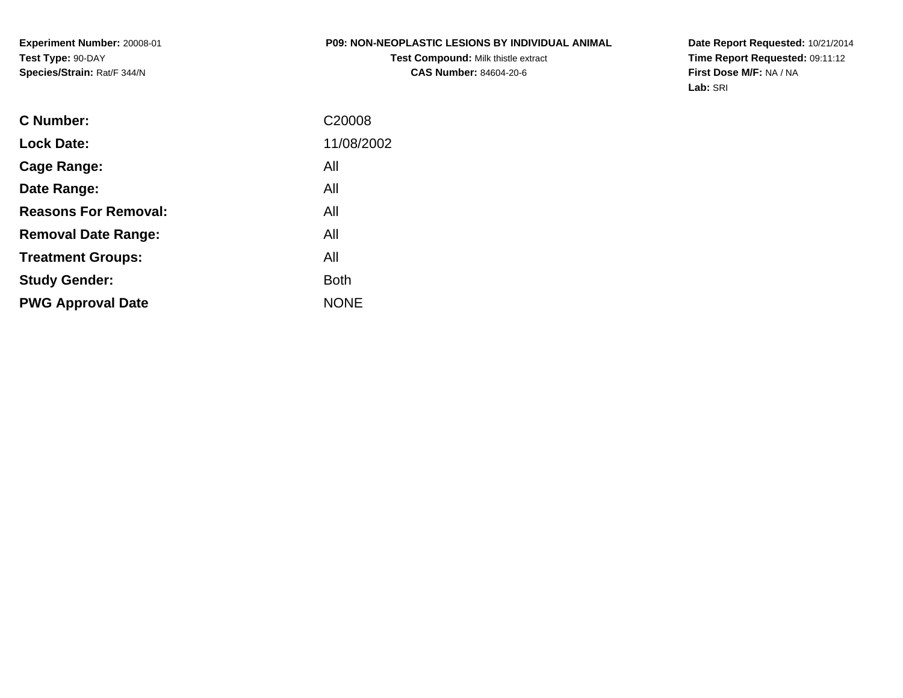#### **P09: NON-NEOPLASTIC LESIONS BY INDIVIDUAL ANIMAL**

**Test Compound:** Milk thistle extract**CAS Number:** 84604-20-6

**Date Report Requested:** 10/21/2014 **Time Report Requested:** 09:11:12**First Dose M/F:** NA / NA**Lab:** SRI

| C Number:                   | C <sub>20008</sub> |
|-----------------------------|--------------------|
| <b>Lock Date:</b>           | 11/08/2002         |
| Cage Range:                 | All                |
| Date Range:                 | All                |
| <b>Reasons For Removal:</b> | All                |
| <b>Removal Date Range:</b>  | All                |
| <b>Treatment Groups:</b>    | All                |
| <b>Study Gender:</b>        | <b>Both</b>        |
| <b>PWG Approval Date</b>    | <b>NONE</b>        |
|                             |                    |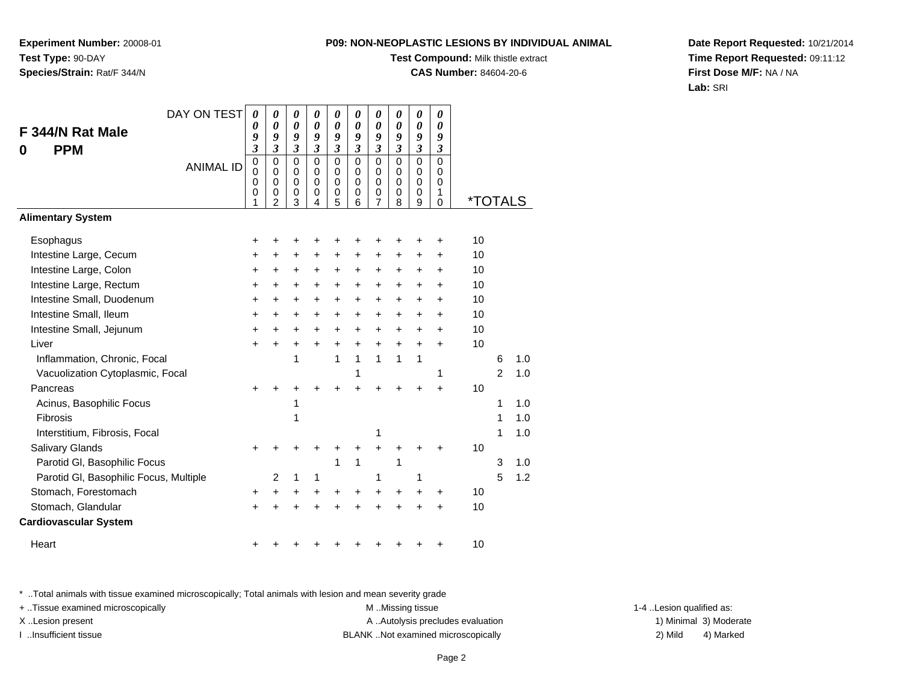**Experiment Number:** 20008-01**Test Type:** 90-DAY**Species/Strain:** Rat/F 344/N

## **Test Compound:** Milk thistle extract

**CAS Number:** 84604-20-6

**Date Report Requested:** 10/21/2014**Time Report Requested:** 09:11:12**First Dose M/F:** NA / NA**Lab:** SRI

| DAY ON TEST                            | $\boldsymbol{\theta}$      | 0                          | 0                | 0                    | 0                    | 0                          | 0                   | 0                       | 0                          | 0                          |         |                |     |
|----------------------------------------|----------------------------|----------------------------|------------------|----------------------|----------------------|----------------------------|---------------------|-------------------------|----------------------------|----------------------------|---------|----------------|-----|
| F 344/N Rat Male                       | 0<br>9                     | 0<br>9                     | 0<br>9           | 0<br>9               | 0<br>9               | $\boldsymbol{\theta}$<br>9 | $\theta$<br>9       | 0<br>9                  | $\boldsymbol{\theta}$<br>9 | $\boldsymbol{\theta}$<br>9 |         |                |     |
| <b>PPM</b><br>0                        | $\mathfrak{z}$             | $\overline{\mathbf{3}}$    | $\mathfrak{z}$   | $\mathfrak{z}$       | $\boldsymbol{\beta}$ | $\mathfrak{z}$             | $\mathfrak{z}$      | $\mathfrak{z}$          | $\boldsymbol{\beta}$       | $\boldsymbol{\beta}$       |         |                |     |
| <b>ANIMAL ID</b>                       | $\mathbf 0$<br>$\mathbf 0$ | $\mathbf 0$<br>$\mathbf 0$ | $\mathbf 0$<br>0 | $\Omega$<br>$\Omega$ | $\Omega$<br>0        | $\Omega$<br>$\Omega$       | $\mathbf 0$<br>0    | $\mathbf 0$<br>$\Omega$ | $\mathbf 0$<br>$\mathbf 0$ | $\mathbf 0$<br>0           |         |                |     |
|                                        | 0                          | $\mathbf 0$                | $\mathbf 0$      | $\mathbf 0$          | $\mathbf 0$          | $\mathbf 0$                | $\mathbf 0$         | $\mathbf 0$             | $\mathbf 0$                | 0                          |         |                |     |
|                                        | 0<br>1                     | 0<br>$\overline{2}$        | 0<br>3           | 0<br>4               | 0<br>5               | 0<br>6                     | 0<br>$\overline{7}$ | 0<br>8                  | 0<br>$\boldsymbol{9}$      | 1<br>0                     | *TOTALS |                |     |
| <b>Alimentary System</b>               |                            |                            |                  |                      |                      |                            |                     |                         |                            |                            |         |                |     |
| Esophagus                              | +                          | ٠                          | +                | +                    | +                    | +                          | +                   |                         | +                          | +                          | 10      |                |     |
| Intestine Large, Cecum                 | +                          | ٠                          | +                | +                    | +                    | +                          | +                   | ÷                       | +                          | +                          | 10      |                |     |
| Intestine Large, Colon                 | +                          | +                          | +                | +                    | +                    | +                          | +                   | $\ddot{}$               | +                          | $\pm$                      | 10      |                |     |
| Intestine Large, Rectum                | $\ddot{}$                  | +                          | +                | +                    | +                    | $\ddot{}$                  | +                   | $\ddot{}$               | $\pm$                      | $\ddot{}$                  | 10      |                |     |
| Intestine Small, Duodenum              | $\ddot{}$                  | $\ddot{}$                  | $\ddot{}$        | $\ddot{}$            | $\ddot{}$            | $\ddot{}$                  | $\ddot{}$           | $\ddot{}$               | $\ddot{}$                  | $\ddot{}$                  | 10      |                |     |
| Intestine Small, Ileum                 | +                          | $\ddot{}$                  | $\ddot{}$        | $\ddot{}$            | $\ddot{}$            | $\ddot{}$                  | $\ddot{}$           | $\ddot{}$               | $\ddot{}$                  | $\ddot{}$                  | 10      |                |     |
| Intestine Small, Jejunum               | +                          | +                          | +                | $\ddot{}$            | +                    | $\ddot{}$                  | $\ddot{}$           | $\ddot{}$               | +                          | $+$                        | 10      |                |     |
| Liver                                  | $\ddot{}$                  | $\div$                     | $\ddot{}$        | $\ddot{}$            | $\ddot{}$            | $\ddot{}$                  | $\ddot{}$           | $\ddot{}$               | $+$                        | $+$                        | 10      |                |     |
| Inflammation, Chronic, Focal           |                            |                            | 1                |                      | 1                    | $\mathbf{1}$               | 1                   | 1                       | 1                          |                            |         | 6              | 1.0 |
| Vacuolization Cytoplasmic, Focal       |                            |                            |                  |                      |                      | 1                          |                     |                         |                            | 1                          |         | $\overline{2}$ | 1.0 |
| Pancreas                               | +                          |                            |                  |                      | +                    | +                          | +                   |                         | +                          | $\ddot{}$                  | 10      |                |     |
| Acinus, Basophilic Focus               |                            |                            | 1                |                      |                      |                            |                     |                         |                            |                            |         | 1              | 1.0 |
| Fibrosis                               |                            |                            | 1                |                      |                      |                            |                     |                         |                            |                            |         | 1              | 1.0 |
| Interstitium, Fibrosis, Focal          |                            |                            |                  |                      |                      |                            | 1                   |                         |                            |                            |         | 1              | 1.0 |
| Salivary Glands                        |                            |                            |                  |                      |                      | +                          | $\ddot{}$           |                         |                            |                            | 10      |                |     |
| Parotid GI, Basophilic Focus           |                            |                            |                  |                      | 1                    | 1                          |                     | 1                       |                            |                            |         | 3              | 1.0 |
| Parotid GI, Basophilic Focus, Multiple |                            | 2                          | 1                | 1                    |                      |                            | 1                   |                         | 1                          |                            |         | 5              | 1.2 |
| Stomach, Forestomach                   | $\ddot{}$                  | +                          | +                | +                    | +                    | +                          | $\ddot{}$           | $\ddot{}$               | +                          | +                          | 10      |                |     |
| Stomach, Glandular                     | $\ddot{}$                  |                            |                  |                      |                      |                            | ÷                   |                         |                            | $\ddot{}$                  | 10      |                |     |
| <b>Cardiovascular System</b>           |                            |                            |                  |                      |                      |                            |                     |                         |                            |                            |         |                |     |
| Heart                                  | +                          |                            |                  |                      |                      |                            |                     |                         |                            |                            | 10      |                |     |

\* ..Total animals with tissue examined microscopically; Total animals with lesion and mean severity grade

+ ..Tissue examined microscopically examined microscopically examined as:  $M$  ..Missing tissue 1-4 ..Lesion qualified as: X..Lesion present **A ..Autolysis precludes evaluation** A ..Autolysis precludes evaluation 1) Minimal 3) Moderate

I ..Insufficient tissue BLANK ..Not examined microscopically 2) Mild 4) Marked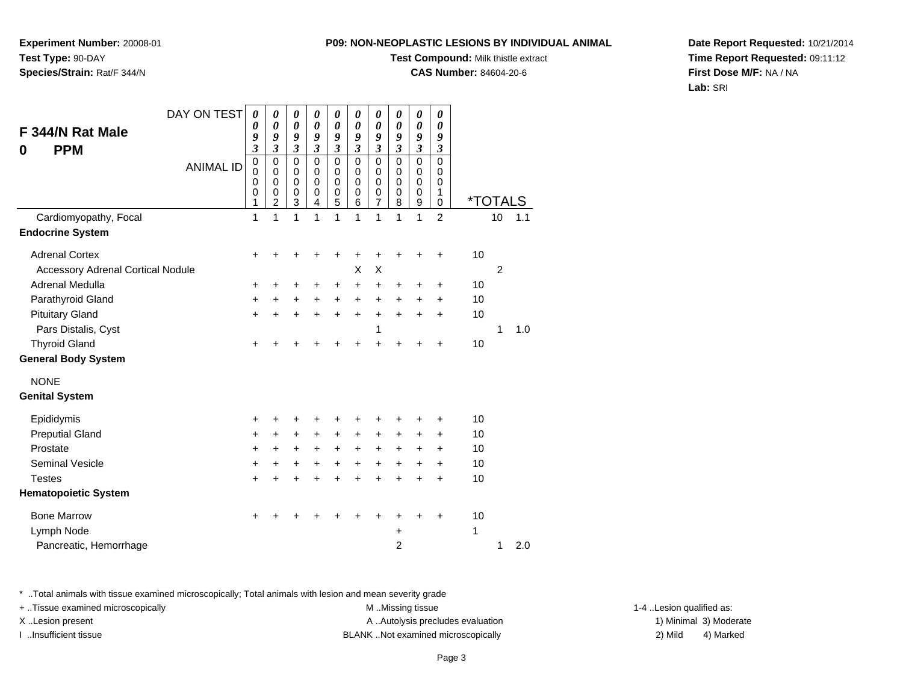**Experiment Number:** 20008-01**Test Type:** 90-DAY**Species/Strain:** Rat/F 344/N

### **Test Compound:** Milk thistle extract

**CAS Number:** 84604-20-6

**Date Report Requested:** 10/21/2014**Time Report Requested:** 09:11:12**First Dose M/F:** NA / NA**Lab:** SRI

| DAY ON TEST<br>F 344/N Rat Male<br><b>PPM</b><br>0<br><b>ANIMAL ID</b><br>Cardiomyopathy, Focal<br><b>Endocrine System</b> | 0<br>0<br>9<br>$\boldsymbol{\beta}$<br>$\mathbf 0$<br>0<br>$\mathbf 0$<br>0<br>1<br>1 | $\boldsymbol{\theta}$<br>$\boldsymbol{\theta}$<br>9<br>$\mathfrak{z}$<br>$\mathbf 0$<br>0<br>$\mathbf 0$<br>$\mathbf 0$<br>$\overline{c}$<br>1 | 0<br>0<br>9<br>$\boldsymbol{\beta}$<br>$\mathbf 0$<br>0<br>$\mathbf 0$<br>$\mathbf 0$<br>3<br>1 | 0<br>0<br>9<br>3<br>$\mathbf 0$<br>0<br>$\mathbf 0$<br>0<br>4<br>1 | 0<br>$\boldsymbol{\theta}$<br>9<br>3<br>0<br>0<br>$\mathbf 0$<br>0<br>5<br>1 | 0<br>0<br>9<br>$\boldsymbol{\beta}$<br>$\Omega$<br>0<br>$\mathbf 0$<br>0<br>6<br>1 | $\boldsymbol{\theta}$<br>$\boldsymbol{\theta}$<br>9<br>$\boldsymbol{\beta}$<br>$\mathbf 0$<br>0<br>$\mathbf 0$<br>0<br>7<br>1 | $\boldsymbol{\theta}$<br>0<br>9<br>$\boldsymbol{\beta}$<br>$\Omega$<br>0<br>$\mathbf 0$<br>0<br>8<br>1 | 0<br>0<br>9<br>$\mathfrak{z}$<br>$\mathbf 0$<br>$\mathbf 0$<br>$\mathbf 0$<br>0<br>9<br>1 | 0<br>0<br>9<br>3<br>$\mathbf 0$<br>0<br>$\mathbf 0$<br>1<br>0<br>$\overline{2}$ |    | <i><b>*TOTALS</b></i><br>10 | 1.1 |
|----------------------------------------------------------------------------------------------------------------------------|---------------------------------------------------------------------------------------|------------------------------------------------------------------------------------------------------------------------------------------------|-------------------------------------------------------------------------------------------------|--------------------------------------------------------------------|------------------------------------------------------------------------------|------------------------------------------------------------------------------------|-------------------------------------------------------------------------------------------------------------------------------|--------------------------------------------------------------------------------------------------------|-------------------------------------------------------------------------------------------|---------------------------------------------------------------------------------|----|-----------------------------|-----|
|                                                                                                                            |                                                                                       |                                                                                                                                                |                                                                                                 |                                                                    |                                                                              |                                                                                    |                                                                                                                               |                                                                                                        |                                                                                           |                                                                                 |    |                             |     |
| <b>Adrenal Cortex</b>                                                                                                      | +                                                                                     |                                                                                                                                                |                                                                                                 |                                                                    | +                                                                            | +                                                                                  | +                                                                                                                             |                                                                                                        |                                                                                           |                                                                                 | 10 |                             |     |
| <b>Accessory Adrenal Cortical Nodule</b>                                                                                   |                                                                                       |                                                                                                                                                |                                                                                                 |                                                                    |                                                                              | X                                                                                  | X                                                                                                                             |                                                                                                        |                                                                                           |                                                                                 |    | $\overline{2}$              |     |
| Adrenal Medulla                                                                                                            | +                                                                                     | +                                                                                                                                              | +                                                                                               | +                                                                  | +                                                                            | +                                                                                  | +                                                                                                                             | +                                                                                                      | +                                                                                         | +                                                                               | 10 |                             |     |
| Parathyroid Gland                                                                                                          | +                                                                                     | $\ddot{}$                                                                                                                                      | $\ddot{}$                                                                                       | $\ddot{}$                                                          | $\ddot{}$                                                                    | $+$                                                                                | $\ddot{}$                                                                                                                     | $+$                                                                                                    | $\ddot{}$                                                                                 | $\pm$                                                                           | 10 |                             |     |
| <b>Pituitary Gland</b>                                                                                                     | $\ddot{}$                                                                             | $\ddot{}$                                                                                                                                      | $\ddot{}$                                                                                       | $\ddot{}$                                                          | $\ddot{}$                                                                    | $\ddot{}$                                                                          | $\ddot{}$                                                                                                                     | $\ddot{}$                                                                                              | $\ddot{}$                                                                                 | $\ddot{}$                                                                       | 10 |                             |     |
| Pars Distalis, Cyst                                                                                                        |                                                                                       |                                                                                                                                                |                                                                                                 |                                                                    |                                                                              |                                                                                    | 1                                                                                                                             |                                                                                                        |                                                                                           |                                                                                 |    | 1                           | 1.0 |
| <b>Thyroid Gland</b>                                                                                                       | +                                                                                     |                                                                                                                                                |                                                                                                 |                                                                    |                                                                              |                                                                                    | $\ddot{}$                                                                                                                     |                                                                                                        |                                                                                           | +                                                                               | 10 |                             |     |
| <b>General Body System</b>                                                                                                 |                                                                                       |                                                                                                                                                |                                                                                                 |                                                                    |                                                                              |                                                                                    |                                                                                                                               |                                                                                                        |                                                                                           |                                                                                 |    |                             |     |
| <b>NONE</b>                                                                                                                |                                                                                       |                                                                                                                                                |                                                                                                 |                                                                    |                                                                              |                                                                                    |                                                                                                                               |                                                                                                        |                                                                                           |                                                                                 |    |                             |     |
| <b>Genital System</b>                                                                                                      |                                                                                       |                                                                                                                                                |                                                                                                 |                                                                    |                                                                              |                                                                                    |                                                                                                                               |                                                                                                        |                                                                                           |                                                                                 |    |                             |     |
| Epididymis                                                                                                                 | +                                                                                     | +                                                                                                                                              | +                                                                                               |                                                                    | +                                                                            | +                                                                                  | +                                                                                                                             |                                                                                                        | +                                                                                         | +                                                                               | 10 |                             |     |
| <b>Preputial Gland</b>                                                                                                     | +                                                                                     | +                                                                                                                                              | $\ddot{}$                                                                                       | $\ddot{}$                                                          | $+$                                                                          | $\ddot{}$                                                                          | +                                                                                                                             | $\ddot{}$                                                                                              | +                                                                                         | $\pm$                                                                           | 10 |                             |     |
| Prostate                                                                                                                   | $\ddot{}$                                                                             | +                                                                                                                                              | +                                                                                               | $\ddot{}$                                                          | $+$                                                                          | $\ddot{}$                                                                          | +                                                                                                                             | $\ddot{}$                                                                                              | +                                                                                         | $\ddot{}$                                                                       | 10 |                             |     |
| <b>Seminal Vesicle</b>                                                                                                     | $\ddot{}$                                                                             | $\ddot{}$                                                                                                                                      | $\ddot{}$                                                                                       | $\ddot{}$                                                          | $\ddot{}$                                                                    | $\ddot{}$                                                                          | $\ddot{}$                                                                                                                     | $\ddot{}$                                                                                              | +                                                                                         | $\ddot{}$                                                                       | 10 |                             |     |
| <b>Testes</b>                                                                                                              | $\ddot{}$                                                                             | $\ddot{}$                                                                                                                                      | $\ddot{}$                                                                                       | $\ddot{}$                                                          | $\ddot{}$                                                                    | $\ddot{}$                                                                          | $\ddot{}$                                                                                                                     | ÷                                                                                                      | $\ddot{}$                                                                                 | $\ddot{}$                                                                       | 10 |                             |     |
| <b>Hematopoietic System</b>                                                                                                |                                                                                       |                                                                                                                                                |                                                                                                 |                                                                    |                                                                              |                                                                                    |                                                                                                                               |                                                                                                        |                                                                                           |                                                                                 |    |                             |     |
| <b>Bone Marrow</b>                                                                                                         | +                                                                                     |                                                                                                                                                |                                                                                                 |                                                                    |                                                                              |                                                                                    | +                                                                                                                             |                                                                                                        |                                                                                           | +                                                                               | 10 |                             |     |
| Lymph Node                                                                                                                 |                                                                                       |                                                                                                                                                |                                                                                                 |                                                                    |                                                                              |                                                                                    |                                                                                                                               | +                                                                                                      |                                                                                           |                                                                                 | 1  |                             |     |
| Pancreatic, Hemorrhage                                                                                                     |                                                                                       |                                                                                                                                                |                                                                                                 |                                                                    |                                                                              |                                                                                    |                                                                                                                               | $\overline{2}$                                                                                         |                                                                                           |                                                                                 |    | 1                           | 2.0 |

\* ..Total animals with tissue examined microscopically; Total animals with lesion and mean severity grade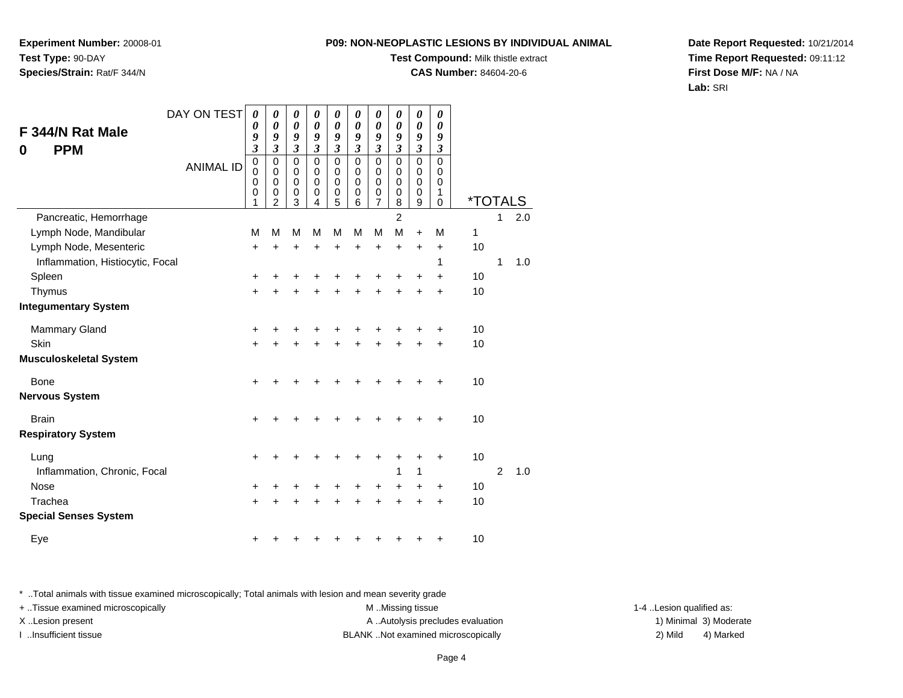**Experiment Number:** 20008-01**Test Type:** 90-DAY**Species/Strain:** Rat/F 344/N

### **Test Compound:** Milk thistle extract

**CAS Number:** 84604-20-6

**Date Report Requested:** 10/21/2014**Time Report Requested:** 09:11:12**First Dose M/F:** NA / NA**Lab:** SRI

| DAY ON TEST                      | 0                                          | 0                                                      | 0                               | 0                                      | 0                                         | 0                                         | 0                                                      | 0                                         | 0                                         | 0                                                   |                       |                |     |
|----------------------------------|--------------------------------------------|--------------------------------------------------------|---------------------------------|----------------------------------------|-------------------------------------------|-------------------------------------------|--------------------------------------------------------|-------------------------------------------|-------------------------------------------|-----------------------------------------------------|-----------------------|----------------|-----|
| F 344/N Rat Male                 | 0<br>9                                     | $\boldsymbol{\theta}$<br>9                             | $\pmb{\theta}$<br>9             | $\boldsymbol{\theta}$<br>9             | $\boldsymbol{\theta}$<br>9                | $\boldsymbol{\theta}$<br>9                | $\boldsymbol{\theta}$<br>9                             | $\boldsymbol{\theta}$<br>9                | $\boldsymbol{\theta}$<br>9                | 0<br>9                                              |                       |                |     |
| <b>PPM</b><br>0                  | $\overline{\mathbf{3}}$                    | $\overline{\mathbf{3}}$                                | $\boldsymbol{\mathfrak{z}}$     | $\mathfrak{z}$                         | $\mathfrak{z}$                            | $\mathfrak{z}$                            | $\mathfrak{z}$                                         | $\mathfrak{z}$                            | $\boldsymbol{\beta}$                      | $\boldsymbol{\beta}$                                |                       |                |     |
| <b>ANIMAL ID</b>                 | $\pmb{0}$<br>$\overline{0}$<br>0<br>0<br>1 | $\mathbf 0$<br>$\mathbf 0$<br>0<br>0<br>$\overline{2}$ | 0<br>$\mathbf 0$<br>0<br>0<br>3 | $\Omega$<br>$\mathbf 0$<br>0<br>0<br>4 | $\mathbf 0$<br>$\mathbf 0$<br>0<br>0<br>5 | $\mathbf 0$<br>$\mathbf 0$<br>0<br>0<br>6 | $\mathbf 0$<br>$\mathbf 0$<br>0<br>0<br>$\overline{7}$ | $\mathbf 0$<br>$\mathbf 0$<br>0<br>0<br>8 | $\mathbf 0$<br>$\mathbf 0$<br>0<br>0<br>9 | $\mathbf 0$<br>$\mathbf 0$<br>0<br>1<br>$\mathbf 0$ | <i><b>*TOTALS</b></i> |                |     |
| Pancreatic, Hemorrhage           |                                            |                                                        |                                 |                                        |                                           |                                           |                                                        | $\overline{2}$                            |                                           |                                                     |                       | 1              | 2.0 |
| Lymph Node, Mandibular           | M                                          | M                                                      | M                               | M                                      | M                                         | M                                         | M                                                      | M                                         | $\ddot{}$                                 | M                                                   | 1                     |                |     |
| Lymph Node, Mesenteric           | +                                          | +                                                      | +                               | +                                      | $\ddot{}$                                 | $\ddot{}$                                 | $\ddot{}$                                              | $\ddot{}$                                 | $\ddot{}$                                 | $\ddot{}$                                           | 10                    |                |     |
| Inflammation, Histiocytic, Focal |                                            |                                                        |                                 |                                        |                                           |                                           |                                                        |                                           |                                           | 1                                                   |                       | 1              | 1.0 |
| Spleen                           | +                                          |                                                        | +                               |                                        |                                           |                                           | ┿                                                      | +                                         | +                                         | +                                                   | 10                    |                |     |
| Thymus                           | +                                          |                                                        | +                               |                                        |                                           |                                           | +                                                      | +                                         | +                                         | $\ddot{}$                                           | 10                    |                |     |
| <b>Integumentary System</b>      |                                            |                                                        |                                 |                                        |                                           |                                           |                                                        |                                           |                                           |                                                     |                       |                |     |
| <b>Mammary Gland</b>             | $\pm$                                      |                                                        |                                 |                                        |                                           |                                           |                                                        | +                                         |                                           | +                                                   | 10                    |                |     |
| Skin                             | $\pm$                                      |                                                        | +                               |                                        |                                           |                                           | +                                                      | +                                         | +                                         | $\ddot{}$                                           | 10                    |                |     |
| <b>Musculoskeletal System</b>    |                                            |                                                        |                                 |                                        |                                           |                                           |                                                        |                                           |                                           |                                                     |                       |                |     |
| <b>Bone</b>                      | $\ddot{}$                                  |                                                        | +                               |                                        |                                           |                                           | +                                                      | +                                         | +                                         | +                                                   | 10                    |                |     |
| <b>Nervous System</b>            |                                            |                                                        |                                 |                                        |                                           |                                           |                                                        |                                           |                                           |                                                     |                       |                |     |
| <b>Brain</b>                     | +                                          |                                                        |                                 |                                        |                                           |                                           |                                                        |                                           |                                           | +                                                   | 10                    |                |     |
| <b>Respiratory System</b>        |                                            |                                                        |                                 |                                        |                                           |                                           |                                                        |                                           |                                           |                                                     |                       |                |     |
| Lung                             | +                                          |                                                        | +                               |                                        |                                           | +                                         | +                                                      | +                                         | +                                         | +                                                   | 10                    |                |     |
| Inflammation, Chronic, Focal     |                                            |                                                        |                                 |                                        |                                           |                                           |                                                        | 1                                         | 1                                         |                                                     |                       | $\overline{2}$ | 1.0 |
| <b>Nose</b>                      | +                                          |                                                        | +                               |                                        |                                           | ٠                                         | +                                                      | +                                         | ٠                                         | +                                                   | 10                    |                |     |
| Trachea                          | $\ddot{}$                                  |                                                        |                                 |                                        |                                           |                                           | +                                                      | $\ddot{}$                                 | $\ddot{}$                                 | $\ddot{}$                                           | 10                    |                |     |
| <b>Special Senses System</b>     |                                            |                                                        |                                 |                                        |                                           |                                           |                                                        |                                           |                                           |                                                     |                       |                |     |
| Eye                              | +                                          |                                                        |                                 |                                        |                                           |                                           |                                                        | ٠                                         | +                                         | +                                                   | 10                    |                |     |

\* ..Total animals with tissue examined microscopically; Total animals with lesion and mean severity grade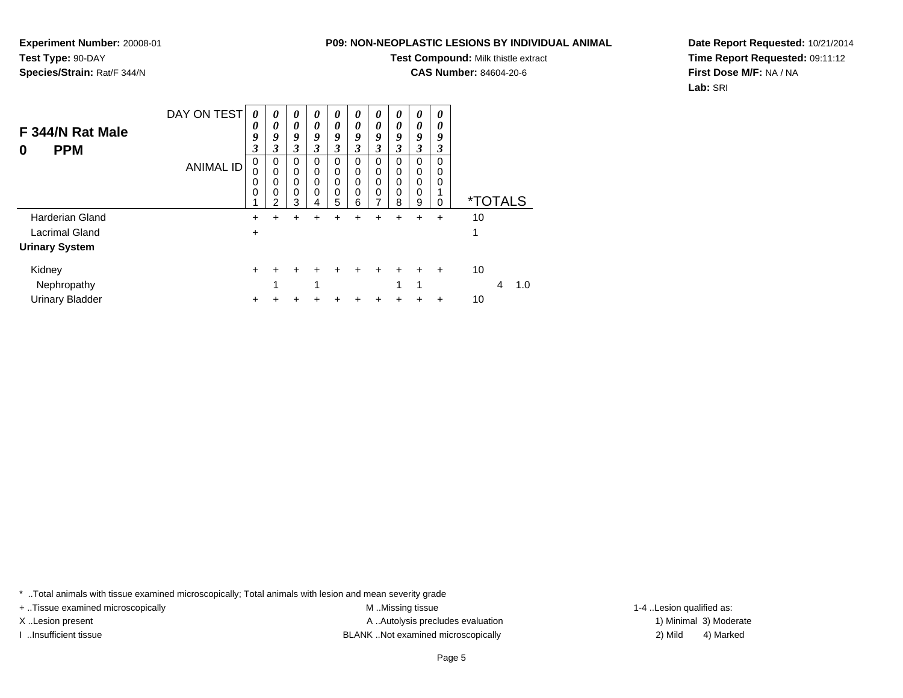**Test Compound:** Milk thistle extract

**CAS Number:** 84604-20-6

**Date Report Requested:** 10/21/2014**Time Report Requested:** 09:11:12**First Dose M/F:** NA / NA**Lab:** SRI

| F 344/N Rat Male<br><b>PPM</b><br>0 | DAY ON TEST | 0<br>$\boldsymbol{\theta}$<br>9<br>$\mathfrak{z}$ | $\theta$<br>0<br>9<br>3                    | $\theta$<br>$\boldsymbol{\theta}$<br>9<br>3 | 0<br>0<br>9<br>3                           | 0<br>0<br>9<br>3      | 0<br>0<br>9<br>3                | $\boldsymbol{\theta}$<br>0<br>9<br>3 | 0<br>0<br>9<br>3                          | 0<br>0<br>9<br>3                | 0<br>0<br>9<br>3                            |                       |          |
|-------------------------------------|-------------|---------------------------------------------------|--------------------------------------------|---------------------------------------------|--------------------------------------------|-----------------------|---------------------------------|--------------------------------------|-------------------------------------------|---------------------------------|---------------------------------------------|-----------------------|----------|
|                                     | ANIMAL ID   | 0<br>0<br>0<br>0                                  | 0<br>$\Omega$<br>$\Omega$<br>$\Omega$<br>າ | 0<br>0<br>0<br>0<br>3                       | 0<br>$\Omega$<br>$\Omega$<br>$\Omega$<br>4 | 0<br>0<br>0<br>0<br>5 | 0<br>0<br>$\mathbf 0$<br>0<br>6 | 0<br>0<br>0<br>0                     | 0<br>$\mathbf 0$<br>$\mathbf 0$<br>0<br>8 | 0<br>$\mathbf 0$<br>0<br>0<br>9 | $\Omega$<br>$\mathbf 0$<br>0<br>$\mathbf 0$ | <i><b>*TOTALS</b></i> |          |
| <b>Harderian Gland</b>              |             | +                                                 | +                                          | ÷                                           | ٠                                          | +                     | ٠                               | ٠                                    | ٠                                         | +                               | $\ddot{}$                                   | 10                    |          |
| Lacrimal Gland                      |             | $\ddot{}$                                         |                                            |                                             |                                            |                       |                                 |                                      |                                           |                                 |                                             |                       |          |
| <b>Urinary System</b>               |             |                                                   |                                            |                                             |                                            |                       |                                 |                                      |                                           |                                 |                                             |                       |          |
| Kidney<br>Nephropathy               |             | ٠                                                 | 4                                          |                                             | 4                                          |                       |                                 |                                      | 4                                         | 1                               | $\ddot{}$                                   | 10                    | 1.0<br>4 |
| <b>Urinary Bladder</b>              |             |                                                   |                                            |                                             |                                            |                       |                                 |                                      |                                           |                                 |                                             | 10                    |          |

\* ..Total animals with tissue examined microscopically; Total animals with lesion and mean severity grade

+ ..Tissue examined microscopically examined microscopically examined as:  $M$  ..Missing tissue 1-4 ..Lesion qualified as:

**Experiment Number:** 20008-01

**Species/Strain:** Rat/F 344/N

**Test Type:** 90-DAY

X..Lesion present **A ..Autolysis precludes evaluation** A ..Autolysis precludes evaluation 1) Minimal 3) Moderate I ..Insufficient tissue BLANK ..Not examined microscopically 2) Mild 4) Marked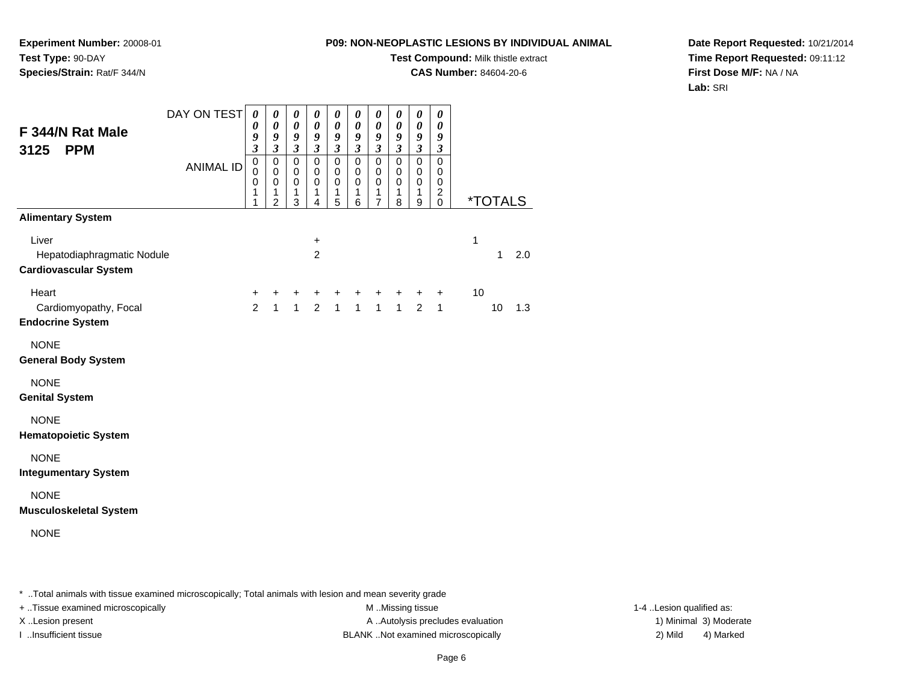**Test Compound:** Milk thistle extract

**CAS Number:** 84604-20-6

**Date Report Requested:** 10/21/2014**Time Report Requested:** 09:11:12**First Dose M/F:** NA / NA**Lab:** SRI

|                                                                     | DAY ON TEST      | 0<br>0                                    | 0<br>0                                                 | 0<br>$\boldsymbol{\theta}$                          | 0<br>$\boldsymbol{\theta}$                        | 0<br>0                                            | 0<br>$\boldsymbol{\theta}$                        | 0<br>0                                       | 0<br>0                                    | 0<br>0                                    | 0<br>$\boldsymbol{\theta}$                   |                       |     |
|---------------------------------------------------------------------|------------------|-------------------------------------------|--------------------------------------------------------|-----------------------------------------------------|---------------------------------------------------|---------------------------------------------------|---------------------------------------------------|----------------------------------------------|-------------------------------------------|-------------------------------------------|----------------------------------------------|-----------------------|-----|
| F 344/N Rat Male<br>3125<br><b>PPM</b>                              |                  | 9<br>$\overline{\mathbf{3}}$              | 9<br>$\mathfrak{z}$                                    | 9<br>$\boldsymbol{\beta}$                           | 9<br>$\boldsymbol{\beta}$                         | 9<br>$\mathfrak{z}$                               | 9<br>$\mathfrak{z}$                               | 9<br>$\overline{\mathbf{3}}$                 | 9<br>$\mathfrak{z}$                       | 9<br>$\mathfrak{z}$                       | 9<br>$\boldsymbol{\beta}$                    |                       |     |
|                                                                     | <b>ANIMAL ID</b> | $\mathbf 0$<br>$\mathbf 0$<br>0<br>1<br>1 | $\mathbf 0$<br>0<br>$\mathbf 0$<br>1<br>$\overline{2}$ | $\mathbf 0$<br>$\mathbf 0$<br>$\mathbf 0$<br>1<br>3 | $\mathbf 0$<br>$\mathbf 0$<br>$\pmb{0}$<br>1<br>4 | $\mathbf 0$<br>$\mathbf 0$<br>$\pmb{0}$<br>1<br>5 | $\mathbf 0$<br>$\mathbf 0$<br>$\pmb{0}$<br>1<br>6 | $\mathbf 0$<br>0<br>0<br>1<br>$\overline{7}$ | $\mathbf 0$<br>0<br>$\mathbf 0$<br>1<br>8 | $\mathbf 0$<br>$\mathbf 0$<br>0<br>1<br>9 | $\mathbf 0$<br>0<br>0<br>$\overline{c}$<br>0 | <i><b>*TOTALS</b></i> |     |
| <b>Alimentary System</b>                                            |                  |                                           |                                                        |                                                     |                                                   |                                                   |                                                   |                                              |                                           |                                           |                                              |                       |     |
| Liver<br>Hepatodiaphragmatic Nodule<br><b>Cardiovascular System</b> |                  |                                           |                                                        |                                                     | $\ddot{}$<br>$\overline{2}$                       |                                                   |                                                   |                                              |                                           |                                           |                                              | 1<br>$\mathbf{1}$     | 2.0 |
| Heart<br>Cardiomyopathy, Focal<br><b>Endocrine System</b>           |                  | +<br>$\overline{2}$                       | +<br>$\mathbf{1}$                                      | +<br>$\mathbf{1}$                                   | +<br>$\overline{2}$                               | $\mathbf{1}$                                      | $\mathbf{1}$                                      | +<br>1 <sup>1</sup>                          | +<br>1                                    | $\ddot{}$<br>2                            | $\ddot{}$<br>$\mathbf{1}$                    | 10<br>10              | 1.3 |
| <b>NONE</b><br><b>General Body System</b>                           |                  |                                           |                                                        |                                                     |                                                   |                                                   |                                                   |                                              |                                           |                                           |                                              |                       |     |
| <b>NONE</b><br><b>Genital System</b>                                |                  |                                           |                                                        |                                                     |                                                   |                                                   |                                                   |                                              |                                           |                                           |                                              |                       |     |
| <b>NONE</b><br><b>Hematopoietic System</b>                          |                  |                                           |                                                        |                                                     |                                                   |                                                   |                                                   |                                              |                                           |                                           |                                              |                       |     |
| <b>NONE</b><br><b>Integumentary System</b>                          |                  |                                           |                                                        |                                                     |                                                   |                                                   |                                                   |                                              |                                           |                                           |                                              |                       |     |
| <b>NONE</b><br><b>Musculoskeletal System</b>                        |                  |                                           |                                                        |                                                     |                                                   |                                                   |                                                   |                                              |                                           |                                           |                                              |                       |     |
| <b>NONE</b>                                                         |                  |                                           |                                                        |                                                     |                                                   |                                                   |                                                   |                                              |                                           |                                           |                                              |                       |     |

\* ..Total animals with tissue examined microscopically; Total animals with lesion and mean severity grade

**Experiment Number:** 20008-01

**Species/Strain:** Rat/F 344/N

**Test Type:** 90-DAY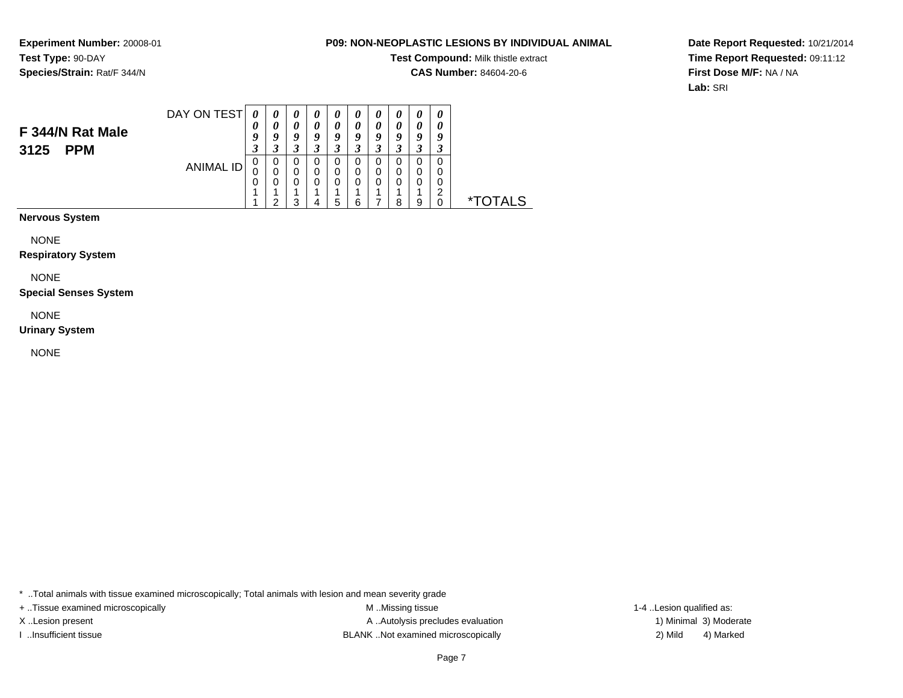#### **P09: NON-NEOPLASTIC LESIONS BY INDIVIDUAL ANIMAL**

**Test Compound:** Milk thistle extract

**CAS Number:** 84604-20-6

**Date Report Requested:** 10/21/2014**Time Report Requested:** 09:11:12**First Dose M/F:** NA / NA**Lab:** SRI

| F 344/N Rat Male<br><b>PPM</b><br>3125 | DAY ON TEST | $\theta$<br>U<br>9<br>2<br>J | C                | Q<br>↗      | U<br>Q<br>◠<br>J |   | U<br>0<br>O |    | U<br>$\boldsymbol{\theta}$<br>o | $\boldsymbol{\mathit{U}}$<br>U<br>9 |             |
|----------------------------------------|-------------|------------------------------|------------------|-------------|------------------|---|-------------|----|---------------------------------|-------------------------------------|-------------|
|                                        | ANIMAL ID   | 0<br>0<br>0                  | U<br>U<br>U<br>ົ | U<br>0<br>◠ | 0<br>5           | 6 |             | ິດ | a                               | U<br>$\sqrt{2}$                     | $\mathbf x$ |

**Nervous System**

NONE

**Respiratory System**

NONE

**Special Senses System**

NONE

**Urinary System**

NONE

\* ..Total animals with tissue examined microscopically; Total animals with lesion and mean severity grade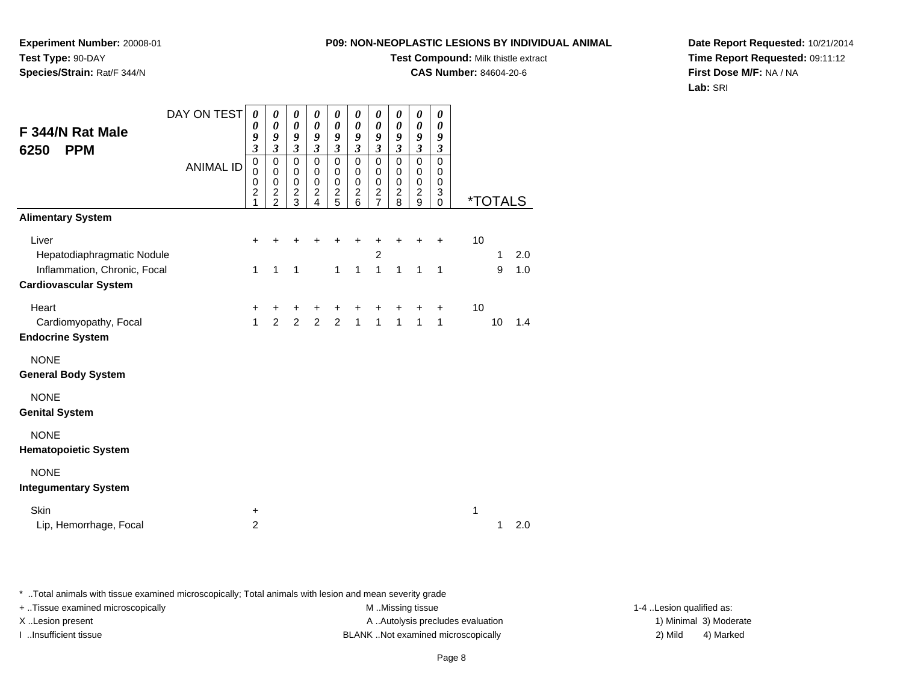**Test Compound:** Milk thistle extract

**CAS Number:** 84604-20-6

**Date Report Requested:** 10/21/2014**Time Report Requested:** 09:11:12**First Dose M/F:** NA / NA**Lab:** SRI

| F 344/N Rat Male<br><b>PPM</b><br>6250                              | DAY ON TEST      | 0<br>0<br>9<br>$\overline{\mathbf{3}}$       | 0<br>0<br>9<br>$\mathfrak{z}$                                         | 0<br>$\boldsymbol{\theta}$<br>9<br>$\boldsymbol{\mathfrak{z}}$ | 0<br>$\boldsymbol{\theta}$<br>9<br>$\boldsymbol{\beta}$ | 0<br>$\boldsymbol{\theta}$<br>9<br>$\boldsymbol{\mathfrak{z}}$ | 0<br>$\boldsymbol{\theta}$<br>9<br>$\boldsymbol{\mathfrak{z}}$  | 0<br>$\boldsymbol{\theta}$<br>9<br>$\boldsymbol{\mathfrak{z}}$     | 0<br>$\boldsymbol{\theta}$<br>9<br>$\boldsymbol{\beta}$ | 0<br>$\boldsymbol{\theta}$<br>9<br>$\boldsymbol{\beta}$            | 0<br>0<br>9<br>$\boldsymbol{\beta}$     |    |         |            |
|---------------------------------------------------------------------|------------------|----------------------------------------------|-----------------------------------------------------------------------|----------------------------------------------------------------|---------------------------------------------------------|----------------------------------------------------------------|-----------------------------------------------------------------|--------------------------------------------------------------------|---------------------------------------------------------|--------------------------------------------------------------------|-----------------------------------------|----|---------|------------|
|                                                                     | <b>ANIMAL ID</b> | $\mathbf 0$<br>0<br>0<br>$\overline{c}$<br>1 | $\mathbf 0$<br>$\mathbf 0$<br>0<br>$\boldsymbol{2}$<br>$\overline{2}$ | $\mathbf 0$<br>0<br>0<br>$\overline{c}$<br>3                   | $\mathbf 0$<br>0<br>$\pmb{0}$<br>$\overline{c}$<br>4    | $\mathsf 0$<br>0<br>0<br>$\overline{c}$<br>5                   | $\mathbf 0$<br>0<br>$\mathbf 0$<br>$\overline{\mathbf{c}}$<br>6 | $\mathbf 0$<br>0<br>0<br>$\overline{\mathbf{c}}$<br>$\overline{7}$ | $\mathbf 0$<br>0<br>$\mathbf 0$<br>$\overline{c}$<br>8  | $\mathbf 0$<br>$\mathbf 0$<br>$\mathbf 0$<br>$\boldsymbol{2}$<br>9 | $\pmb{0}$<br>0<br>$\mathbf 0$<br>3<br>0 |    | *TOTALS |            |
| <b>Alimentary System</b>                                            |                  |                                              |                                                                       |                                                                |                                                         |                                                                |                                                                 |                                                                    |                                                         |                                                                    |                                         |    |         |            |
| Liver<br>Hepatodiaphragmatic Nodule<br>Inflammation, Chronic, Focal |                  | +<br>1                                       | 1                                                                     | $\mathbf{1}$                                                   |                                                         | 1                                                              | $\mathbf{1}$                                                    | $\overline{c}$<br>$\mathbf{1}$                                     | $\mathbf{1}$                                            | $\mathbf{1}$                                                       | $\mathbf{1}$                            | 10 | 1<br>9  | 2.0<br>1.0 |
| <b>Cardiovascular System</b>                                        |                  |                                              |                                                                       |                                                                |                                                         |                                                                |                                                                 |                                                                    |                                                         |                                                                    |                                         |    |         |            |
| Heart<br>Cardiomyopathy, Focal                                      |                  | $\ddot{}$<br>1                               | +<br>$\overline{2}$                                                   | +<br>$\overline{2}$                                            | $\overline{2}$                                          | ٠<br>$\overline{2}$                                            | +<br>$\mathbf{1}$                                               | +<br>$\mathbf{1}$                                                  | $\mathbf{1}$                                            | $\mathbf{1}$                                                       | +<br>$\mathbf{1}$                       | 10 | 10      | 1.4        |
| <b>Endocrine System</b>                                             |                  |                                              |                                                                       |                                                                |                                                         |                                                                |                                                                 |                                                                    |                                                         |                                                                    |                                         |    |         |            |
| <b>NONE</b><br><b>General Body System</b>                           |                  |                                              |                                                                       |                                                                |                                                         |                                                                |                                                                 |                                                                    |                                                         |                                                                    |                                         |    |         |            |
| <b>NONE</b><br><b>Genital System</b>                                |                  |                                              |                                                                       |                                                                |                                                         |                                                                |                                                                 |                                                                    |                                                         |                                                                    |                                         |    |         |            |
| <b>NONE</b><br><b>Hematopoietic System</b>                          |                  |                                              |                                                                       |                                                                |                                                         |                                                                |                                                                 |                                                                    |                                                         |                                                                    |                                         |    |         |            |
| <b>NONE</b><br><b>Integumentary System</b>                          |                  |                                              |                                                                       |                                                                |                                                         |                                                                |                                                                 |                                                                    |                                                         |                                                                    |                                         |    |         |            |
| Skin<br>Lip, Hemorrhage, Focal                                      |                  | $\ddot{}$<br>$\overline{c}$                  |                                                                       |                                                                |                                                         |                                                                |                                                                 |                                                                    |                                                         |                                                                    |                                         | 1  | 1       | 2.0        |

\* ..Total animals with tissue examined microscopically; Total animals with lesion and mean severity grade

**Experiment Number:** 20008-01

**Species/Strain:** Rat/F 344/N

**Test Type:** 90-DAY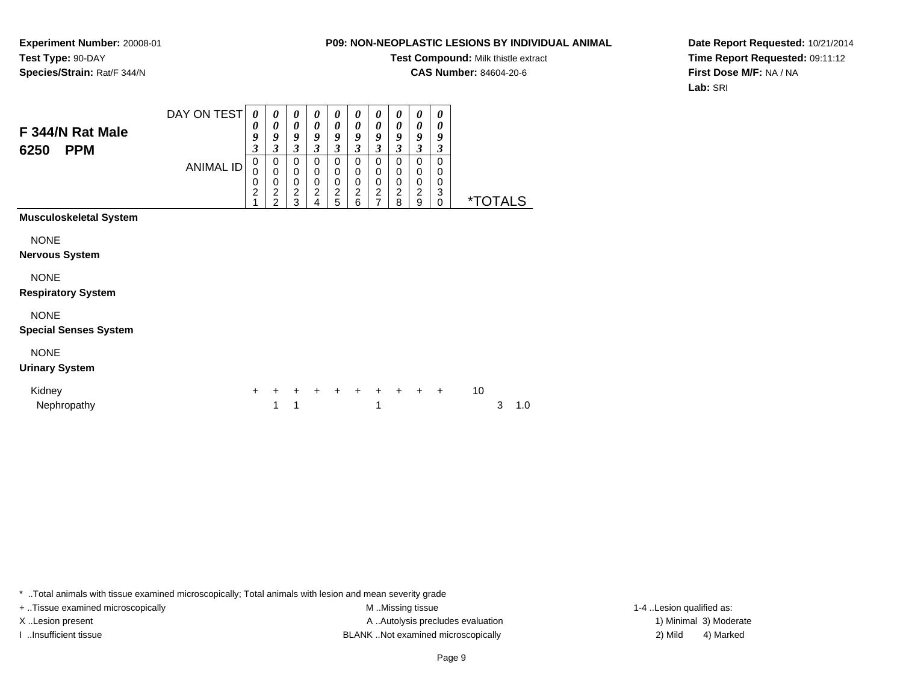#### **P09: NON-NEOPLASTIC LESIONS BY INDIVIDUAL ANIMAL**

**Test Compound:** Milk thistle extract

**CAS Number:** 84604-20-6

**Date Report Requested:** 10/21/2014**Time Report Requested:** 09:11:12**First Dose M/F:** NA / NA**Lab:** SRI

| F 344/N Rat Male<br><b>PPM</b><br>6250      | DAY ON TEST<br><b>ANIMAL ID</b> | 0<br>0<br>9<br>3<br>0<br>$\mathbf 0$<br>0<br>$\overline{c}$<br>$\overline{1}$ | 0<br>$\boldsymbol{\theta}$<br>9<br>3<br>0<br>$\mathbf 0$<br>$\mathbf 0$<br>$\overline{\mathbf{c}}$<br>$\overline{2}$ | 0<br>$\boldsymbol{\theta}$<br>9<br>$\mathfrak{z}$<br>$\mathbf 0$<br>$\pmb{0}$<br>$\pmb{0}$<br>$\frac{2}{3}$ | 0<br>$\boldsymbol{\theta}$<br>9<br>$\mathfrak{z}$<br>$\mathbf 0$<br>0<br>$\mathbf 0$<br>$\overline{\mathbf{c}}$<br>4 | 0<br>$\boldsymbol{\theta}$<br>9<br>$\mathfrak{z}$<br>0<br>0<br>$\mathbf 0$<br>$\frac{2}{5}$ | 0<br>0<br>$\boldsymbol{g}$<br>$\mathfrak{z}$<br>$\mathbf 0$<br>0<br>0<br>$\boldsymbol{2}$<br>6 | 0<br>0<br>9<br>$\mathfrak{z}$<br>0<br>0<br>$\,0\,$<br>$\frac{2}{7}$ | 0<br>0<br>9<br>$\overline{\mathbf{3}}$<br>$\mathbf 0$<br>0<br>0<br>$\overline{\mathbf{c}}$<br>8 | 0<br>$\boldsymbol{\theta}$<br>9<br>3<br>0<br>0<br>$\pmb{0}$<br>$\overline{c}$<br>9 | 0<br>0<br>9<br>3<br>$\mathbf 0$<br>0<br>0<br>3<br>$\Omega$ | <i><b>*TOTALS</b></i> |   |     |
|---------------------------------------------|---------------------------------|-------------------------------------------------------------------------------|----------------------------------------------------------------------------------------------------------------------|-------------------------------------------------------------------------------------------------------------|----------------------------------------------------------------------------------------------------------------------|---------------------------------------------------------------------------------------------|------------------------------------------------------------------------------------------------|---------------------------------------------------------------------|-------------------------------------------------------------------------------------------------|------------------------------------------------------------------------------------|------------------------------------------------------------|-----------------------|---|-----|
| <b>Musculoskeletal System</b>               |                                 |                                                                               |                                                                                                                      |                                                                                                             |                                                                                                                      |                                                                                             |                                                                                                |                                                                     |                                                                                                 |                                                                                    |                                                            |                       |   |     |
| <b>NONE</b><br><b>Nervous System</b>        |                                 |                                                                               |                                                                                                                      |                                                                                                             |                                                                                                                      |                                                                                             |                                                                                                |                                                                     |                                                                                                 |                                                                                    |                                                            |                       |   |     |
| <b>NONE</b><br><b>Respiratory System</b>    |                                 |                                                                               |                                                                                                                      |                                                                                                             |                                                                                                                      |                                                                                             |                                                                                                |                                                                     |                                                                                                 |                                                                                    |                                                            |                       |   |     |
| <b>NONE</b><br><b>Special Senses System</b> |                                 |                                                                               |                                                                                                                      |                                                                                                             |                                                                                                                      |                                                                                             |                                                                                                |                                                                     |                                                                                                 |                                                                                    |                                                            |                       |   |     |
| <b>NONE</b><br><b>Urinary System</b>        |                                 |                                                                               |                                                                                                                      |                                                                                                             |                                                                                                                      |                                                                                             |                                                                                                |                                                                     |                                                                                                 |                                                                                    |                                                            |                       |   |     |
| Kidney<br>Nephropathy                       |                                 | $\ddot{}$                                                                     | ٠<br>1                                                                                                               | +<br>1                                                                                                      |                                                                                                                      | $+$                                                                                         | $+$                                                                                            | $\ddot{}$<br>1                                                      | $\ddot{+}$                                                                                      | $+$                                                                                | $+$                                                        | 10                    | 3 | 1.0 |

\* ..Total animals with tissue examined microscopically; Total animals with lesion and mean severity grade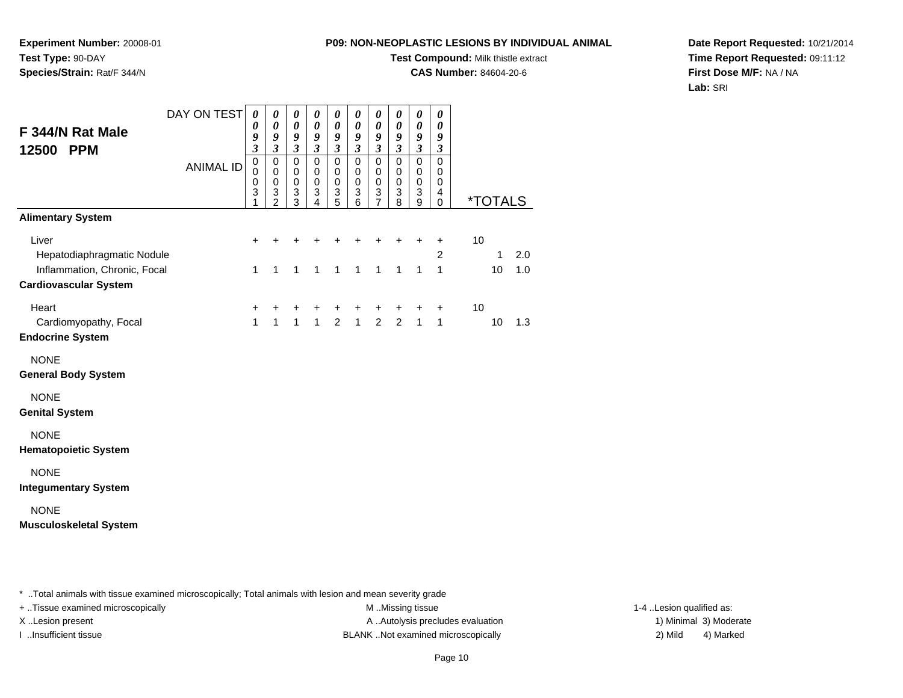**Experiment Number:** 20008-01**Test Type:** 90-DAY**Species/Strain:** Rat/F 344/N

# **Test Compound:** Milk thistle extract

**CAS Number:** 84604-20-6

**Date Report Requested:** 10/21/2014**Time Report Requested:** 09:11:12**First Dose M/F:** NA / NA**Lab:** SRI

| F 344/N Rat Male<br>12500 PPM                                | DAY ON TEST      | 0<br>0<br>9<br>3                     | 0<br>$\boldsymbol{\theta}$<br>9<br>$\overline{\mathbf{3}}$   | 0<br>$\boldsymbol{\theta}$<br>9<br>$\mathfrak{z}$ | 0<br>0<br>9<br>$\mathfrak{z}$                                 | 0<br>$\boldsymbol{\theta}$<br>9<br>$\mathfrak{z}$                       | 0<br>$\boldsymbol{\theta}$<br>9<br>$\mathfrak{z}$             | 0<br>$\boldsymbol{\theta}$<br>$\boldsymbol{g}$<br>$\mathfrak{z}$           | 0<br>0<br>9<br>$\mathfrak{z}$                       | 0<br>0<br>9<br>$\overline{\mathbf{3}}$     | 0<br>$\boldsymbol{\theta}$<br>9<br>$\mathfrak{z}$ |    |                       |     |
|--------------------------------------------------------------|------------------|--------------------------------------|--------------------------------------------------------------|---------------------------------------------------|---------------------------------------------------------------|-------------------------------------------------------------------------|---------------------------------------------------------------|----------------------------------------------------------------------------|-----------------------------------------------------|--------------------------------------------|---------------------------------------------------|----|-----------------------|-----|
|                                                              | <b>ANIMAL ID</b> | $\mathbf 0$<br>$\mathbf 0$<br>0<br>3 | $\pmb{0}$<br>$\mathbf 0$<br>$\pmb{0}$<br>3<br>$\overline{2}$ | $\pmb{0}$<br>0<br>$\pmb{0}$<br>3<br>3             | $\pmb{0}$<br>0<br>$\pmb{0}$<br>$\ensuremath{\mathsf{3}}$<br>4 | $\pmb{0}$<br>$\mathbf 0$<br>$\pmb{0}$<br>$\ensuremath{\mathsf{3}}$<br>5 | $\pmb{0}$<br>0<br>$\pmb{0}$<br>$\ensuremath{\mathsf{3}}$<br>6 | $\pmb{0}$<br>0<br>$\pmb{0}$<br>$\ensuremath{\mathsf{3}}$<br>$\overline{7}$ | $\mathbf 0$<br>0<br>$\mathbf 0$<br>$\mathsf 3$<br>8 | $\pmb{0}$<br>0<br>$\overline{0}$<br>3<br>9 | $\mathbf 0$<br>0<br>0<br>4<br>$\mathbf 0$         |    | <i><b>*TOTALS</b></i> |     |
| <b>Alimentary System</b>                                     |                  |                                      |                                                              |                                                   |                                                               |                                                                         |                                                               |                                                                            |                                                     |                                            |                                                   |    |                       |     |
| Liver<br>Hepatodiaphragmatic Nodule                          |                  | +                                    |                                                              |                                                   |                                                               |                                                                         | +                                                             | +                                                                          | +                                                   | +                                          | $\ddot{}$<br>2                                    | 10 | 1                     | 2.0 |
| Inflammation, Chronic, Focal<br><b>Cardiovascular System</b> |                  | 1                                    | 1                                                            | 1                                                 | $\mathbf{1}$                                                  | $\mathbf{1}$                                                            | $\mathbf{1}$                                                  | 1                                                                          | $\mathbf{1}$                                        | $\mathbf{1}$                               | 1                                                 |    | 10                    | 1.0 |
| Heart<br>Cardiomyopathy, Focal<br><b>Endocrine System</b>    |                  | +<br>$\mathbf{1}$                    | +<br>$\overline{1}$                                          | ٠<br>$\mathbf{1}$                                 | +<br>$\mathbf{1}$                                             | +<br>$\overline{2}$                                                     | +<br>$\mathbf{1}$                                             | $\ddot{}$<br>$\overline{2}$                                                | +<br>$\overline{2}$                                 | +<br>$\mathbf{1}$                          | $\ddot{}$<br>1                                    | 10 | 10                    | 1.3 |
| <b>NONE</b><br><b>General Body System</b>                    |                  |                                      |                                                              |                                                   |                                                               |                                                                         |                                                               |                                                                            |                                                     |                                            |                                                   |    |                       |     |
| <b>NONE</b><br><b>Genital System</b>                         |                  |                                      |                                                              |                                                   |                                                               |                                                                         |                                                               |                                                                            |                                                     |                                            |                                                   |    |                       |     |
| <b>NONE</b><br><b>Hematopoietic System</b>                   |                  |                                      |                                                              |                                                   |                                                               |                                                                         |                                                               |                                                                            |                                                     |                                            |                                                   |    |                       |     |
| <b>NONE</b><br><b>Integumentary System</b>                   |                  |                                      |                                                              |                                                   |                                                               |                                                                         |                                                               |                                                                            |                                                     |                                            |                                                   |    |                       |     |
| <b>NONE</b><br><b>Musculoskeletal System</b>                 |                  |                                      |                                                              |                                                   |                                                               |                                                                         |                                                               |                                                                            |                                                     |                                            |                                                   |    |                       |     |

\* ..Total animals with tissue examined microscopically; Total animals with lesion and mean severity grade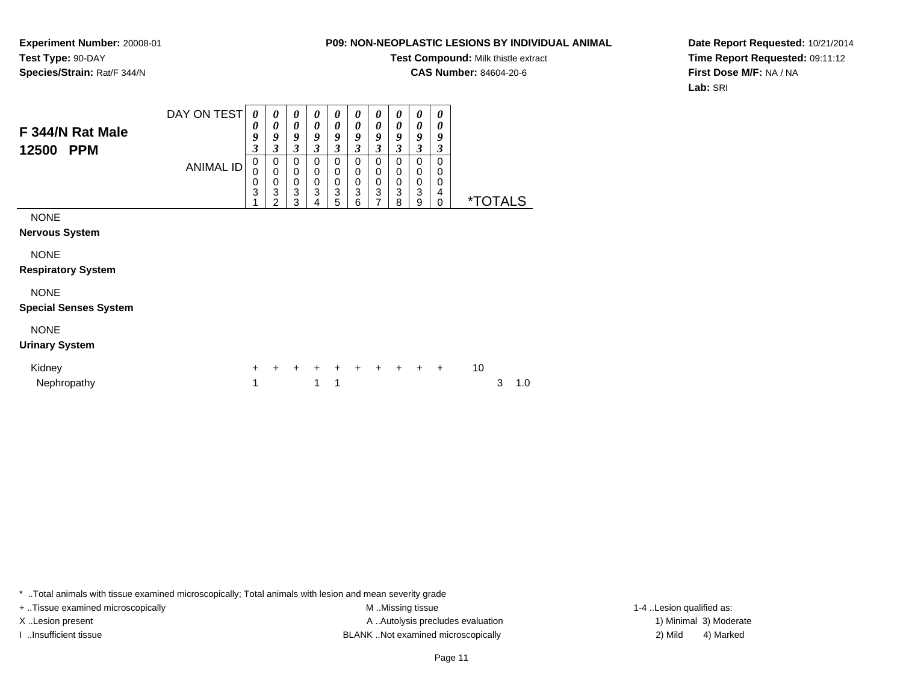#### **P09: NON-NEOPLASTIC LESIONS BY INDIVIDUAL ANIMAL**

**Test Compound:** Milk thistle extract

**CAS Number:** 84604-20-6

**Date Report Requested:** 10/21/2014**Time Report Requested:** 09:11:12**First Dose M/F:** NA / NA**Lab:** SRI

| F 344/N Rat Male<br>12500<br><b>PPM</b>     | DAY ON TEST<br><b>ANIMAL ID</b> | 0<br>0<br>9<br>3<br>0<br>0<br>0<br>3 | 0<br>0<br>9<br>3<br>0<br>$\mathbf 0$<br>0<br>$\overline{3}$<br>2 | 0<br>$\boldsymbol{\theta}$<br>9<br>3<br>$\Omega$<br>$\mathbf 0$<br>0<br>3<br>3 | $\boldsymbol{\theta}$<br>0<br>9<br>3<br>0<br>$\mathbf 0$<br>$\pmb{0}$<br>$\overline{3}$<br>4 | 0<br>$\boldsymbol{\theta}$<br>9<br>$\boldsymbol{\beta}$<br>$\mathbf 0$<br>$\mathbf 0$<br>$\pmb{0}$<br>$\overline{3}$<br>5 | 0<br>0<br>9<br>3<br>0<br>0<br>0<br>3<br>6 | 0<br>0<br>9<br>3<br>0<br>0<br>0<br>$\overline{3}$<br>$\overline{7}$ | 0<br>0<br>9<br>$\boldsymbol{\beta}$<br>$\Omega$<br>$\mathbf 0$<br>0<br>3<br>8 | 0<br>$\boldsymbol{\theta}$<br>9<br>3<br>0<br>$\mathbf 0$<br>0<br>3<br>9 | 0<br>0<br>9<br>3<br>0<br>0<br>0<br>4<br>$\mathbf 0$ |    | <i><b>*TOTALS</b></i> |     |  |
|---------------------------------------------|---------------------------------|--------------------------------------|------------------------------------------------------------------|--------------------------------------------------------------------------------|----------------------------------------------------------------------------------------------|---------------------------------------------------------------------------------------------------------------------------|-------------------------------------------|---------------------------------------------------------------------|-------------------------------------------------------------------------------|-------------------------------------------------------------------------|-----------------------------------------------------|----|-----------------------|-----|--|
| <b>NONE</b>                                 |                                 |                                      |                                                                  |                                                                                |                                                                                              |                                                                                                                           |                                           |                                                                     |                                                                               |                                                                         |                                                     |    |                       |     |  |
| <b>Nervous System</b>                       |                                 |                                      |                                                                  |                                                                                |                                                                                              |                                                                                                                           |                                           |                                                                     |                                                                               |                                                                         |                                                     |    |                       |     |  |
| <b>NONE</b><br><b>Respiratory System</b>    |                                 |                                      |                                                                  |                                                                                |                                                                                              |                                                                                                                           |                                           |                                                                     |                                                                               |                                                                         |                                                     |    |                       |     |  |
| <b>NONE</b><br><b>Special Senses System</b> |                                 |                                      |                                                                  |                                                                                |                                                                                              |                                                                                                                           |                                           |                                                                     |                                                                               |                                                                         |                                                     |    |                       |     |  |
| <b>NONE</b><br><b>Urinary System</b>        |                                 |                                      |                                                                  |                                                                                |                                                                                              |                                                                                                                           |                                           |                                                                     |                                                                               |                                                                         |                                                     |    |                       |     |  |
| Kidney<br>Nephropathy                       |                                 | ÷.<br>1                              | $\pm$                                                            | $\ddot{+}$                                                                     | $\pm$<br>1                                                                                   | $\ddot{}$<br>1                                                                                                            | $\div$                                    | $\pm$                                                               | $+$                                                                           | $+$                                                                     | $\ddot{}$                                           | 10 | 3                     | 1.0 |  |

\* ..Total animals with tissue examined microscopically; Total animals with lesion and mean severity grade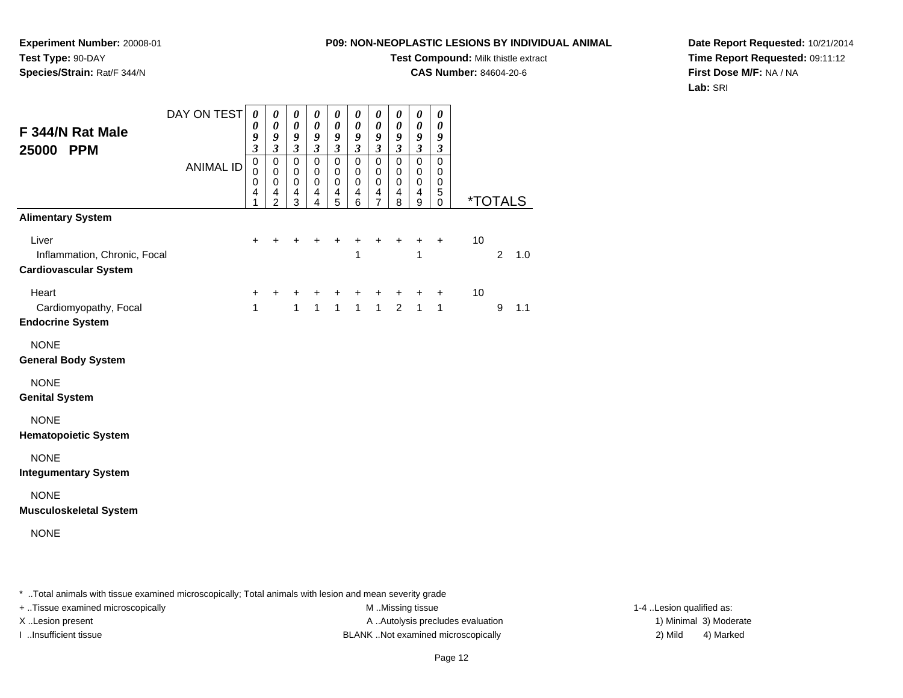**Test Compound:** Milk thistle extract

**CAS Number:** 84604-20-6

**Date Report Requested:** 10/21/2014**Time Report Requested:** 09:11:12**First Dose M/F:** NA / NA**Lab:** SRI

| F 344/N Rat Male<br>25000 PPM                                                                     | DAY ON TEST<br><b>ANIMAL ID</b> | $\boldsymbol{\theta}$<br>0<br>9<br>$\overline{\mathbf{3}}$<br>$\pmb{0}$<br>0<br>$\mathbf 0$<br>4<br>1 | 0<br>0<br>9<br>$\mathfrak{z}$<br>$\mathbf 0$<br>$\mathbf 0$<br>$\mathbf 0$<br>$\overline{4}$<br>$\overline{2}$ | $\boldsymbol{\theta}$<br>$\boldsymbol{\theta}$<br>9<br>$\mathfrak{z}$<br>$\mathbf 0$<br>$\mathbf 0$<br>$\pmb{0}$<br>4<br>3 | 0<br>$\boldsymbol{\theta}$<br>9<br>$\mathfrak{z}$<br>$\pmb{0}$<br>0<br>$\mathbf 0$<br>$\overline{4}$<br>4 | $\boldsymbol{\theta}$<br>$\boldsymbol{\theta}$<br>9<br>$\boldsymbol{\beta}$<br>$\pmb{0}$<br>0<br>$\mathbf 0$<br>$\overline{4}$<br>5 | $\boldsymbol{\theta}$<br>$\boldsymbol{\theta}$<br>9<br>$\boldsymbol{\beta}$<br>$\pmb{0}$<br>0<br>$\pmb{0}$<br>$\overline{4}$<br>6 | $\boldsymbol{\theta}$<br>$\boldsymbol{\theta}$<br>9<br>$\boldsymbol{\beta}$<br>$\pmb{0}$<br>$\mathbf 0$<br>$\pmb{0}$<br>$\overline{4}$<br>$\overline{7}$ | 0<br>$\boldsymbol{\theta}$<br>9<br>$\boldsymbol{\beta}$<br>$\pmb{0}$<br>0<br>$\mathbf 0$<br>$\overline{4}$<br>8 | $\boldsymbol{\theta}$<br>$\boldsymbol{\theta}$<br>9<br>$\mathfrak{z}$<br>$\pmb{0}$<br>$\mathbf 0$<br>$\mathsf 0$<br>4<br>9 | $\boldsymbol{\theta}$<br>$\boldsymbol{\theta}$<br>9<br>$\boldsymbol{\beta}$<br>$\mathbf 0$<br>0<br>$\pmb{0}$<br>5<br>$\mathbf 0$ | <i><b>*TOTALS</b></i> |                |     |
|---------------------------------------------------------------------------------------------------|---------------------------------|-------------------------------------------------------------------------------------------------------|----------------------------------------------------------------------------------------------------------------|----------------------------------------------------------------------------------------------------------------------------|-----------------------------------------------------------------------------------------------------------|-------------------------------------------------------------------------------------------------------------------------------------|-----------------------------------------------------------------------------------------------------------------------------------|----------------------------------------------------------------------------------------------------------------------------------------------------------|-----------------------------------------------------------------------------------------------------------------|----------------------------------------------------------------------------------------------------------------------------|----------------------------------------------------------------------------------------------------------------------------------|-----------------------|----------------|-----|
| <b>Alimentary System</b><br>Liver<br>Inflammation, Chronic, Focal<br><b>Cardiovascular System</b> |                                 | $\ddot{}$                                                                                             |                                                                                                                |                                                                                                                            | ٠                                                                                                         | +                                                                                                                                   | +<br>1                                                                                                                            | $\ddot{}$                                                                                                                                                | +                                                                                                               | $\ddot{}$<br>1                                                                                                             | $+$                                                                                                                              | 10                    | $\overline{2}$ | 1.0 |
| Heart<br>Cardiomyopathy, Focal<br><b>Endocrine System</b>                                         |                                 | $\ddot{}$<br>$\mathbf{1}$                                                                             |                                                                                                                | 1                                                                                                                          | +<br>$\mathbf{1}$                                                                                         | +<br>$\mathbf{1}$                                                                                                                   | +<br>$\mathbf{1}$                                                                                                                 | +<br>$\mathbf{1}$                                                                                                                                        | +<br>$\overline{2}$                                                                                             | +<br>$\mathbf{1}$                                                                                                          | $\pm$<br>$\mathbf{1}$                                                                                                            | 10                    | 9              | 1.1 |
| <b>NONE</b><br><b>General Body System</b>                                                         |                                 |                                                                                                       |                                                                                                                |                                                                                                                            |                                                                                                           |                                                                                                                                     |                                                                                                                                   |                                                                                                                                                          |                                                                                                                 |                                                                                                                            |                                                                                                                                  |                       |                |     |
| <b>NONE</b><br><b>Genital System</b>                                                              |                                 |                                                                                                       |                                                                                                                |                                                                                                                            |                                                                                                           |                                                                                                                                     |                                                                                                                                   |                                                                                                                                                          |                                                                                                                 |                                                                                                                            |                                                                                                                                  |                       |                |     |
| <b>NONE</b><br><b>Hematopoietic System</b>                                                        |                                 |                                                                                                       |                                                                                                                |                                                                                                                            |                                                                                                           |                                                                                                                                     |                                                                                                                                   |                                                                                                                                                          |                                                                                                                 |                                                                                                                            |                                                                                                                                  |                       |                |     |
| <b>NONE</b><br><b>Integumentary System</b>                                                        |                                 |                                                                                                       |                                                                                                                |                                                                                                                            |                                                                                                           |                                                                                                                                     |                                                                                                                                   |                                                                                                                                                          |                                                                                                                 |                                                                                                                            |                                                                                                                                  |                       |                |     |
| <b>NONE</b><br><b>Musculoskeletal System</b><br><b>NONE</b>                                       |                                 |                                                                                                       |                                                                                                                |                                                                                                                            |                                                                                                           |                                                                                                                                     |                                                                                                                                   |                                                                                                                                                          |                                                                                                                 |                                                                                                                            |                                                                                                                                  |                       |                |     |
|                                                                                                   |                                 |                                                                                                       |                                                                                                                |                                                                                                                            |                                                                                                           |                                                                                                                                     |                                                                                                                                   |                                                                                                                                                          |                                                                                                                 |                                                                                                                            |                                                                                                                                  |                       |                |     |

\* ..Total animals with tissue examined microscopically; Total animals with lesion and mean severity grade

**Experiment Number:** 20008-01

**Species/Strain:** Rat/F 344/N

**Test Type:** 90-DAY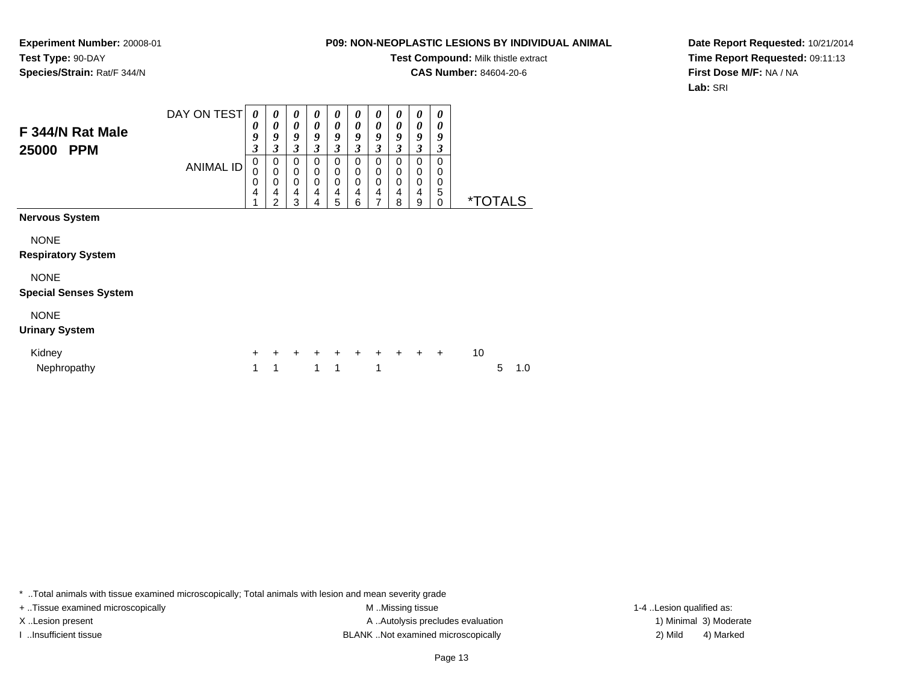#### **P09: NON-NEOPLASTIC LESIONS BY INDIVIDUAL ANIMAL**

**Test Compound:** Milk thistle extract

**CAS Number:** 84604-20-6

**Date Report Requested:** 10/21/2014**Time Report Requested:** 09:11:13**First Dose M/F:** NA / NA**Lab:** SRI

| F 344/N Rat Male<br>25000<br><b>PPM</b>     | DAY ON TEST<br><b>ANIMAL ID</b> | $\boldsymbol{\theta}$<br>0<br>9<br>3<br>0<br>0<br>0<br>4 | 0<br>0<br>9<br>3<br>0<br>0<br>0<br>4<br>$\overline{2}$ | 0<br>0<br>9<br>3<br>0<br>0<br>0<br>4<br>3 | 0<br>0<br>9<br>3<br>0<br>0<br>0<br>4<br>4 | 0<br>$\boldsymbol{\theta}$<br>9<br>3<br>0<br>0<br>0<br>4<br>5 | 0<br>0<br>9<br>3<br>0<br>0<br>$\mathbf 0$<br>4<br>6 | $\boldsymbol{\theta}$<br>0<br>9<br>3<br>0<br>0<br>0<br>4<br>7 | $\boldsymbol{\theta}$<br>0<br>9<br>3<br>0<br>0<br>0<br>4<br>8 | 0<br>0<br>9<br>$\mathfrak{z}$<br>0<br>0<br>$\mathbf 0$<br>4<br>9 | 0<br>0<br>9<br>3<br>0<br>0<br>0<br>5<br>0 | <i><b>*TOTALS</b></i> |   |     |  |
|---------------------------------------------|---------------------------------|----------------------------------------------------------|--------------------------------------------------------|-------------------------------------------|-------------------------------------------|---------------------------------------------------------------|-----------------------------------------------------|---------------------------------------------------------------|---------------------------------------------------------------|------------------------------------------------------------------|-------------------------------------------|-----------------------|---|-----|--|
| Nervous System                              |                                 |                                                          |                                                        |                                           |                                           |                                                               |                                                     |                                                               |                                                               |                                                                  |                                           |                       |   |     |  |
| <b>NONE</b><br><b>Respiratory System</b>    |                                 |                                                          |                                                        |                                           |                                           |                                                               |                                                     |                                                               |                                                               |                                                                  |                                           |                       |   |     |  |
| <b>NONE</b><br><b>Special Senses System</b> |                                 |                                                          |                                                        |                                           |                                           |                                                               |                                                     |                                                               |                                                               |                                                                  |                                           |                       |   |     |  |
| <b>NONE</b><br><b>Urinary System</b>        |                                 |                                                          |                                                        |                                           |                                           |                                                               |                                                     |                                                               |                                                               |                                                                  |                                           |                       |   |     |  |
| Kidney<br>Nephropathy                       |                                 | $\ddot{}$<br>1                                           | ٠<br>1                                                 | $\ddot{}$                                 | $+$<br>1                                  | $+$<br>1                                                      | $+$                                                 | $+$<br>1                                                      | $\ddot{}$                                                     | $+$                                                              | $\ddot{}$                                 | 10                    | 5 | 1.0 |  |

\* ..Total animals with tissue examined microscopically; Total animals with lesion and mean severity grade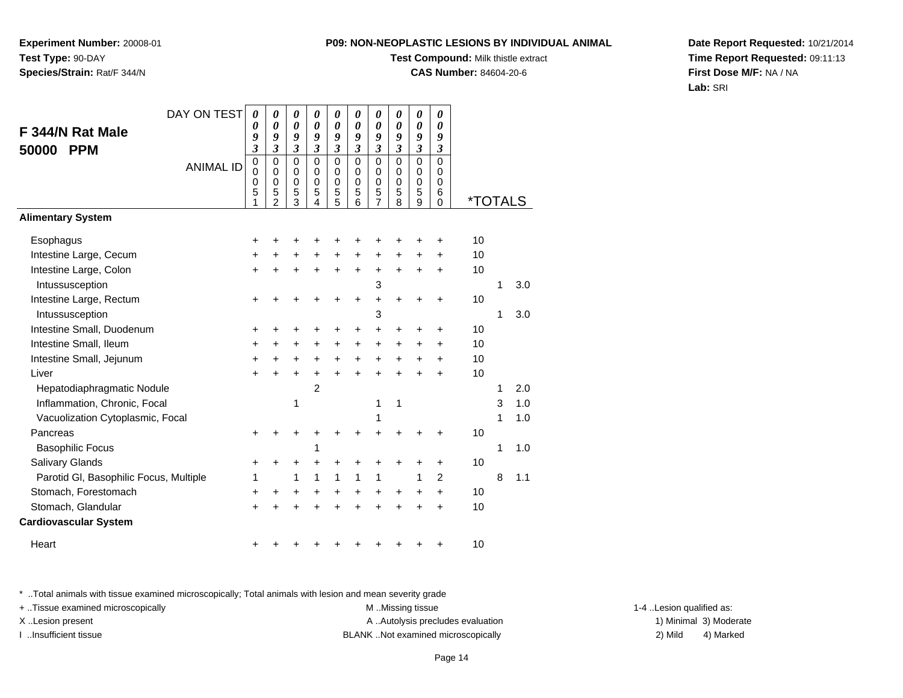**Experiment Number:** 20008-01**Test Type:** 90-DAY**Species/Strain:** Rat/F 344/N

# **Test Compound:** Milk thistle extract

**CAS Number:** 84604-20-6

**Date Report Requested:** 10/21/2014**Time Report Requested:** 09:11:13**First Dose M/F:** NA / NA**Lab:** SRI

| DAY ON TEST                            | 0                                                   | 0                                                                | 0                                                                | 0                                                   | 0                                         | 0                                                | 0                                                                | 0                                                   | 0                                                      | 0                                                |                       |   |     |
|----------------------------------------|-----------------------------------------------------|------------------------------------------------------------------|------------------------------------------------------------------|-----------------------------------------------------|-------------------------------------------|--------------------------------------------------|------------------------------------------------------------------|-----------------------------------------------------|--------------------------------------------------------|--------------------------------------------------|-----------------------|---|-----|
| F 344/N Rat Male                       | 0<br>9                                              | 0<br>9                                                           | 0<br>9                                                           | 0<br>9                                              | 0<br>9                                    | $\boldsymbol{\theta}$<br>9                       | $\boldsymbol{\theta}$<br>9                                       | $\boldsymbol{\theta}$<br>9                          | 0<br>9                                                 | 0<br>9                                           |                       |   |     |
| <b>PPM</b><br>50000                    | 3                                                   | $\mathfrak{z}$                                                   | $\overline{\mathbf{3}}$                                          | $\overline{\mathbf{3}}$                             | $\overline{\mathbf{3}}$                   | $\overline{\mathbf{3}}$                          | $\overline{\mathbf{3}}$                                          | $\boldsymbol{\mathfrak{z}}$                         | $\mathfrak{z}$                                         | $\boldsymbol{\beta}$                             |                       |   |     |
| <b>ANIMAL ID</b>                       | $\mathbf 0$<br>$\mathbf 0$<br>$\mathbf 0$<br>5<br>1 | $\mathbf 0$<br>$\mathbf 0$<br>$\mathbf 0$<br>5<br>$\mathfrak{p}$ | $\mathbf 0$<br>$\mathbf 0$<br>$\mathbf 0$<br>5<br>$\overline{3}$ | $\mathbf 0$<br>$\mathbf 0$<br>$\mathbf 0$<br>5<br>4 | $\mathbf 0$<br>$\mathbf 0$<br>0<br>5<br>5 | $\mathbf 0$<br>$\Omega$<br>$\mathbf 0$<br>5<br>6 | $\mathbf 0$<br>$\mathbf 0$<br>$\mathbf 0$<br>5<br>$\overline{7}$ | $\mathbf 0$<br>$\mathbf 0$<br>$\mathbf 0$<br>5<br>8 | $\overline{0}$<br>$\mathbf 0$<br>$\mathbf 0$<br>5<br>9 | $\mathbf 0$<br>0<br>$\mathbf 0$<br>6<br>$\Omega$ | <i><b>*TOTALS</b></i> |   |     |
| <b>Alimentary System</b>               |                                                     |                                                                  |                                                                  |                                                     |                                           |                                                  |                                                                  |                                                     |                                                        |                                                  |                       |   |     |
| Esophagus                              | $\ddot{}$                                           |                                                                  | +                                                                |                                                     | +                                         |                                                  |                                                                  |                                                     |                                                        | +                                                | 10                    |   |     |
| Intestine Large, Cecum                 | +                                                   |                                                                  | +                                                                |                                                     | $\ddot{}$                                 | $\ddot{}$                                        | $\ddot{}$                                                        | $\ddot{}$                                           | $\pm$                                                  | +                                                | 10                    |   |     |
| Intestine Large, Colon                 | +                                                   | +                                                                | +                                                                | $\ddot{}$                                           | +                                         | $\ddot{}$                                        | +                                                                | $\ddot{}$                                           | +                                                      | +                                                | 10                    |   |     |
| Intussusception                        |                                                     |                                                                  |                                                                  |                                                     |                                           |                                                  | 3                                                                |                                                     |                                                        |                                                  |                       | 1 | 3.0 |
| Intestine Large, Rectum                | +                                                   |                                                                  |                                                                  |                                                     | +                                         | ÷                                                | $\ddot{}$                                                        | $\div$                                              | ٠                                                      | ٠                                                | 10                    |   |     |
| Intussusception                        |                                                     |                                                                  |                                                                  |                                                     |                                           |                                                  | 3                                                                |                                                     |                                                        |                                                  |                       | 1 | 3.0 |
| Intestine Small, Duodenum              | +                                                   | ٠                                                                | +                                                                | +                                                   | ٠                                         | +                                                | +                                                                | ٠                                                   | ٠                                                      | ٠                                                | 10                    |   |     |
| Intestine Small, Ileum                 | $\ddot{}$                                           | $\ddot{}$                                                        | $\ddot{}$                                                        | $\ddot{}$                                           | $\ddot{}$                                 | $\ddot{}$                                        | $\ddot{}$                                                        | $\ddot{}$                                           | $\ddot{}$                                              | $\ddot{}$                                        | 10                    |   |     |
| Intestine Small, Jejunum               | $\ddot{}$                                           | $\ddot{}$                                                        | $\ddot{}$                                                        | $\ddot{}$                                           | $\ddot{}$                                 | $\ddot{}$                                        | $\ddot{}$                                                        | $\ddot{}$                                           | $\ddot{}$                                              | +                                                | 10                    |   |     |
| Liver                                  | $\ddot{}$                                           | $\ddot{}$                                                        | $\ddot{}$                                                        | $\ddot{}$                                           | $\ddot{}$                                 | $\ddot{}$                                        | $\ddot{}$                                                        | $\ddot{}$                                           | $\ddot{}$                                              | ÷                                                | 10                    |   |     |
| Hepatodiaphragmatic Nodule             |                                                     |                                                                  |                                                                  | $\overline{2}$                                      |                                           |                                                  |                                                                  |                                                     |                                                        |                                                  |                       | 1 | 2.0 |
| Inflammation, Chronic, Focal           |                                                     |                                                                  | 1                                                                |                                                     |                                           |                                                  | 1                                                                | 1                                                   |                                                        |                                                  |                       | 3 | 1.0 |
| Vacuolization Cytoplasmic, Focal       |                                                     |                                                                  |                                                                  |                                                     |                                           |                                                  | 1                                                                |                                                     |                                                        |                                                  |                       | 1 | 1.0 |
| Pancreas                               | +                                                   |                                                                  | +                                                                |                                                     |                                           |                                                  | +                                                                |                                                     |                                                        |                                                  | 10                    |   |     |
| <b>Basophilic Focus</b>                |                                                     |                                                                  |                                                                  | 1                                                   |                                           |                                                  |                                                                  |                                                     |                                                        |                                                  |                       | 1 | 1.0 |
| Salivary Glands                        | +                                                   | +                                                                | +                                                                | +                                                   | +                                         | +                                                | +                                                                |                                                     |                                                        | +                                                | 10                    |   |     |
| Parotid GI, Basophilic Focus, Multiple | 1                                                   |                                                                  | $\mathbf{1}$                                                     | $\mathbf{1}$                                        | $\mathbf{1}$                              | 1                                                | 1                                                                |                                                     | 1                                                      | $\overline{2}$                                   |                       | 8 | 1.1 |
| Stomach, Forestomach                   | $\ddot{}$                                           | +                                                                | $\ddot{}$                                                        | $\ddot{}$                                           | $\ddot{}$                                 | $\ddot{}$                                        | $\ddot{}$                                                        | $\ddot{}$                                           | $\ddot{}$                                              | $\ddot{}$                                        | 10                    |   |     |
| Stomach, Glandular                     | $\ddot{}$                                           |                                                                  |                                                                  |                                                     |                                           |                                                  | $\ddot{}$                                                        |                                                     |                                                        | ÷                                                | 10                    |   |     |
| <b>Cardiovascular System</b>           |                                                     |                                                                  |                                                                  |                                                     |                                           |                                                  |                                                                  |                                                     |                                                        |                                                  |                       |   |     |
| Heart                                  | +                                                   |                                                                  |                                                                  |                                                     |                                           |                                                  |                                                                  |                                                     |                                                        |                                                  | 10                    |   |     |

\* ..Total animals with tissue examined microscopically; Total animals with lesion and mean severity grade

+ ..Tissue examined microscopically examined microscopically examined as:  $M$  ..Missing tissue 1-4 ..Lesion qualified as: X..Lesion present **A ..Autolysis precludes evaluation** A ..Autolysis precludes evaluation 1) Minimal 3) Moderate

I ..Insufficient tissue BLANK ..Not examined microscopically 2) Mild 4) Marked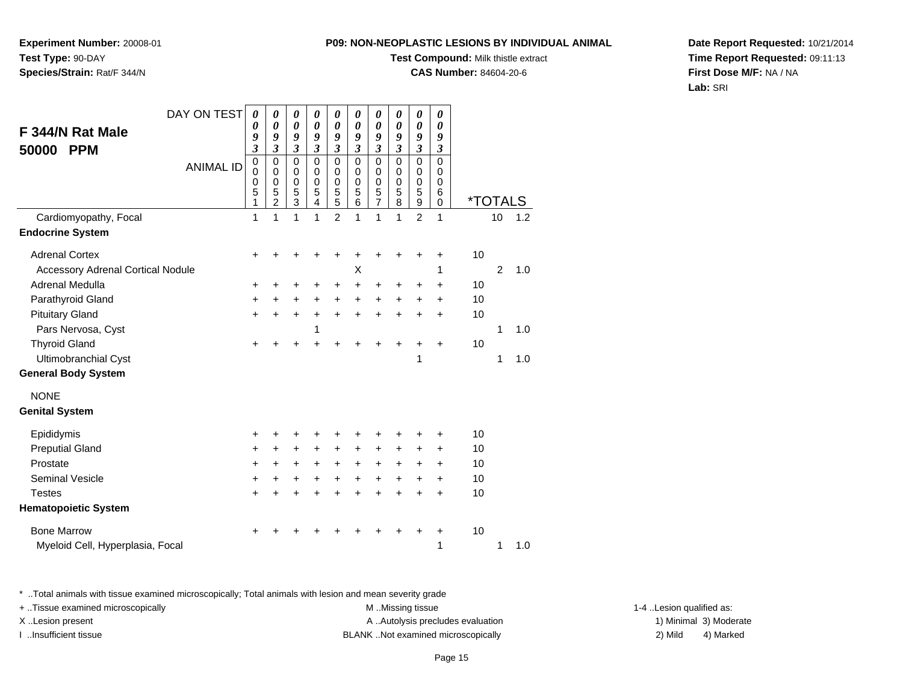**Experiment Number:** 20008-01**Test Type:** 90-DAY**Species/Strain:** Rat/F 344/N

### **Test Compound:** Milk thistle extract

**CAS Number:** 84604-20-6

**Date Report Requested:** 10/21/2014**Time Report Requested:** 09:11:13**First Dose M/F:** NA / NA**Lab:** SRI

| F 344/N Rat Male                         | DAY ON TEST      | $\boldsymbol{\theta}$<br>0                          | 0<br>$\boldsymbol{\theta}$                                 | $\boldsymbol{\theta}$<br>$\boldsymbol{\theta}$ | 0<br>$\boldsymbol{\theta}$                             | 0<br>$\boldsymbol{\theta}$                       | 0<br>$\pmb{\theta}$                          | 0<br>0                                           | 0<br>0                          | 0<br>$\boldsymbol{\theta}$                | 0<br>$\boldsymbol{\theta}$                       |                       |                |     |
|------------------------------------------|------------------|-----------------------------------------------------|------------------------------------------------------------|------------------------------------------------|--------------------------------------------------------|--------------------------------------------------|----------------------------------------------|--------------------------------------------------|---------------------------------|-------------------------------------------|--------------------------------------------------|-----------------------|----------------|-----|
| <b>PPM</b><br>50000                      |                  | 9<br>$\mathfrak{z}$                                 | 9<br>$\mathfrak{z}$                                        | 9<br>$\mathfrak{z}$                            | 9<br>$\mathfrak{z}$                                    | 9<br>$\overline{\mathbf{3}}$                     | 9<br>$\mathfrak{z}$                          | 9<br>$\overline{\mathbf{3}}$                     | 9<br>$\overline{\mathbf{3}}$    | 9<br>$\overline{\mathbf{3}}$              | 9<br>$\mathfrak{z}$                              |                       |                |     |
|                                          | <b>ANIMAL ID</b> | $\mathbf 0$<br>$\mathbf 0$<br>$\mathbf 0$<br>5<br>1 | $\mathbf 0$<br>$\mathbf 0$<br>$\mathbf 0$<br>$\frac{5}{2}$ | $\pmb{0}$<br>0<br>$\pmb{0}$<br>$\frac{5}{3}$   | $\mathbf 0$<br>0<br>$\mathbf 0$<br>5<br>$\overline{4}$ | $\mathbf 0$<br>0<br>$\mathbf 0$<br>$\frac{5}{5}$ | 0<br>$\mathbf 0$<br>0<br>5<br>$\overline{6}$ | $\mathbf 0$<br>0<br>$\mathbf 0$<br>$\frac{5}{7}$ | $\mathbf 0$<br>0<br>0<br>5<br>8 | $\mathsf 0$<br>0<br>$\mathbf 0$<br>5<br>9 | $\mathbf 0$<br>$\Omega$<br>0<br>6<br>$\mathbf 0$ | <i><b>*TOTALS</b></i> |                |     |
| Cardiomyopathy, Focal                    |                  | 1                                                   | 1                                                          | 1                                              | 1                                                      | $\overline{2}$                                   | 1                                            | 1                                                | 1                               | $\overline{2}$                            | 1                                                |                       | 10             | 1.2 |
| <b>Endocrine System</b>                  |                  |                                                     |                                                            |                                                |                                                        |                                                  |                                              |                                                  |                                 |                                           |                                                  |                       |                |     |
| <b>Adrenal Cortex</b>                    |                  | +                                                   |                                                            |                                                |                                                        |                                                  |                                              |                                                  |                                 | +                                         | +                                                | 10                    |                |     |
| <b>Accessory Adrenal Cortical Nodule</b> |                  |                                                     |                                                            |                                                |                                                        |                                                  | X                                            |                                                  |                                 |                                           | 1                                                |                       | $\overline{2}$ | 1.0 |
| Adrenal Medulla                          |                  | +                                                   |                                                            |                                                | +                                                      | +                                                | +                                            | +                                                | +                               | +                                         | $\ddot{}$                                        | 10                    |                |     |
| Parathyroid Gland                        |                  | +                                                   | $\ddot{}$                                                  | $\ddot{}$                                      | $+$                                                    | $\ddot{}$                                        | $\ddot{}$                                    | $\ddot{}$                                        | $\ddot{}$                       | +                                         | $\ddot{}$                                        | 10                    |                |     |
| <b>Pituitary Gland</b>                   |                  | $\ddot{}$                                           |                                                            | $\pm$                                          | $\ddot{}$                                              | $\ddot{}$                                        | $\ddot{}$                                    | $\ddot{}$                                        | $\ddot{}$                       | $\ddot{}$                                 | $\ddot{}$                                        | 10                    |                |     |
| Pars Nervosa, Cyst                       |                  |                                                     |                                                            |                                                | 1                                                      |                                                  |                                              |                                                  |                                 |                                           |                                                  |                       | 1              | 1.0 |
| <b>Thyroid Gland</b>                     |                  | $\ddot{}$                                           |                                                            |                                                |                                                        | ÷                                                |                                              | +                                                | +                               | +                                         | +                                                | 10                    |                |     |
| Ultimobranchial Cyst                     |                  |                                                     |                                                            |                                                |                                                        |                                                  |                                              |                                                  |                                 | 1                                         |                                                  |                       | 1              | 1.0 |
| <b>General Body System</b>               |                  |                                                     |                                                            |                                                |                                                        |                                                  |                                              |                                                  |                                 |                                           |                                                  |                       |                |     |
| <b>NONE</b>                              |                  |                                                     |                                                            |                                                |                                                        |                                                  |                                              |                                                  |                                 |                                           |                                                  |                       |                |     |
| <b>Genital System</b>                    |                  |                                                     |                                                            |                                                |                                                        |                                                  |                                              |                                                  |                                 |                                           |                                                  |                       |                |     |
| Epididymis                               |                  | +                                                   |                                                            |                                                |                                                        |                                                  |                                              |                                                  |                                 | +                                         | +                                                | 10                    |                |     |
| <b>Preputial Gland</b>                   |                  | +                                                   | +                                                          | +                                              | +                                                      | $\ddot{}$                                        | +                                            | +                                                | +                               | +                                         | +                                                | 10                    |                |     |
| Prostate                                 |                  | +                                                   | +                                                          | +                                              | +                                                      | $\ddot{}$                                        | $\ddot{}$                                    | $\ddot{}$                                        | $\ddot{}$                       | +                                         | +                                                | 10                    |                |     |
| <b>Seminal Vesicle</b>                   |                  | +                                                   | $\ddot{}$                                                  | +                                              | $\ddot{}$                                              | $\ddot{}$                                        | $+$                                          | $+$                                              | $+$                             | $\ddot{}$                                 | $\ddot{}$                                        | 10                    |                |     |
| <b>Testes</b>                            |                  | $\ddot{}$                                           |                                                            | +                                              |                                                        | $\ddot{}$                                        | $\ddot{}$                                    | $\ddot{}$                                        | $\ddot{}$                       | $\ddot{}$                                 | $\ddot{}$                                        | 10                    |                |     |
| <b>Hematopoietic System</b>              |                  |                                                     |                                                            |                                                |                                                        |                                                  |                                              |                                                  |                                 |                                           |                                                  |                       |                |     |
| <b>Bone Marrow</b>                       |                  |                                                     |                                                            |                                                |                                                        |                                                  |                                              |                                                  |                                 |                                           | +                                                | 10                    |                |     |
| Myeloid Cell, Hyperplasia, Focal         |                  |                                                     |                                                            |                                                |                                                        |                                                  |                                              |                                                  |                                 |                                           | 1                                                |                       | 1              | 1.0 |

\* ..Total animals with tissue examined microscopically; Total animals with lesion and mean severity grade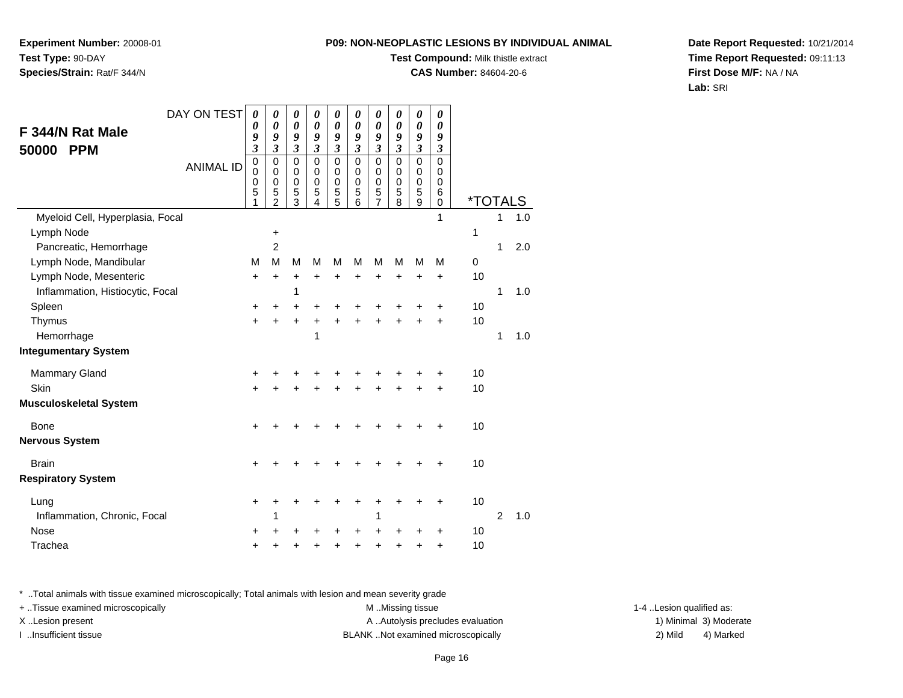**Experiment Number:** 20008-01**Test Type:** 90-DAY**Species/Strain:** Rat/F 344/N

### **Test Compound:** Milk thistle extract

**CAS Number:** 84604-20-6

**Date Report Requested:** 10/21/2014**Time Report Requested:** 09:11:13**First Dose M/F:** NA / NA**Lab:** SRI

| DAY ON TEST                      | 0                                         | 0                                                      | 0                                                              | 0                                                   | 0                                                                | 0                                                 | 0                                                                | 0                                                            | 0                               | 0                                                 |                       |                |     |
|----------------------------------|-------------------------------------------|--------------------------------------------------------|----------------------------------------------------------------|-----------------------------------------------------|------------------------------------------------------------------|---------------------------------------------------|------------------------------------------------------------------|--------------------------------------------------------------|---------------------------------|---------------------------------------------------|-----------------------|----------------|-----|
| F 344/N Rat Male                 | 0<br>9                                    | $\boldsymbol{\theta}$<br>9                             | 0<br>9                                                         | 0<br>9                                              | 0<br>9                                                           | 0<br>9                                            | 0<br>9                                                           | $\boldsymbol{\theta}$<br>9                                   | 0<br>9                          | 0<br>9                                            |                       |                |     |
| 50000<br><b>PPM</b>              | $\overline{\mathbf{3}}$                   | $\overline{\mathbf{3}}$                                | $\overline{\mathbf{3}}$                                        | $\mathfrak{z}$                                      | $\overline{\mathbf{3}}$                                          | $\mathfrak{z}$                                    | $\mathfrak{z}$                                                   | $\mathfrak{z}$                                               | $\overline{\mathbf{3}}$         | $\boldsymbol{\beta}$                              |                       |                |     |
| <b>ANIMAL ID</b>                 | $\mathbf 0$<br>$\mathbf 0$<br>0<br>5<br>1 | $\mathbf 0$<br>$\mathbf 0$<br>0<br>5<br>$\overline{2}$ | $\pmb{0}$<br>$\mathbf 0$<br>$\mathbf 0$<br>5<br>$\overline{3}$ | $\mathbf 0$<br>$\mathbf 0$<br>$\mathbf 0$<br>5<br>4 | $\mathbf 0$<br>$\mathbf 0$<br>$\mathbf 0$<br>5<br>$\overline{5}$ | $\pmb{0}$<br>$\mathbf 0$<br>$\mathbf 0$<br>5<br>6 | $\mathbf 0$<br>$\mathbf 0$<br>$\mathbf 0$<br>5<br>$\overline{7}$ | $\mathbf 0$<br>$\pmb{0}$<br>$\pmb{0}$<br>5<br>$\overline{8}$ | $\mathbf 0$<br>0<br>0<br>5<br>9 | $\mathbf 0$<br>$\mathbf 0$<br>0<br>6<br>$\pmb{0}$ | <i><b>*TOTALS</b></i> |                |     |
| Myeloid Cell, Hyperplasia, Focal |                                           |                                                        |                                                                |                                                     |                                                                  |                                                   |                                                                  |                                                              |                                 | 1                                                 |                       | 1              | 1.0 |
| Lymph Node                       |                                           | $\ddot{}$                                              |                                                                |                                                     |                                                                  |                                                   |                                                                  |                                                              |                                 |                                                   | 1                     |                |     |
| Pancreatic, Hemorrhage           |                                           | $\overline{c}$                                         |                                                                |                                                     |                                                                  |                                                   |                                                                  |                                                              |                                 |                                                   |                       | 1              | 2.0 |
| Lymph Node, Mandibular           | М                                         | M                                                      | M                                                              | M                                                   | M                                                                | M                                                 | M                                                                | M                                                            | M                               | M                                                 | $\mathbf 0$           |                |     |
| Lymph Node, Mesenteric           | $\ddot{}$                                 | $\ddot{}$                                              | $\ddot{}$                                                      | +                                                   | +                                                                | +                                                 | $\ddot{}$                                                        | $\ddot{}$                                                    | $\ddot{}$                       | $\ddot{}$                                         | 10                    |                |     |
| Inflammation, Histiocytic, Focal |                                           |                                                        | 1                                                              |                                                     |                                                                  |                                                   |                                                                  |                                                              |                                 |                                                   |                       | 1              | 1.0 |
| Spleen                           | +                                         | ٠                                                      | +                                                              | +                                                   | +                                                                | +                                                 | +                                                                | +                                                            | +                               | +                                                 | 10                    |                |     |
| Thymus                           | $\ddot{}$                                 | +                                                      | $\ddot{}$                                                      | +                                                   | ÷                                                                | $\ddot{}$                                         | $\ddot{}$                                                        | $\ddot{}$                                                    |                                 | $\ddot{}$                                         | 10                    |                |     |
| Hemorrhage                       |                                           |                                                        |                                                                | 1                                                   |                                                                  |                                                   |                                                                  |                                                              |                                 |                                                   |                       | 1              | 1.0 |
| <b>Integumentary System</b>      |                                           |                                                        |                                                                |                                                     |                                                                  |                                                   |                                                                  |                                                              |                                 |                                                   |                       |                |     |
| <b>Mammary Gland</b>             | +                                         |                                                        |                                                                |                                                     |                                                                  |                                                   |                                                                  |                                                              |                                 | +                                                 | 10                    |                |     |
| Skin                             |                                           |                                                        |                                                                |                                                     |                                                                  | +                                                 | +                                                                | +                                                            | +                               | $\ddot{}$                                         | 10                    |                |     |
| <b>Musculoskeletal System</b>    |                                           |                                                        |                                                                |                                                     |                                                                  |                                                   |                                                                  |                                                              |                                 |                                                   |                       |                |     |
| <b>Bone</b>                      | ٠                                         |                                                        |                                                                |                                                     |                                                                  |                                                   |                                                                  |                                                              |                                 | +                                                 | 10                    |                |     |
| <b>Nervous System</b>            |                                           |                                                        |                                                                |                                                     |                                                                  |                                                   |                                                                  |                                                              |                                 |                                                   |                       |                |     |
| <b>Brain</b>                     | $\ddot{}$                                 |                                                        |                                                                |                                                     |                                                                  |                                                   |                                                                  |                                                              |                                 | +                                                 | 10                    |                |     |
| <b>Respiratory System</b>        |                                           |                                                        |                                                                |                                                     |                                                                  |                                                   |                                                                  |                                                              |                                 |                                                   |                       |                |     |
| Lung                             | +                                         |                                                        |                                                                |                                                     |                                                                  |                                                   |                                                                  |                                                              |                                 | +                                                 | 10                    |                |     |
| Inflammation, Chronic, Focal     |                                           | 1                                                      |                                                                |                                                     |                                                                  |                                                   | 1                                                                |                                                              |                                 |                                                   |                       | $\overline{2}$ | 1.0 |
| <b>Nose</b>                      | +                                         |                                                        |                                                                |                                                     |                                                                  | +                                                 |                                                                  |                                                              |                                 | +                                                 | 10                    |                |     |
| Trachea                          | +                                         |                                                        |                                                                |                                                     | +                                                                | +                                                 | +                                                                | +                                                            |                                 | +                                                 | 10                    |                |     |

\* ..Total animals with tissue examined microscopically; Total animals with lesion and mean severity grade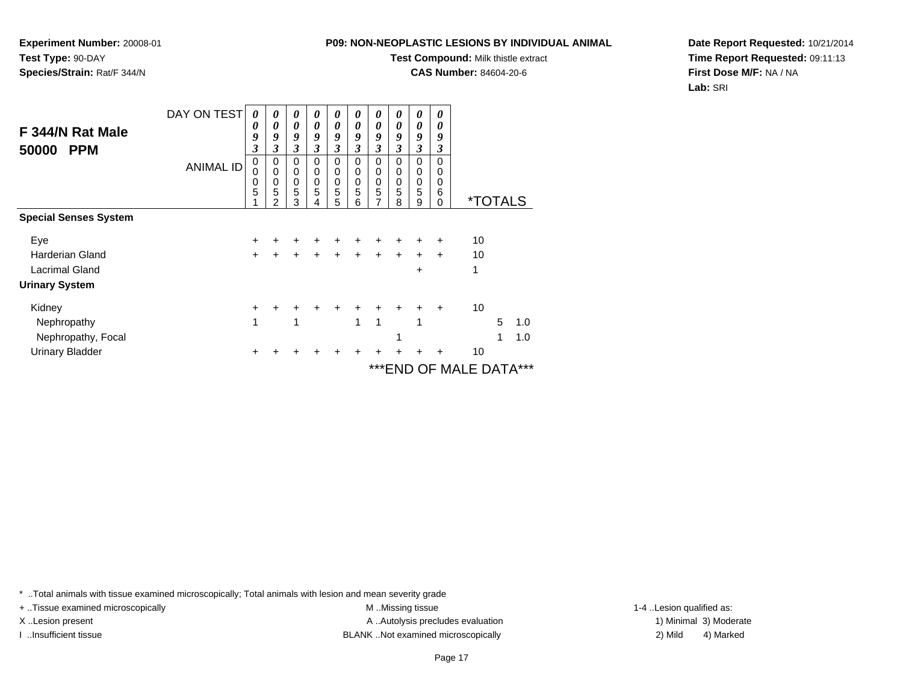**Test Compound:** Milk thistle extract

**CAS Number:** 84604-20-6

**Date Report Requested:** 10/21/2014**Time Report Requested:** 09:11:13**First Dose M/F:** NA / NA**Lab:** SRI

|                              | DAY ON TEST      | $\boldsymbol{\theta}$      | 0                     | 0                     | 0                     | 0                     | 0                                   | 0                             | 0                                   | 0                     | 0                            |                       |   |     |
|------------------------------|------------------|----------------------------|-----------------------|-----------------------|-----------------------|-----------------------|-------------------------------------|-------------------------------|-------------------------------------|-----------------------|------------------------------|-----------------------|---|-----|
| F 344/N Rat Male             |                  | $\boldsymbol{\theta}$<br>9 | 0<br>9                | 0<br>9                | 0<br>9                | 0<br>9                | 0<br>9                              | 0<br>9                        | $\boldsymbol{\theta}$<br>9          | 0<br>9                | 0<br>9                       |                       |   |     |
| 50000<br><b>PPM</b>          |                  | 3                          | 3                     | 3                     | 3                     | 3                     | 3                                   | 3                             | 3                                   | 3                     | 3                            |                       |   |     |
|                              | <b>ANIMAL ID</b> | 0<br>0<br>0<br>5           | 0<br>0<br>0<br>5<br>2 | 0<br>0<br>0<br>5<br>3 | 0<br>0<br>0<br>5<br>4 | 0<br>0<br>0<br>5<br>5 | $\Omega$<br>0<br>$\Omega$<br>5<br>6 | 0<br>0<br>$\pmb{0}$<br>5<br>7 | $\Omega$<br>$\Omega$<br>0<br>5<br>8 | 0<br>0<br>0<br>5<br>9 | 0<br>0<br>0<br>6<br>$\Omega$ | <i><b>*TOTALS</b></i> |   |     |
| <b>Special Senses System</b> |                  |                            |                       |                       |                       |                       |                                     |                               |                                     |                       |                              |                       |   |     |
| Eye                          |                  | +                          |                       |                       |                       |                       |                                     |                               |                                     |                       |                              | 10                    |   |     |
| <b>Harderian Gland</b>       |                  | $\ddot{}$                  |                       |                       |                       |                       |                                     |                               |                                     | $\div$                | $\ddot{}$                    | 10                    |   |     |
| <b>Lacrimal Gland</b>        |                  |                            |                       |                       |                       |                       |                                     |                               |                                     | ÷                     |                              | 1                     |   |     |
| <b>Urinary System</b>        |                  |                            |                       |                       |                       |                       |                                     |                               |                                     |                       |                              |                       |   |     |
| Kidney                       |                  | ٠                          |                       |                       |                       |                       |                                     |                               |                                     |                       |                              | 10                    |   |     |
| Nephropathy                  |                  | 1                          |                       | 1                     |                       |                       | 1                                   | 1                             |                                     | 1                     |                              |                       | 5 | 1.0 |
| Nephropathy, Focal           |                  |                            |                       |                       |                       |                       |                                     |                               | 1                                   |                       |                              |                       | 1 | 1.0 |
| <b>Urinary Bladder</b>       |                  |                            |                       |                       |                       |                       |                                     |                               |                                     |                       |                              | 10                    |   |     |
|                              |                  |                            |                       |                       |                       |                       |                                     |                               |                                     |                       |                              | ***END OF MALE DATA   |   | *** |

\* ..Total animals with tissue examined microscopically; Total animals with lesion and mean severity grade

**Experiment Number:** 20008-01

**Species/Strain:** Rat/F 344/N

**Test Type:** 90-DAY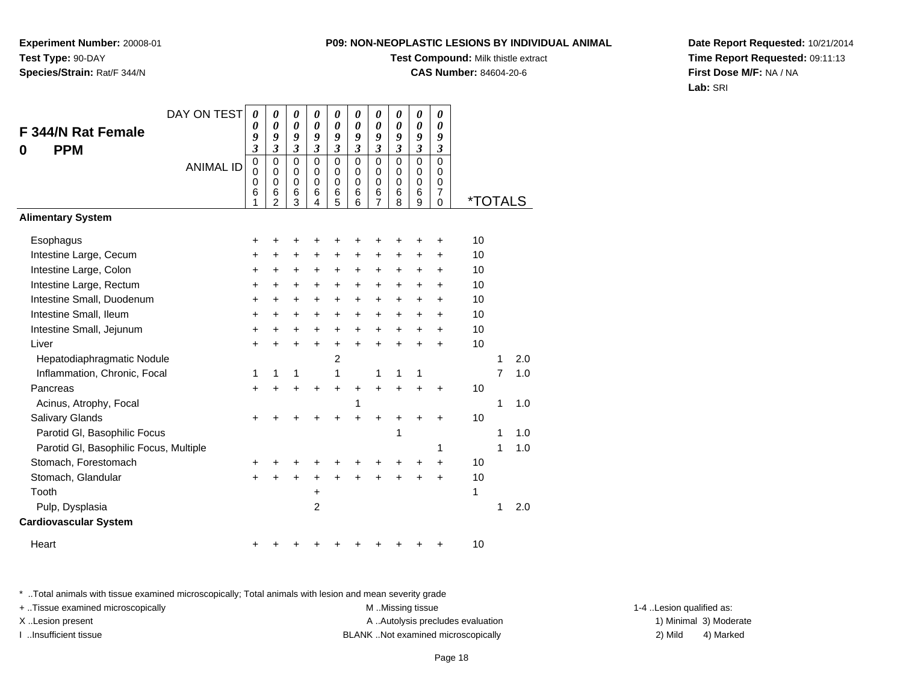**Experiment Number:** 20008-01**Test Type:** 90-DAY**Species/Strain:** Rat/F 344/N

# **Test Compound:** Milk thistle extract

**CAS Number:** 84604-20-6

**Date Report Requested:** 10/21/2014**Time Report Requested:** 09:11:13**First Dose M/F:** NA / NA**Lab:** SRI

| DAY ON TEST                            | 0                                         | 0                                                      | 0                                         | 0                               | 0                                                       | 0                                                   | 0                                                                    | 0                                                   | 0                                         | 0                                                   |                       |   |     |
|----------------------------------------|-------------------------------------------|--------------------------------------------------------|-------------------------------------------|---------------------------------|---------------------------------------------------------|-----------------------------------------------------|----------------------------------------------------------------------|-----------------------------------------------------|-------------------------------------------|-----------------------------------------------------|-----------------------|---|-----|
| F 344/N Rat Female                     | 0<br>9                                    | 0<br>9                                                 | 0<br>9                                    | 0<br>9                          | $\boldsymbol{\theta}$<br>9                              | $\boldsymbol{\theta}$<br>9                          | 0<br>9                                                               | $\boldsymbol{\theta}$<br>9                          | 0<br>9                                    | 0<br>9                                              |                       |   |     |
| <b>PPM</b><br>0                        | $\mathfrak{z}$                            | $\overline{\mathbf{3}}$                                | $\overline{\mathbf{3}}$                   | $\overline{\mathbf{3}}$         | $\boldsymbol{\mathfrak{z}}$                             | $\mathfrak{z}$                                      | $\mathfrak{z}$                                                       | $\mathfrak{z}$                                      | $\mathfrak{z}$                            | $\boldsymbol{\beta}$                                |                       |   |     |
| <b>ANIMAL ID</b>                       | $\mathbf 0$<br>$\mathbf 0$<br>0<br>6<br>1 | $\mathbf 0$<br>$\mathbf 0$<br>0<br>6<br>$\overline{2}$ | $\mathbf 0$<br>$\mathbf 0$<br>0<br>6<br>3 | 0<br>0<br>$\mathbf 0$<br>6<br>4 | $\mathbf 0$<br>$\mathbf 0$<br>$\mathbf 0$<br>$\,6$<br>5 | $\mathbf 0$<br>$\mathbf 0$<br>$\mathbf 0$<br>6<br>6 | $\mathbf 0$<br>$\mathbf 0$<br>$\mathbf 0$<br>$\,6$<br>$\overline{7}$ | $\mathbf 0$<br>$\mathbf 0$<br>$\mathbf 0$<br>6<br>8 | $\mathbf 0$<br>0<br>$\mathbf 0$<br>6<br>9 | $\mathbf 0$<br>0<br>$\mathbf 0$<br>7<br>$\mathbf 0$ | <i><b>*TOTALS</b></i> |   |     |
| <b>Alimentary System</b>               |                                           |                                                        |                                           |                                 |                                                         |                                                     |                                                                      |                                                     |                                           |                                                     |                       |   |     |
| Esophagus                              | $\ddot{}$                                 | +                                                      | +                                         | +                               | +                                                       |                                                     | ٠                                                                    | ٠                                                   | +                                         | +                                                   | 10                    |   |     |
| Intestine Large, Cecum                 | +                                         | +                                                      | $\ddot{}$                                 | $\ddot{}$                       | $\ddot{}$                                               | $\ddot{}$                                           | $\ddot{}$                                                            | $\ddot{}$                                           | $\ddot{}$                                 | +                                                   | 10                    |   |     |
| Intestine Large, Colon                 | $\ddot{}$                                 | $\ddot{}$                                              | +                                         | +                               | +                                                       | $\ddot{}$                                           | $\ddot{}$                                                            | +                                                   | +                                         | +                                                   | 10                    |   |     |
| Intestine Large, Rectum                | $\ddot{}$                                 | $\ddot{}$                                              | $\ddot{}$                                 | $\ddot{}$                       | $\ddot{}$                                               | $\ddot{}$                                           | $\ddot{}$                                                            | $\ddot{}$                                           | +                                         | $\ddot{}$                                           | 10                    |   |     |
| Intestine Small, Duodenum              | +                                         | +                                                      | +                                         | $\ddot{}$                       | +                                                       | $\ddot{}$                                           | $\ddot{}$                                                            | $\ddot{}$                                           | +                                         | +                                                   | 10                    |   |     |
| Intestine Small, Ileum                 | +                                         | +                                                      | +                                         | +                               | +                                                       | $\ddot{}$                                           | $\ddot{}$                                                            | $\ddot{}$                                           | +                                         | +                                                   | 10                    |   |     |
| Intestine Small, Jejunum               | $\ddot{}$                                 | +                                                      | +                                         | +                               | +                                                       | +                                                   | +                                                                    | +                                                   | +                                         | +                                                   | 10                    |   |     |
| Liver                                  | $\ddot{}$                                 | $\ddot{}$                                              | $\ddot{}$                                 | $\ddot{}$                       | $\ddot{}$                                               | $\ddot{}$                                           | $\ddot{}$                                                            | $\ddot{}$                                           | $\ddot{}$                                 | $\ddot{}$                                           | 10                    |   |     |
| Hepatodiaphragmatic Nodule             |                                           |                                                        |                                           |                                 | 2                                                       |                                                     |                                                                      |                                                     |                                           |                                                     |                       | 1 | 2.0 |
| Inflammation, Chronic, Focal           | 1                                         | 1                                                      | 1                                         |                                 | 1                                                       |                                                     | 1                                                                    | 1                                                   | 1                                         |                                                     |                       | 7 | 1.0 |
| Pancreas                               | $\ddot{}$                                 |                                                        | +                                         | +                               | +                                                       | +                                                   | $\ddot{}$                                                            | $\ddot{}$                                           | $\ddot{}$                                 | $\ddot{}$                                           | 10                    |   |     |
| Acinus, Atrophy, Focal                 |                                           |                                                        |                                           |                                 |                                                         | 1                                                   |                                                                      |                                                     |                                           |                                                     |                       | 1 | 1.0 |
| Salivary Glands                        | +                                         |                                                        |                                           |                                 |                                                         |                                                     |                                                                      |                                                     |                                           | +                                                   | 10                    |   |     |
| Parotid GI, Basophilic Focus           |                                           |                                                        |                                           |                                 |                                                         |                                                     |                                                                      | 1                                                   |                                           |                                                     |                       | 1 | 1.0 |
| Parotid GI, Basophilic Focus, Multiple |                                           |                                                        |                                           |                                 |                                                         |                                                     |                                                                      |                                                     |                                           | 1                                                   |                       | 1 | 1.0 |
| Stomach, Forestomach                   | +                                         |                                                        |                                           |                                 |                                                         |                                                     |                                                                      |                                                     | +                                         | +                                                   | 10                    |   |     |
| Stomach, Glandular                     | $\ddot{}$                                 |                                                        |                                           | +                               |                                                         |                                                     |                                                                      |                                                     | ÷                                         | $\ddot{}$                                           | 10                    |   |     |
| Tooth                                  |                                           |                                                        |                                           | $\pmb{+}$                       |                                                         |                                                     |                                                                      |                                                     |                                           |                                                     | 1                     |   |     |
| Pulp, Dysplasia                        |                                           |                                                        |                                           | 2                               |                                                         |                                                     |                                                                      |                                                     |                                           |                                                     |                       | 1 | 2.0 |
| <b>Cardiovascular System</b>           |                                           |                                                        |                                           |                                 |                                                         |                                                     |                                                                      |                                                     |                                           |                                                     |                       |   |     |
| Heart                                  | +                                         |                                                        |                                           |                                 |                                                         |                                                     |                                                                      |                                                     |                                           | +                                                   | 10                    |   |     |

\* ..Total animals with tissue examined microscopically; Total animals with lesion and mean severity grade

+ ..Tissue examined microscopically examined microscopically examined as:  $M$  ..Missing tissue 1-4 ..Lesion qualified as: X..Lesion present **A ..Autolysis precludes evaluation** A ..Autolysis precludes evaluation 1) Minimal 3) Moderate

I ..Insufficient tissue BLANK ..Not examined microscopically 2) Mild 4) Marked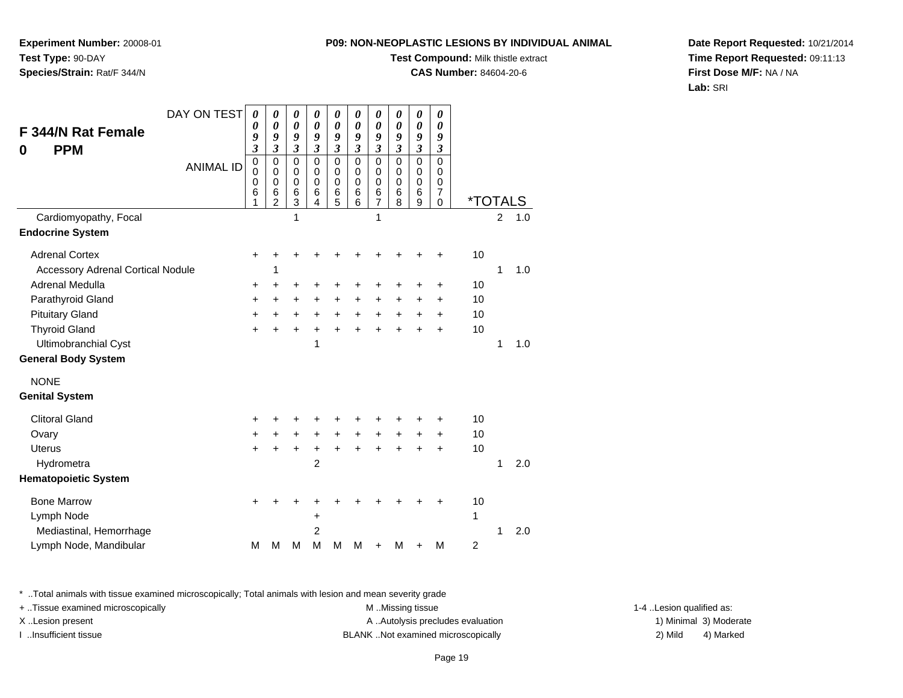**Experiment Number:** 20008-01**Test Type:** 90-DAY**Species/Strain:** Rat/F 344/N

### **Test Compound:** Milk thistle extract

**CAS Number:** 84604-20-6

**Date Report Requested:** 10/21/2014**Time Report Requested:** 09:11:13**First Dose M/F:** NA / NA**Lab:** SRI

| DAY ON TEST<br><b>F 344/N Rat Female</b><br><b>PPM</b><br>0<br><b>ANIMAL ID</b>                                                                                                                                                                           | 0<br>0<br>9<br>$\mathfrak{z}$<br>$\mathbf 0$<br>$\mathbf 0$<br>0<br>6 | 0<br>0<br>9<br>$\overline{\mathbf{3}}$<br>0<br>0<br>$\mathbf 0$<br>6 | 0<br>0<br>9<br>$\overline{\mathbf{3}}$<br>0<br>$\mathbf 0$<br>0<br>6 | 0<br>0<br>9<br>$\mathfrak{z}$<br>$\mathbf 0$<br>$\mathbf 0$<br>$\Omega$<br>6 | 0<br>$\boldsymbol{\theta}$<br>9<br>$\overline{\mathbf{3}}$<br>$\mathbf 0$<br>$\mathbf 0$<br>$\mathbf 0$<br>$6\phantom{1}6$ | 0<br>$\boldsymbol{\theta}$<br>9<br>$\mathfrak{z}$<br>$\mathbf 0$<br>$\mathbf 0$<br>$\Omega$<br>6 | 0<br>0<br>9<br>$\mathfrak{z}$<br>$\mathbf 0$<br>0<br>$\mathbf 0$<br>6 | 0<br>$\boldsymbol{\theta}$<br>9<br>$\mathfrak{Z}$<br>$\mathbf 0$<br>$\mathbf 0$<br>$\mathbf 0$<br>6 | 0<br>$\boldsymbol{\theta}$<br>9<br>$\mathfrak{z}$<br>$\mathbf 0$<br>0<br>$\mathbf 0$<br>6 | 0<br>0<br>9<br>$\boldsymbol{\beta}$<br>$\mathbf 0$<br>0<br>$\mathbf 0$<br>$\overline{7}$ |                            |                |            |
|-----------------------------------------------------------------------------------------------------------------------------------------------------------------------------------------------------------------------------------------------------------|-----------------------------------------------------------------------|----------------------------------------------------------------------|----------------------------------------------------------------------|------------------------------------------------------------------------------|----------------------------------------------------------------------------------------------------------------------------|--------------------------------------------------------------------------------------------------|-----------------------------------------------------------------------|-----------------------------------------------------------------------------------------------------|-------------------------------------------------------------------------------------------|------------------------------------------------------------------------------------------|----------------------------|----------------|------------|
|                                                                                                                                                                                                                                                           | 1                                                                     | $\overline{2}$                                                       | 3                                                                    | 4                                                                            | 5                                                                                                                          | 6                                                                                                | 7                                                                     | 8                                                                                                   | 9                                                                                         | 0                                                                                        | <i><b>*TOTALS</b></i>      |                |            |
| Cardiomyopathy, Focal<br><b>Endocrine System</b>                                                                                                                                                                                                          |                                                                       |                                                                      | 1                                                                    |                                                                              |                                                                                                                            |                                                                                                  | 1                                                                     |                                                                                                     |                                                                                           |                                                                                          |                            | $\overline{2}$ | 1.0        |
| <b>Adrenal Cortex</b><br><b>Accessory Adrenal Cortical Nodule</b><br>Adrenal Medulla<br>Parathyroid Gland<br><b>Pituitary Gland</b><br><b>Thyroid Gland</b><br>Ultimobranchial Cyst<br><b>General Body System</b><br><b>NONE</b><br><b>Genital System</b> | +<br>+<br>$\ddot{}$<br>$\ddot{}$<br>$\ddot{}$                         | +<br>1<br>٠<br>$\ddot{}$<br>$\ddot{}$<br>÷                           | +<br>$\ddot{}$<br>$+$<br>$\ddot{}$                                   | +<br>$\ddot{}$<br>$\ddot{}$<br>$\ddot{}$<br>1                                | +<br>$\ddot{}$<br>$\ddot{}$                                                                                                | ٠<br>$\ddot{}$<br>$\ddot{}$                                                                      | ٠<br>$\ddot{}$<br>$\ddot{}$<br>$\ddot{}$                              | +<br>+<br>$\ddot{}$<br>$\ddot{}$<br>$\ddot{}$                                                       | +<br>+<br>$\ddot{}$<br>$\ddot{}$<br>$\ddot{}$                                             | ٠<br>+<br>$\ddot{}$<br>+<br>$\ddot{}$                                                    | 10<br>10<br>10<br>10<br>10 | 1<br>1         | 1.0<br>1.0 |
| <b>Clitoral Gland</b><br>Ovary<br>Uterus<br>Hydrometra<br><b>Hematopoietic System</b>                                                                                                                                                                     | $\ddot{}$<br>$\ddot{}$<br>$\ddot{}$                                   | $\ddot{}$<br>$\ddot{}$                                               | $\ddot{}$<br>$\ddot{}$                                               | $\ddot{}$<br>$\ddot{}$<br>$\overline{2}$                                     | $+$<br>$\ddot{}$                                                                                                           | $+$<br>$\ddot{}$                                                                                 | $\ddot{}$<br>$\ddot{}$                                                | $\ddot{}$<br>$\ddot{}$                                                                              | $\ddot{}$<br>$\ddot{}$                                                                    | +<br>$\ddot{}$<br>$\ddot{}$                                                              | 10<br>10<br>10             | 1              | 2.0        |
| <b>Bone Marrow</b><br>Lymph Node<br>Mediastinal, Hemorrhage<br>Lymph Node, Mandibular                                                                                                                                                                     | $\ddot{}$<br>м                                                        | м                                                                    | М                                                                    | $\ddot{}$<br>2<br>M                                                          | M                                                                                                                          | M                                                                                                | ٠                                                                     | М                                                                                                   | +                                                                                         | +<br>M                                                                                   | 10<br>1<br>$\overline{2}$  | 1              | 2.0        |

\* ..Total animals with tissue examined microscopically; Total animals with lesion and mean severity grade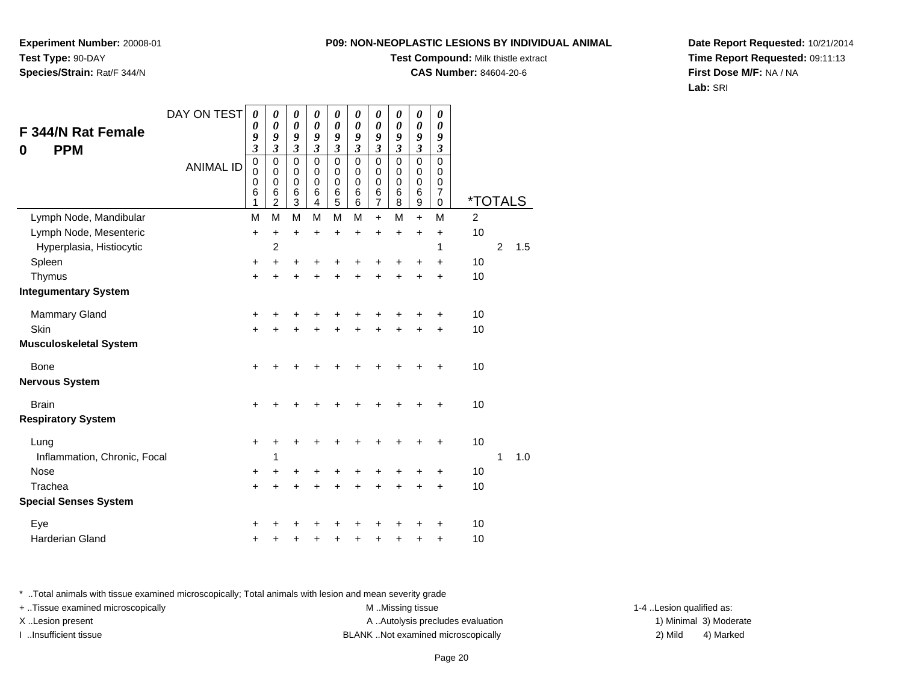**Experiment Number:** 20008-01**Test Type:** 90-DAY**Species/Strain:** Rat/F 344/N

## **Test Compound:** Milk thistle extract

**CAS Number:** 84604-20-6

**Date Report Requested:** 10/21/2014**Time Report Requested:** 09:11:13**First Dose M/F:** NA / NA**Lab:** SRI

|                               | DAY ON TEST      | 0                        | 0<br>$\pmb{\theta}$ | 0<br>$\boldsymbol{\theta}$ | 0<br>$\pmb{\theta}$ | 0<br>$\pmb{\theta}$ | $\boldsymbol{\theta}$<br>$\boldsymbol{\theta}$ | 0<br>$\boldsymbol{\theta}$            | 0<br>$\boldsymbol{\theta}$ | 0<br>$\boldsymbol{\theta}$ | 0<br>$\boldsymbol{\theta}$ |                       |                |     |
|-------------------------------|------------------|--------------------------|---------------------|----------------------------|---------------------|---------------------|------------------------------------------------|---------------------------------------|----------------------------|----------------------------|----------------------------|-----------------------|----------------|-----|
| F 344/N Rat Female            |                  | 0<br>9                   | 9                   | 9                          | 9                   | 9                   | 9                                              | 9                                     | 9                          | 9                          | 9                          |                       |                |     |
| <b>PPM</b><br>0               |                  | $\mathfrak{z}$           | $\mathfrak{z}$      | $\overline{\mathbf{3}}$    | $\overline{3}$      | $\mathfrak{z}$      | $\mathfrak{z}$                                 | $\mathfrak{z}$                        | $\mathfrak{z}$             | $\mathfrak{z}$             | $\mathfrak{z}$             |                       |                |     |
|                               | <b>ANIMAL ID</b> | $\pmb{0}$<br>$\mathbf 0$ | 0<br>$\mathbf 0$    | 0<br>0                     | 0<br>$\mathbf 0$    | 0<br>$\mathbf 0$    | $\mathbf 0$<br>$\mathbf 0$                     | $\mathbf 0$<br>0                      | $\mathbf 0$<br>$\mathbf 0$ | $\mathbf 0$<br>$\mathbf 0$ | $\Omega$<br>$\mathbf 0$    |                       |                |     |
|                               |                  | 0<br>6                   | 0<br>6              | 0<br>6                     | $\mathbf 0$<br>6    | $\mathbf 0$<br>6    | $\mathbf 0$<br>6                               | $\mathbf 0$                           | $\mathbf 0$<br>6           | $\mathbf 0$<br>$\,6$       | $\mathbf 0$<br>7           |                       |                |     |
|                               |                  | 1                        | $\overline{2}$      | $\overline{3}$             | 4                   | 5                   | 6                                              | $\begin{array}{c} 6 \\ 7 \end{array}$ | 8                          | $\boldsymbol{9}$           | 0                          | <i><b>*TOTALS</b></i> |                |     |
| Lymph Node, Mandibular        |                  | M                        | M                   | M                          | M                   | M                   | M                                              | $\ddot{}$                             | M                          | $\ddot{}$                  | M                          | $\overline{2}$        |                |     |
| Lymph Node, Mesenteric        |                  | +                        | +                   | +                          | +                   | +                   | +                                              | +                                     | +                          | +                          | +                          | 10                    |                |     |
| Hyperplasia, Histiocytic      |                  |                          | 2                   |                            |                     |                     |                                                |                                       |                            |                            | 1                          |                       | $\overline{2}$ | 1.5 |
| Spleen                        |                  | +                        | +                   | +                          | +                   |                     |                                                |                                       | ٠                          | +                          | +                          | 10                    |                |     |
| Thymus                        |                  | +                        | +                   | +                          | +                   | +                   |                                                | +                                     | +                          | +                          | $\ddot{}$                  | 10                    |                |     |
| <b>Integumentary System</b>   |                  |                          |                     |                            |                     |                     |                                                |                                       |                            |                            |                            |                       |                |     |
| <b>Mammary Gland</b>          |                  | +                        |                     |                            |                     |                     |                                                |                                       |                            |                            | +                          | 10                    |                |     |
| Skin                          |                  | $\ddot{}$                | +                   | +                          |                     |                     |                                                |                                       | +                          | +                          | $\ddot{}$                  | 10                    |                |     |
| <b>Musculoskeletal System</b> |                  |                          |                     |                            |                     |                     |                                                |                                       |                            |                            |                            |                       |                |     |
| <b>Bone</b>                   |                  | $\ddot{}$                |                     |                            |                     |                     |                                                |                                       |                            |                            | +                          | 10                    |                |     |
| <b>Nervous System</b>         |                  |                          |                     |                            |                     |                     |                                                |                                       |                            |                            |                            |                       |                |     |
| <b>Brain</b>                  |                  | $\ddot{}$                | +                   | +                          |                     |                     |                                                |                                       | +                          | +                          | +                          | 10                    |                |     |
| <b>Respiratory System</b>     |                  |                          |                     |                            |                     |                     |                                                |                                       |                            |                            |                            |                       |                |     |
| Lung                          |                  | $\ddot{}$                |                     |                            |                     |                     |                                                |                                       |                            | +                          | +                          | 10                    |                |     |
| Inflammation, Chronic, Focal  |                  |                          | 1                   |                            |                     |                     |                                                |                                       |                            |                            |                            |                       | 1              | 1.0 |
| <b>Nose</b>                   |                  | +                        |                     | +                          |                     |                     |                                                |                                       |                            |                            | +                          | 10                    |                |     |
| Trachea                       |                  | $\ddot{}$                | +                   | +                          | +                   | +                   |                                                | ÷                                     | +                          | +                          | +                          | 10                    |                |     |
| <b>Special Senses System</b>  |                  |                          |                     |                            |                     |                     |                                                |                                       |                            |                            |                            |                       |                |     |
| Eye                           |                  | +                        |                     |                            |                     |                     |                                                |                                       |                            |                            | +                          | 10                    |                |     |
| Harderian Gland               |                  | +                        |                     |                            |                     | +                   |                                                |                                       | +                          | +                          | +                          | 10                    |                |     |

\* ..Total animals with tissue examined microscopically; Total animals with lesion and mean severity grade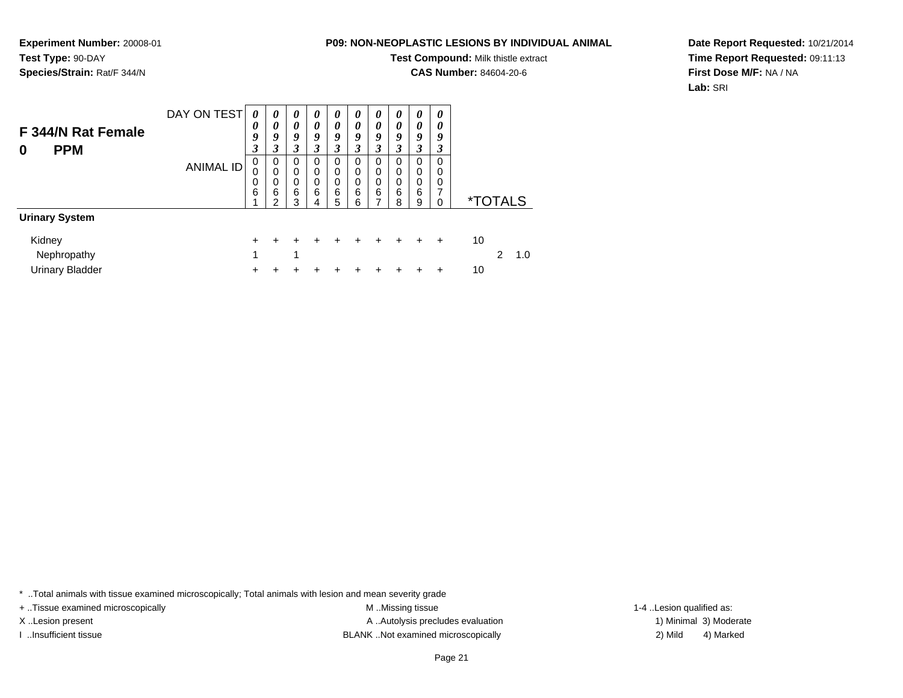**Test Compound:** Milk thistle extract

**CAS Number:** 84604-20-6

**Date Report Requested:** 10/21/2014**Time Report Requested:** 09:11:13**First Dose M/F:** NA / NA**Lab:** SRI

| F 344/N Rat Female<br><b>PPM</b><br>0 | DAY ON TEST      | 0<br>0<br>9<br>3 | 0<br>0<br>9<br>3      | $\theta$<br>0<br>9<br>3      | 0<br>0<br>9<br>3      | 0<br>0<br>9<br>3      | 0<br>0<br>9<br>3                | 0<br>0<br>9<br>3      | $\boldsymbol{\theta}$<br>0<br>9<br>3 | 0<br>0<br>9<br>3      | 0<br>0<br>9<br>3                |                       |
|---------------------------------------|------------------|------------------|-----------------------|------------------------------|-----------------------|-----------------------|---------------------------------|-----------------------|--------------------------------------|-----------------------|---------------------------------|-----------------------|
|                                       | <b>ANIMAL ID</b> | 0<br>0<br>0<br>6 | 0<br>0<br>0<br>6<br>ົ | 0<br>$\Omega$<br>0<br>6<br>3 | 0<br>0<br>0<br>6<br>4 | 0<br>0<br>0<br>6<br>5 | 0<br>$\mathbf 0$<br>0<br>6<br>6 | 0<br>0<br>0<br>6<br>⇁ | 0<br>0<br>0<br>6<br>8                | 0<br>0<br>0<br>6<br>9 | 0<br>0<br>0<br>7<br>$\mathbf 0$ | <i><b>*TOTALS</b></i> |
| <b>Urinary System</b>                 |                  |                  |                       |                              |                       |                       |                                 |                       |                                      |                       |                                 |                       |
| Kidney                                |                  | ÷                |                       |                              |                       | +                     |                                 |                       | +                                    | +                     | ÷                               | 10                    |
| Nephropathy                           |                  | 1                |                       | 4                            |                       |                       |                                 |                       |                                      |                       |                                 | 2<br>1.0              |
| <b>Urinary Bladder</b>                |                  |                  |                       |                              |                       |                       |                                 |                       |                                      |                       | +                               | 10                    |

\* ..Total animals with tissue examined microscopically; Total animals with lesion and mean severity grade

+ ..Tissue examined microscopically M ...Missing tissue 1-4 ... M ...Missing tissue

**Experiment Number:** 20008-01

**Species/Strain:** Rat/F 344/N

**Test Type:** 90-DAY

X..Lesion present **A ..Autolysis precludes evaluation** A ..Autolysis precludes evaluation 1) Minimal 3) Moderate I ..Insufficient tissue BLANK ..Not examined microscopically 2) Mild 4) Marked

1-4 ..Lesion qualified as: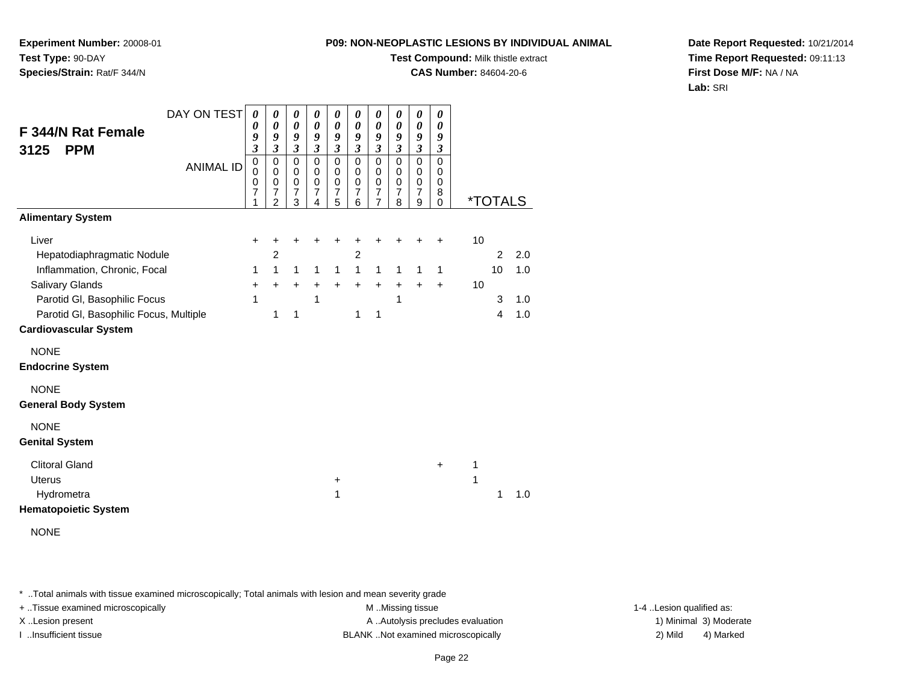**Experiment Number:** 20008-01**Test Type:** 90-DAY**Species/Strain:** Rat/F 344/N

# **Test Compound:** Milk thistle extract

**CAS Number:** 84604-20-6

**Date Report Requested:** 10/21/2014**Time Report Requested:** 09:11:13**First Dose M/F:** NA / NA**Lab:** SRI

| DAY ON TEST                            | $\boldsymbol{\theta}$    | $\pmb{\theta}$                   | $\pmb{\theta}$             | $\boldsymbol{\theta}$           | $\boldsymbol{\theta}$                              | 0                             | $\boldsymbol{\theta}$         | $\boldsymbol{\theta}$       | $\boldsymbol{\theta}$        | 0                    |    |                       |     |
|----------------------------------------|--------------------------|----------------------------------|----------------------------|---------------------------------|----------------------------------------------------|-------------------------------|-------------------------------|-----------------------------|------------------------------|----------------------|----|-----------------------|-----|
| F 344/N Rat Female                     | 0<br>9                   | 0<br>9                           | $\boldsymbol{\theta}$<br>9 | 0<br>9                          | 0<br>9                                             | $\boldsymbol{\theta}$<br>9    | 0<br>9                        | $\boldsymbol{\theta}$<br>9  | $\boldsymbol{\theta}$<br>9   | 0<br>9               |    |                       |     |
| <b>PPM</b><br>3125                     | $\boldsymbol{\beta}$     | $\boldsymbol{\mathfrak{z}}$      | $\overline{\mathbf{3}}$    | $\mathfrak{z}$                  | $\boldsymbol{\beta}$                               | $\mathfrak{z}$                | $\boldsymbol{\beta}$          | $\mathfrak{z}$              | $\mathfrak{z}$               | $\boldsymbol{\beta}$ |    |                       |     |
| <b>ANIMAL ID</b>                       | $\overline{0}$<br>0<br>0 | $\mathbf 0$<br>0<br>0            | $\mathbf 0$<br>0<br>0      | $\mathbf 0$<br>0<br>$\mathbf 0$ | $\overline{0}$<br>0<br>$\pmb{0}$<br>$\overline{7}$ | $\mathsf 0$<br>0<br>$\pmb{0}$ | $\mathbf 0$<br>0<br>$\pmb{0}$ | $\pmb{0}$<br>0<br>$\pmb{0}$ | $\Omega$<br>0<br>$\mathbf 0$ | $\Omega$<br>0<br>0   |    |                       |     |
|                                        | $\overline{7}$<br>1      | $\overline{7}$<br>$\overline{2}$ | $\overline{7}$<br>3        | $\overline{7}$<br>4             | 5                                                  | $\overline{7}$<br>6           | $\overline{7}$<br>7           | $\overline{7}$<br>8         | $\overline{7}$<br>9          | 8<br>$\mathbf 0$     |    | <i><b>*TOTALS</b></i> |     |
| <b>Alimentary System</b>               |                          |                                  |                            |                                 |                                                    |                               |                               |                             |                              |                      |    |                       |     |
| Liver                                  | +                        | +                                | +                          | +                               | +                                                  | +                             | +                             | +                           | +                            | +                    | 10 |                       |     |
| Hepatodiaphragmatic Nodule             |                          | $\overline{c}$                   |                            |                                 |                                                    | $\overline{c}$                |                               |                             |                              |                      |    | $\overline{2}$        | 2.0 |
| Inflammation, Chronic, Focal           | 1                        | 1                                | $\mathbf{1}$               | $\mathbf{1}$                    | $\mathbf{1}$                                       | $\mathbf{1}$                  | $\mathbf{1}$                  | 1                           | 1                            | $\mathbf{1}$         |    | 10                    | 1.0 |
| <b>Salivary Glands</b>                 | $\ddot{}$                | $+$                              | $+$                        | $\ddot{}$                       | $+$                                                | $+$                           | $+$                           | $\ddot{}$                   | $\ddot{}$                    | $\ddot{}$            | 10 |                       |     |
| Parotid GI, Basophilic Focus           | 1                        |                                  |                            | 1                               |                                                    |                               |                               | 1                           |                              |                      |    | 3                     | 1.0 |
| Parotid GI, Basophilic Focus, Multiple |                          | 1                                | 1                          |                                 |                                                    | 1                             | 1                             |                             |                              |                      |    | $\overline{4}$        | 1.0 |
| <b>Cardiovascular System</b>           |                          |                                  |                            |                                 |                                                    |                               |                               |                             |                              |                      |    |                       |     |
| <b>NONE</b>                            |                          |                                  |                            |                                 |                                                    |                               |                               |                             |                              |                      |    |                       |     |
| <b>Endocrine System</b>                |                          |                                  |                            |                                 |                                                    |                               |                               |                             |                              |                      |    |                       |     |
| <b>NONE</b>                            |                          |                                  |                            |                                 |                                                    |                               |                               |                             |                              |                      |    |                       |     |
| <b>General Body System</b>             |                          |                                  |                            |                                 |                                                    |                               |                               |                             |                              |                      |    |                       |     |
| <b>NONE</b>                            |                          |                                  |                            |                                 |                                                    |                               |                               |                             |                              |                      |    |                       |     |
| <b>Genital System</b>                  |                          |                                  |                            |                                 |                                                    |                               |                               |                             |                              |                      |    |                       |     |
| <b>Clitoral Gland</b>                  |                          |                                  |                            |                                 |                                                    |                               |                               |                             |                              | $\ddot{}$            | 1  |                       |     |
| <b>Uterus</b>                          |                          |                                  |                            |                                 | +                                                  |                               |                               |                             |                              |                      | 1  |                       |     |
| Hydrometra                             |                          |                                  |                            |                                 | 1                                                  |                               |                               |                             |                              |                      |    | 1                     | 1.0 |
| <b>Hematopoietic System</b>            |                          |                                  |                            |                                 |                                                    |                               |                               |                             |                              |                      |    |                       |     |
| <b>NONE</b>                            |                          |                                  |                            |                                 |                                                    |                               |                               |                             |                              |                      |    |                       |     |

\* ..Total animals with tissue examined microscopically; Total animals with lesion and mean severity grade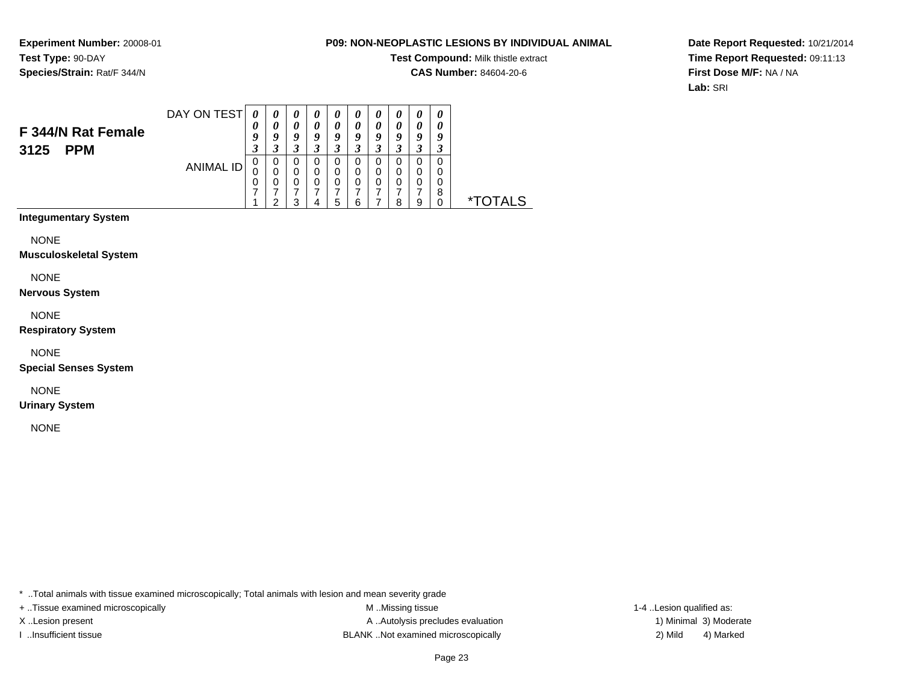#### **P09: NON-NEOPLASTIC LESIONS BY INDIVIDUAL ANIMAL**

**Test Compound:** Milk thistle extract

**CAS Number:** 84604-20-6

**Date Report Requested:** 10/21/2014**Time Report Requested:** 09:11:13**First Dose M/F:** NA / NA**Lab:** SRI

| F 344/N Rat Female<br><b>PPM</b><br>3125 | DAY ON TEST | 0<br>9<br>◠<br>J | $\boldsymbol{\theta}$<br>U | U<br>0<br>O | $\boldsymbol{\theta}$<br>$\boldsymbol{\theta}$<br>o<br>J | U<br>a | U<br>0<br>Q | $\boldsymbol{\mathit{u}}$<br>$\boldsymbol{\theta}$<br>o | 0<br>0<br>Q<br>Δ<br>J | 0<br>0<br>g |  |
|------------------------------------------|-------------|------------------|----------------------------|-------------|----------------------------------------------------------|--------|-------------|---------------------------------------------------------|-----------------------|-------------|--|
|                                          | ANIMAL ID   | υ<br>U<br>υ      | 0                          |             | 0<br>0<br>5                                              |        | 0<br>0<br>0 | o                                                       | 0<br>0<br>9           | 0<br>0<br>8 |  |

**Integumentary System**

**NONE** 

**Musculoskeletal System**

NONE

**Nervous System**

NONE

**Respiratory System**

NONE

**Special Senses System**

NONE

**Urinary System**

NONE

\* ..Total animals with tissue examined microscopically; Total animals with lesion and mean severity grade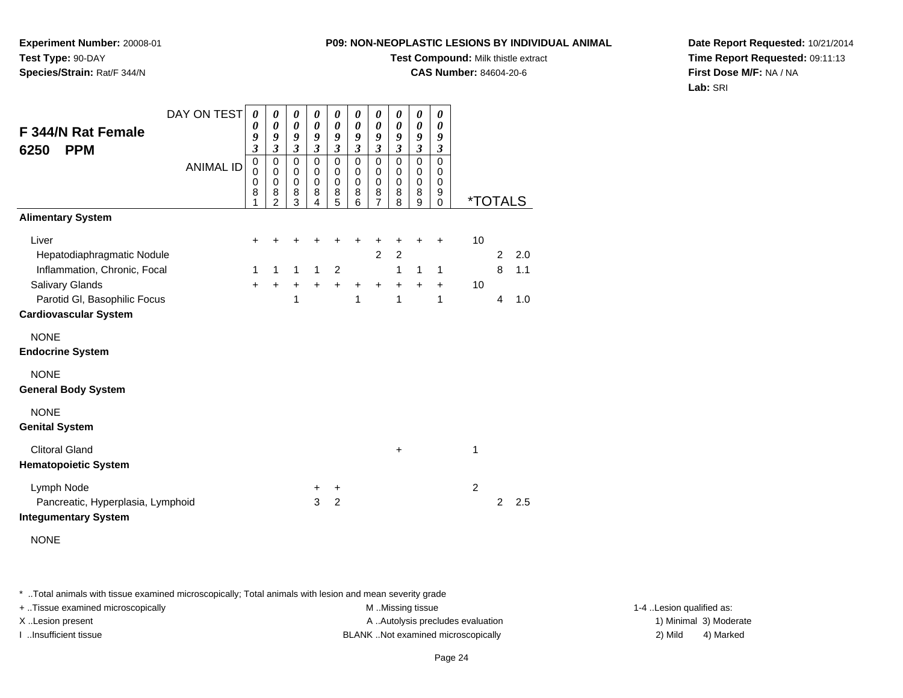**Test Compound:** Milk thistle extract

**CAS Number:** 84604-20-6

**Date Report Requested:** 10/21/2014**Time Report Requested:** 09:11:13**First Dose M/F:** NA / NA**Lab:** SRI

| DAY ON TEST                       | $\boldsymbol{\theta}$         | 0                           | 0                             | 0                                      | 0                             | 0                             | $\boldsymbol{\theta}$         | 0                           | 0                             | 0                         |                       |                |     |
|-----------------------------------|-------------------------------|-----------------------------|-------------------------------|----------------------------------------|-------------------------------|-------------------------------|-------------------------------|-----------------------------|-------------------------------|---------------------------|-----------------------|----------------|-----|
| F 344/N Rat Female                | 0<br>9                        | 0<br>9                      | 0<br>9                        | $\boldsymbol{\theta}$<br>9             | $\boldsymbol{\theta}$<br>9    | 0<br>9                        | 0<br>9                        | 0<br>9                      | $\boldsymbol{\theta}$<br>9    | 0<br>9                    |                       |                |     |
| <b>PPM</b><br>6250                | $\mathfrak{z}$<br>$\mathbf 0$ | $\mathfrak{z}$<br>$\pmb{0}$ | $\mathfrak{z}$<br>$\mathsf 0$ | $\overline{\mathbf{3}}$<br>$\mathbf 0$ | $\mathfrak{z}$<br>$\mathbf 0$ | $\mathfrak{z}$<br>$\mathbf 0$ | $\mathfrak{z}$<br>$\mathbf 0$ | $\mathfrak{z}$<br>$\pmb{0}$ | $\mathfrak{z}$<br>$\mathbf 0$ | $\boldsymbol{\beta}$<br>0 |                       |                |     |
| <b>ANIMAL ID</b>                  | $\mathbf 0$<br>0              | $\mathbf 0$<br>$\pmb{0}$    | 0<br>0                        | 0<br>$\mathbf 0$                       | 0<br>$\pmb{0}$                | $\mathbf 0$<br>$\mathbf 0$    | $\mathbf 0$<br>$\mathbf 0$    | $\mathbf 0$<br>$\pmb{0}$    | $\mathbf 0$<br>$\pmb{0}$      | 0<br>$\mathbf 0$          |                       |                |     |
|                                   | 8<br>1                        | 8<br>$\overline{2}$         | 8<br>$\overline{3}$           | 8<br>4                                 | 8<br>5                        | 8<br>6                        | 8<br>$\overline{7}$           | 8<br>8                      | 8<br>9                        | 9<br>$\Omega$             | <i><b>*TOTALS</b></i> |                |     |
| <b>Alimentary System</b>          |                               |                             |                               |                                        |                               |                               |                               |                             |                               |                           |                       |                |     |
| Liver                             | +                             | +                           | +                             | +                                      |                               | $\ddot{}$                     | +                             | +                           | $\ddot{}$                     | +                         | 10                    |                |     |
| Hepatodiaphragmatic Nodule        |                               |                             |                               |                                        |                               |                               | $\overline{2}$                | $\overline{c}$              |                               |                           |                       | $\overline{2}$ | 2.0 |
| Inflammation, Chronic, Focal      | 1                             | 1                           | $\mathbf{1}$                  | $\mathbf{1}$                           | 2                             |                               |                               | $\mathbf{1}$                | $\mathbf{1}$                  | 1                         |                       | 8              | 1.1 |
| Salivary Glands                   | $+$                           | $\ddot{}$                   | $+$                           | $\ddot{}$                              | $+$                           | $\ddot{}$                     | $+$                           | $+$                         | $+$                           | $\ddot{}$                 | 10                    |                |     |
| Parotid GI, Basophilic Focus      |                               |                             | 1                             |                                        |                               | 1                             |                               | 1                           |                               | 1                         |                       | 4              | 1.0 |
| <b>Cardiovascular System</b>      |                               |                             |                               |                                        |                               |                               |                               |                             |                               |                           |                       |                |     |
| <b>NONE</b>                       |                               |                             |                               |                                        |                               |                               |                               |                             |                               |                           |                       |                |     |
| <b>Endocrine System</b>           |                               |                             |                               |                                        |                               |                               |                               |                             |                               |                           |                       |                |     |
| <b>NONE</b>                       |                               |                             |                               |                                        |                               |                               |                               |                             |                               |                           |                       |                |     |
| <b>General Body System</b>        |                               |                             |                               |                                        |                               |                               |                               |                             |                               |                           |                       |                |     |
| <b>NONE</b>                       |                               |                             |                               |                                        |                               |                               |                               |                             |                               |                           |                       |                |     |
| <b>Genital System</b>             |                               |                             |                               |                                        |                               |                               |                               |                             |                               |                           |                       |                |     |
| <b>Clitoral Gland</b>             |                               |                             |                               |                                        |                               |                               |                               | $\ddot{}$                   |                               |                           | 1                     |                |     |
| <b>Hematopoietic System</b>       |                               |                             |                               |                                        |                               |                               |                               |                             |                               |                           |                       |                |     |
| Lymph Node                        |                               |                             |                               | +                                      | +                             |                               |                               |                             |                               |                           | $\overline{2}$        |                |     |
| Pancreatic, Hyperplasia, Lymphoid |                               |                             |                               | 3                                      | $\overline{2}$                |                               |                               |                             |                               |                           |                       | $\overline{2}$ | 2.5 |
| <b>Integumentary System</b>       |                               |                             |                               |                                        |                               |                               |                               |                             |                               |                           |                       |                |     |
| <b>NONE</b>                       |                               |                             |                               |                                        |                               |                               |                               |                             |                               |                           |                       |                |     |
|                                   |                               |                             |                               |                                        |                               |                               |                               |                             |                               |                           |                       |                |     |

**Experiment Number:** 20008-01

**Species/Strain:** Rat/F 344/N

**Test Type:** 90-DAY

\* ..Total animals with tissue examined microscopically; Total animals with lesion and mean severity grade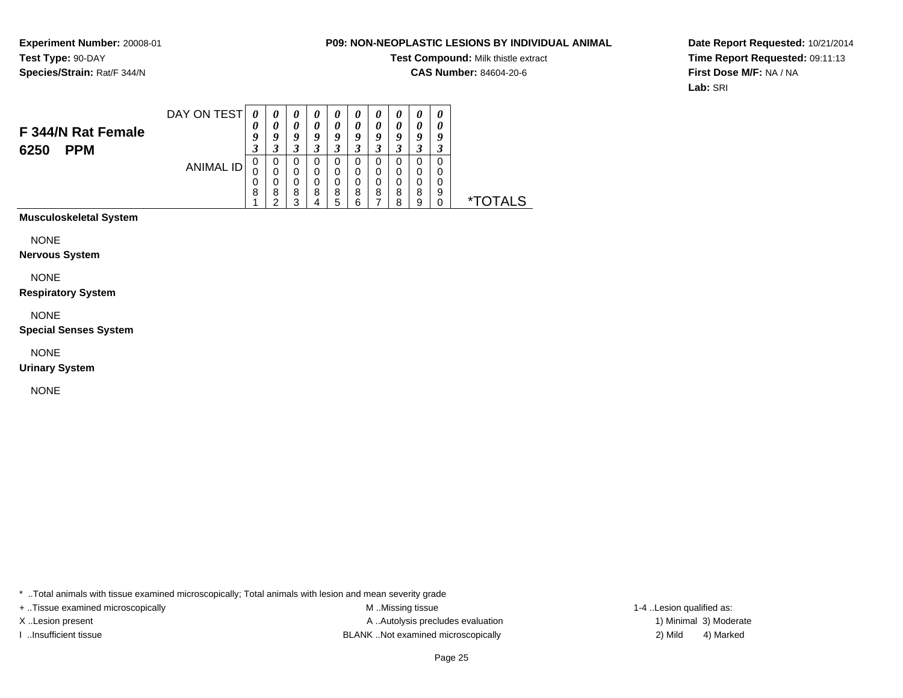#### **P09: NON-NEOPLASTIC LESIONS BY INDIVIDUAL ANIMAL**

**Test Compound:** Milk thistle extract

**CAS Number:** 84604-20-6

**Date Report Requested:** 10/21/2014**Time Report Requested:** 09:11:13**First Dose M/F:** NA / NA**Lab:** SRI

| F 344/N Rat Female<br><b>PPM</b><br>6250 | DAY ON TEST | U<br>O<br>σ<br>J | Q<br>Δ      | $\boldsymbol{\theta}$<br>Q<br>◠<br>J |   | U<br>0<br>9<br>◠<br>J |        | U<br>$\boldsymbol{\theta}$<br>o<br>J | U<br>о | $\boldsymbol{\theta}$<br>$\boldsymbol{\theta}$<br>o<br>لم | 0<br>a<br>- 1 |                      |
|------------------------------------------|-------------|------------------|-------------|--------------------------------------|---|-----------------------|--------|--------------------------------------|--------|-----------------------------------------------------------|---------------|----------------------|
|                                          | ANIMAL ID   | U<br>U<br>0<br>8 | U<br>8<br>◠ | U<br>U<br>0<br>8<br>າ                | 8 | O<br>0<br>0<br>8<br>5 | 8<br>ี | 8                                    | 8<br>я | 0<br>0<br>8<br>9                                          | 0<br>9        | $\mathbf{x}$<br>AL S |

**Musculoskeletal System**

NONE

**Nervous System**

NONE

**Respiratory System**

NONE

**Special Senses System**

NONE

**Urinary System**

NONE

\* ..Total animals with tissue examined microscopically; Total animals with lesion and mean severity grade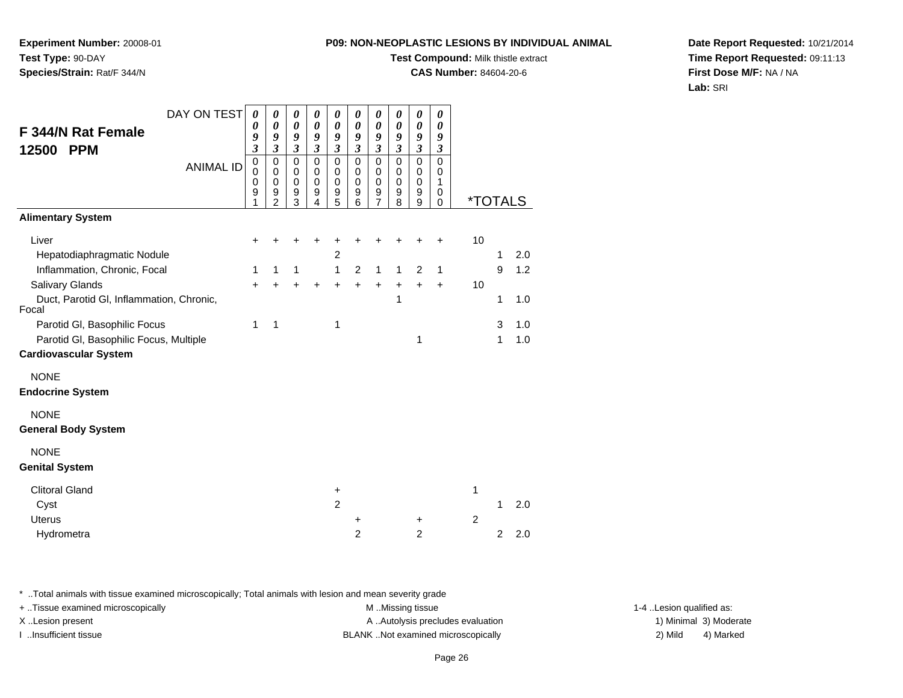**Experiment Number:** 20008-01**Test Type:** 90-DAY**Species/Strain:** Rat/F 344/N

## **Test Compound:** Milk thistle extract

**CAS Number:** 84604-20-6

**Date Report Requested:** 10/21/2014**Time Report Requested:** 09:11:13**First Dose M/F:** NA / NA**Lab:** SRI

| DAY ON TEST                                       | 0                       | 0                                  | 0                                       | $\boldsymbol{\theta}$                     | 0                               | 0                               | 0                                       | 0                               | 0                             | 0                     |                |                |     |
|---------------------------------------------------|-------------------------|------------------------------------|-----------------------------------------|-------------------------------------------|---------------------------------|---------------------------------|-----------------------------------------|---------------------------------|-------------------------------|-----------------------|----------------|----------------|-----|
| <b>F 344/N Rat Female</b>                         | 0<br>9                  | 0<br>9                             | $\boldsymbol{\theta}$<br>9              | 0<br>9                                    | 0<br>9                          | 0<br>9                          | 0<br>9                                  | 0<br>9                          | 0<br>9                        | 0<br>9                |                |                |     |
| 12500 PPM                                         | $\overline{\mathbf{3}}$ | 3                                  | $\mathfrak{z}$                          | $\mathfrak{z}$                            | $\overline{\mathbf{3}}$         | $\mathfrak{z}$                  | 3                                       | $\mathfrak{z}$                  | $\mathfrak{z}$                | $\mathfrak{z}$        |                |                |     |
| <b>ANIMAL ID</b>                                  | 0<br>0<br>0<br>9<br>1   | 0<br>0<br>0<br>9<br>$\overline{2}$ | $\mathbf 0$<br>0<br>$\pmb{0}$<br>9<br>3 | $\mathbf 0$<br>0<br>$\mathbf 0$<br>9<br>4 | 0<br>0<br>$\mathbf 0$<br>9<br>5 | 0<br>0<br>$\mathbf 0$<br>9<br>6 | $\mathbf 0$<br>0<br>$\pmb{0}$<br>9<br>7 | 0<br>0<br>$\mathbf 0$<br>9<br>8 | 0<br>0<br>$\pmb{0}$<br>9<br>9 | 0<br>0<br>1<br>0<br>0 | *TOTALS        |                |     |
| <b>Alimentary System</b>                          |                         |                                    |                                         |                                           |                                 |                                 |                                         |                                 |                               |                       |                |                |     |
| Liver                                             | ٠                       |                                    |                                         |                                           |                                 |                                 |                                         |                                 |                               | +                     | 10             |                |     |
| Hepatodiaphragmatic Nodule                        |                         |                                    |                                         |                                           | $\overline{c}$                  |                                 |                                         |                                 |                               |                       |                | 1              | 2.0 |
| Inflammation, Chronic, Focal                      | 1                       | 1                                  | 1                                       |                                           | $\mathbf{1}$                    | 2                               | $\mathbf{1}$                            | $\mathbf{1}$                    | 2                             | $\mathbf{1}$          |                | 9              | 1.2 |
| <b>Salivary Glands</b>                            | $+$                     |                                    | $\ddot{}$                               | $\ddot{}$                                 | $\ddot{}$                       | $\ddot{}$                       | $+$                                     | $\ddot{}$                       | $\ddot{}$                     | $\ddot{}$             | 10             |                |     |
| Duct, Parotid GI, Inflammation, Chronic,<br>Focal |                         |                                    |                                         |                                           |                                 |                                 |                                         | 1                               |                               |                       |                | 1              | 1.0 |
| Parotid GI, Basophilic Focus                      | 1                       | 1                                  |                                         |                                           | 1                               |                                 |                                         |                                 |                               |                       |                | 3              | 1.0 |
| Parotid GI, Basophilic Focus, Multiple            |                         |                                    |                                         |                                           |                                 |                                 |                                         |                                 | 1                             |                       |                | 1              | 1.0 |
| <b>Cardiovascular System</b>                      |                         |                                    |                                         |                                           |                                 |                                 |                                         |                                 |                               |                       |                |                |     |
| <b>NONE</b>                                       |                         |                                    |                                         |                                           |                                 |                                 |                                         |                                 |                               |                       |                |                |     |
| <b>Endocrine System</b>                           |                         |                                    |                                         |                                           |                                 |                                 |                                         |                                 |                               |                       |                |                |     |
| <b>NONE</b><br><b>General Body System</b>         |                         |                                    |                                         |                                           |                                 |                                 |                                         |                                 |                               |                       |                |                |     |
|                                                   |                         |                                    |                                         |                                           |                                 |                                 |                                         |                                 |                               |                       |                |                |     |
| <b>NONE</b><br><b>Genital System</b>              |                         |                                    |                                         |                                           |                                 |                                 |                                         |                                 |                               |                       |                |                |     |
| <b>Clitoral Gland</b>                             |                         |                                    |                                         |                                           | +                               |                                 |                                         |                                 |                               |                       | 1              |                |     |
| Cyst                                              |                         |                                    |                                         |                                           | $\overline{2}$                  |                                 |                                         |                                 |                               |                       |                | 1              | 2.0 |
| <b>Uterus</b>                                     |                         |                                    |                                         |                                           |                                 | +                               |                                         |                                 | $\ddot{}$                     |                       | $\overline{2}$ |                |     |
| Hydrometra                                        |                         |                                    |                                         |                                           |                                 | $\overline{2}$                  |                                         |                                 | $\overline{2}$                |                       |                | $\overline{2}$ | 2.0 |

\* ..Total animals with tissue examined microscopically; Total animals with lesion and mean severity grade

+ ..Tissue examined microscopically examined microscopically examined as:  $M$  ..Missing tissue 1-4 ..Lesion qualified as: X..Lesion present **A ..Autolysis precludes evaluation** A ..Autolysis precludes evaluation 1) Minimal 3) Moderate

I ..Insufficient tissue BLANK ..Not examined microscopically 2) Mild 4) Marked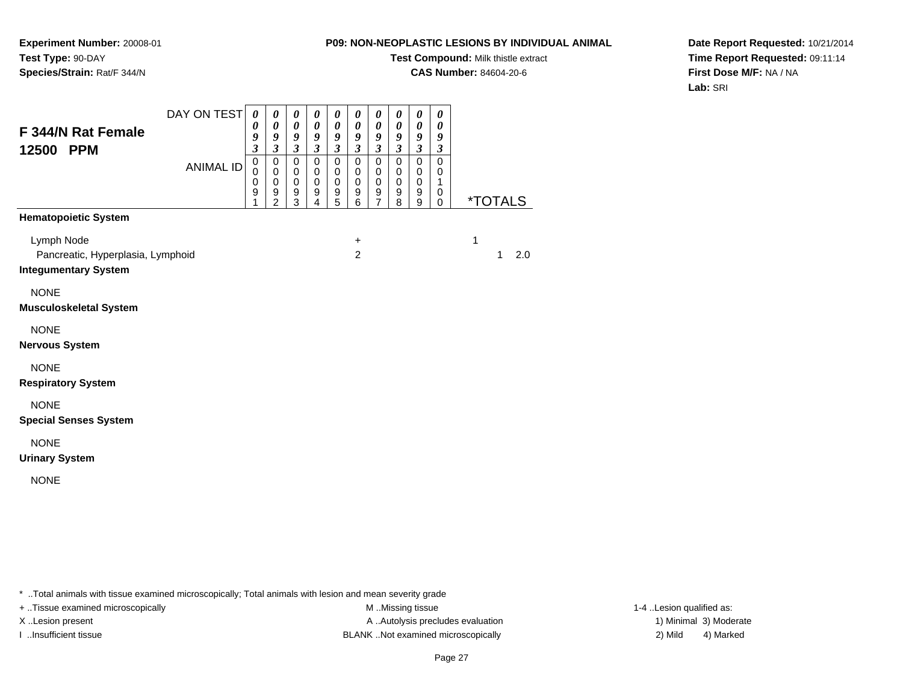**Test Compound:** Milk thistle extract

**CAS Number:** 84604-20-6

**Date Report Requested:** 10/21/2014**Time Report Requested:** 09:11:14**First Dose M/F:** NA / NA**Lab:** SRI

| F 344/N Rat Female<br>12500<br><b>PPM</b>                                                                     | DAY ON TEST<br><b>ANIMAL ID</b> | 0<br>0<br>9<br>$\overline{\mathbf{3}}$<br>$\mathbf 0$<br>$\pmb{0}$<br>0<br>9 | 0<br>$\boldsymbol{\theta}$<br>9<br>$\boldsymbol{\mathfrak{z}}$<br>$\pmb{0}$<br>$\pmb{0}$<br>$\,0\,$<br>9<br>$\overline{2}$ | 0<br>$\boldsymbol{\theta}$<br>9<br>$\boldsymbol{\mathfrak{z}}$<br>$\mathbf 0$<br>$\pmb{0}$<br>$\mathbf 0$<br>9<br>3 | 0<br>$\boldsymbol{\theta}$<br>9<br>$\mathfrak{z}$<br>$\mathbf 0$<br>$\pmb{0}$<br>$\pmb{0}$<br>9<br>4 | 0<br>0<br>9<br>$\mathfrak{z}$<br>$\mathbf 0$<br>$\mathbf 0$<br>$\pmb{0}$<br>9<br>5 | 0<br>$\boldsymbol{\theta}$<br>9<br>$\mathfrak{z}$<br>$\mathsf 0$<br>$\pmb{0}$<br>$\pmb{0}$<br>9<br>6 | 0<br>$\boldsymbol{\theta}$<br>9<br>$\mathfrak{z}$<br>$\mathbf 0$<br>$\pmb{0}$<br>$\mathbf 0$<br>9<br>$\overline{7}$ | 0<br>$\boldsymbol{\theta}$<br>9<br>$\mathfrak{z}$<br>$\mathbf 0$<br>$\pmb{0}$<br>$\pmb{0}$<br>9<br>8 | 0<br>$\boldsymbol{\theta}$<br>9<br>$\boldsymbol{\beta}$<br>$\mathbf 0$<br>$\pmb{0}$<br>$\mathbf 0$<br>9<br>9 | 0<br>0<br>9<br>$\boldsymbol{\beta}$<br>$\mathbf 0$<br>$\pmb{0}$<br>$\mathbf{1}$<br>0<br>0 | <i><b>*TOTALS</b></i> |
|---------------------------------------------------------------------------------------------------------------|---------------------------------|------------------------------------------------------------------------------|----------------------------------------------------------------------------------------------------------------------------|---------------------------------------------------------------------------------------------------------------------|------------------------------------------------------------------------------------------------------|------------------------------------------------------------------------------------|------------------------------------------------------------------------------------------------------|---------------------------------------------------------------------------------------------------------------------|------------------------------------------------------------------------------------------------------|--------------------------------------------------------------------------------------------------------------|-------------------------------------------------------------------------------------------|-----------------------|
| <b>Hematopoietic System</b><br>Lymph Node<br>Pancreatic, Hyperplasia, Lymphoid<br><b>Integumentary System</b> |                                 |                                                                              |                                                                                                                            |                                                                                                                     |                                                                                                      |                                                                                    | $\ddot{}$<br>$\overline{2}$                                                                          |                                                                                                                     |                                                                                                      |                                                                                                              |                                                                                           | 1<br>2.0<br>1         |
| <b>NONE</b><br><b>Musculoskeletal System</b>                                                                  |                                 |                                                                              |                                                                                                                            |                                                                                                                     |                                                                                                      |                                                                                    |                                                                                                      |                                                                                                                     |                                                                                                      |                                                                                                              |                                                                                           |                       |
| <b>NONE</b><br><b>Nervous System</b>                                                                          |                                 |                                                                              |                                                                                                                            |                                                                                                                     |                                                                                                      |                                                                                    |                                                                                                      |                                                                                                                     |                                                                                                      |                                                                                                              |                                                                                           |                       |
| <b>NONE</b><br><b>Respiratory System</b><br><b>NONE</b>                                                       |                                 |                                                                              |                                                                                                                            |                                                                                                                     |                                                                                                      |                                                                                    |                                                                                                      |                                                                                                                     |                                                                                                      |                                                                                                              |                                                                                           |                       |
| <b>Special Senses System</b><br><b>NONE</b>                                                                   |                                 |                                                                              |                                                                                                                            |                                                                                                                     |                                                                                                      |                                                                                    |                                                                                                      |                                                                                                                     |                                                                                                      |                                                                                                              |                                                                                           |                       |
| <b>Urinary System</b>                                                                                         |                                 |                                                                              |                                                                                                                            |                                                                                                                     |                                                                                                      |                                                                                    |                                                                                                      |                                                                                                                     |                                                                                                      |                                                                                                              |                                                                                           |                       |
| <b>NONE</b>                                                                                                   |                                 |                                                                              |                                                                                                                            |                                                                                                                     |                                                                                                      |                                                                                    |                                                                                                      |                                                                                                                     |                                                                                                      |                                                                                                              |                                                                                           |                       |

\* ..Total animals with tissue examined microscopically; Total animals with lesion and mean severity grade

**Experiment Number:** 20008-01

**Species/Strain:** Rat/F 344/N

**Test Type:** 90-DAY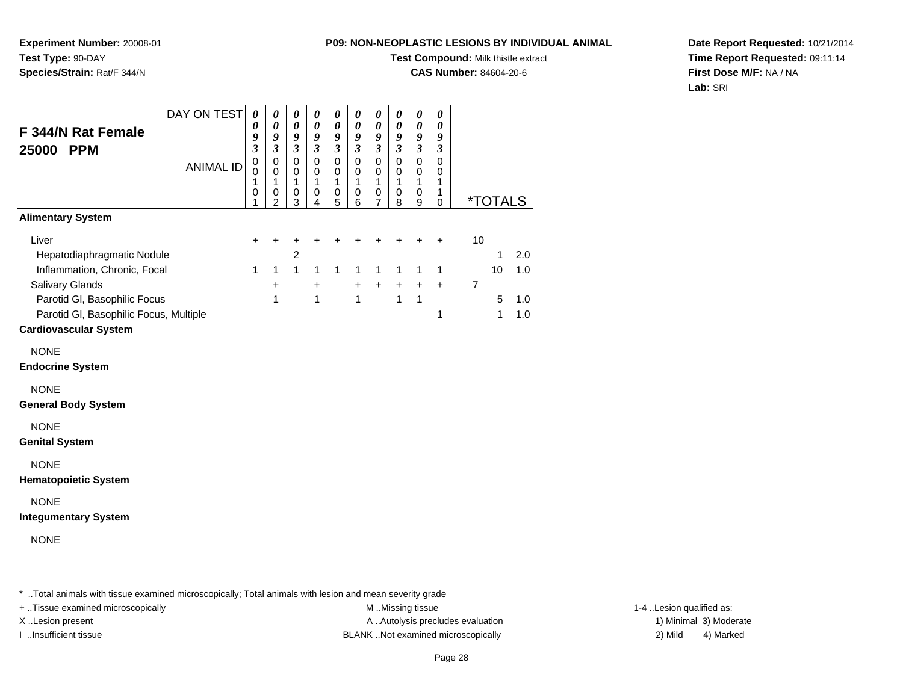**Experiment Number:** 20008-01**Test Type:** 90-DAY**Species/Strain:** Rat/F 344/N

### **Test Compound:** Milk thistle extract

**CAS Number:** 84604-20-6

**Date Report Requested:** 10/21/2014**Time Report Requested:** 09:11:14**First Dose M/F:** NA / NA**Lab:** SRI

| DAY ON TEST<br>F 344/N Rat Female<br>25000 PPM                                                                                                                          | $\boldsymbol{\theta}$<br>0<br>9<br>3 | 0<br>0<br>9<br>$\boldsymbol{\beta}$                             | 0<br>$\pmb{\theta}$<br>$\pmb{9}$<br>$\boldsymbol{\mathfrak{z}}$ | $\boldsymbol{\theta}$<br>$\pmb{\theta}$<br>9<br>$\boldsymbol{\mathfrak{z}}$ | 0<br>$\boldsymbol{\theta}$<br>9<br>$\boldsymbol{\beta}$ | 0<br>0<br>9<br>$\boldsymbol{\beta}$ | 0<br>$\pmb{\theta}$<br>$\boldsymbol{9}$<br>$\boldsymbol{\beta}$ | 0<br>0<br>9<br>$\boldsymbol{\mathfrak{z}}$     | $\boldsymbol{\theta}$<br>$\pmb{\theta}$<br>9<br>$\boldsymbol{\mathfrak{z}}$ | 0<br>0<br>9<br>$\boldsymbol{\beta}$                    |                                                                       |                          |  |
|-------------------------------------------------------------------------------------------------------------------------------------------------------------------------|--------------------------------------|-----------------------------------------------------------------|-----------------------------------------------------------------|-----------------------------------------------------------------------------|---------------------------------------------------------|-------------------------------------|-----------------------------------------------------------------|------------------------------------------------|-----------------------------------------------------------------------------|--------------------------------------------------------|-----------------------------------------------------------------------|--------------------------|--|
| <b>ANIMAL ID</b>                                                                                                                                                        | 0<br>0<br>1<br>0<br>1                | $\pmb{0}$<br>$\mathbf 0$<br>$\mathbf{1}$<br>0<br>$\overline{2}$ | $\pmb{0}$<br>0<br>1<br>0<br>3                                   | $\mathbf 0$<br>0<br>1<br>0<br>4                                             | $\mathbf 0$<br>0<br>1<br>0<br>5                         | 0<br>0<br>1<br>0<br>6               | $\pmb{0}$<br>0<br>1<br>0<br>7                                   | $\pmb{0}$<br>0<br>1<br>0<br>8                  | $\mathbf 0$<br>0<br>1<br>0<br>9                                             | $\mathbf 0$<br>$\mathbf 0$<br>$\mathbf{1}$<br>1<br>0   | <i><b>*TOTALS</b></i>                                                 |                          |  |
| <b>Alimentary System</b>                                                                                                                                                |                                      |                                                                 |                                                                 |                                                                             |                                                         |                                     |                                                                 |                                                |                                                                             |                                                        |                                                                       |                          |  |
| Liver<br>Hepatodiaphragmatic Nodule<br>Inflammation, Chronic, Focal<br><b>Salivary Glands</b><br>Parotid GI, Basophilic Focus<br>Parotid GI, Basophilic Focus, Multiple | +<br>$\mathbf{1}$                    | +<br>$\mathbf{1}$<br>$\ddot{}$<br>$\mathbf{1}$                  | $\overline{\mathbf{c}}$<br>$\mathbf{1}$                         | $\ddot{}$<br>1<br>+<br>$\overline{1}$                                       | $\mathbf{1}$                                            | $\ddot{}$<br>1<br>+<br>$\mathbf{1}$ | 1<br>+                                                          | +<br>$\mathbf{1}$<br>$\ddot{}$<br>$\mathbf{1}$ | 1<br>$\ddot{}$<br>$\mathbf{1}$                                              | $\ddot{}$<br>$\mathbf{1}$<br>$\ddot{}$<br>$\mathbf{1}$ | $10$<br>2.0<br>1<br>1.0<br>10<br>7<br>1.0<br>5<br>1.0<br>$\mathbf{1}$ |                          |  |
| <b>Cardiovascular System</b>                                                                                                                                            |                                      |                                                                 |                                                                 |                                                                             |                                                         |                                     |                                                                 |                                                |                                                                             |                                                        |                                                                       |                          |  |
| <b>NONE</b><br><b>Endocrine System</b>                                                                                                                                  |                                      |                                                                 |                                                                 |                                                                             |                                                         |                                     |                                                                 |                                                |                                                                             |                                                        |                                                                       |                          |  |
| <b>NONE</b><br><b>General Body System</b>                                                                                                                               |                                      |                                                                 |                                                                 |                                                                             |                                                         |                                     |                                                                 |                                                |                                                                             |                                                        |                                                                       |                          |  |
| <b>NONE</b><br><b>Genital System</b>                                                                                                                                    |                                      |                                                                 |                                                                 |                                                                             |                                                         |                                     |                                                                 |                                                |                                                                             |                                                        |                                                                       |                          |  |
| <b>NONE</b><br><b>Hematopoietic System</b>                                                                                                                              |                                      |                                                                 |                                                                 |                                                                             |                                                         |                                     |                                                                 |                                                |                                                                             |                                                        |                                                                       |                          |  |
| <b>NONE</b><br><b>Integumentary System</b>                                                                                                                              |                                      |                                                                 |                                                                 |                                                                             |                                                         |                                     |                                                                 |                                                |                                                                             |                                                        |                                                                       |                          |  |
| <b>NONE</b>                                                                                                                                                             |                                      |                                                                 |                                                                 |                                                                             |                                                         |                                     |                                                                 |                                                |                                                                             |                                                        |                                                                       |                          |  |
| * Total animals with tissue examined microscopically; Total animals with lesion and mean severity grade<br>+ Tissue examined microscopically                            |                                      |                                                                 |                                                                 |                                                                             |                                                         |                                     |                                                                 | M Missing tissue                               |                                                                             |                                                        |                                                                       | 1-4 Lesion qualified as: |  |

X..Lesion present **A ..Autolysis precludes evaluation** A ..Autolysis precludes evaluation 1) Minimal 3) Moderate I ..Insufficient tissue BLANK ..Not examined microscopically 2) Mild 4) Marked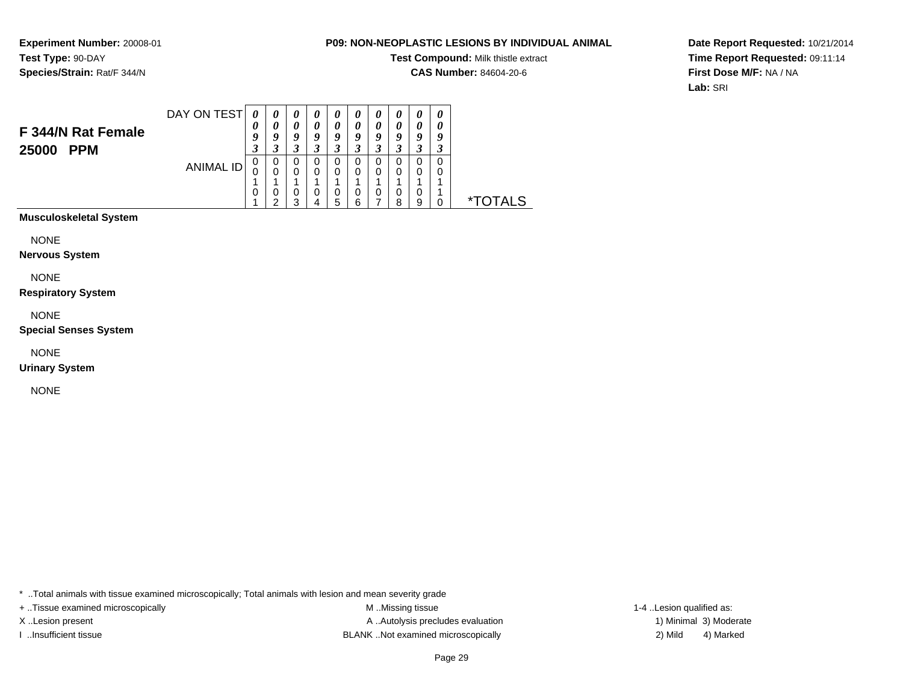#### **P09: NON-NEOPLASTIC LESIONS BY INDIVIDUAL ANIMAL**

**Test Compound:** Milk thistle extract

**CAS Number:** 84604-20-6

**Date Report Requested:** 10/21/2014**Time Report Requested:** 09:11:14**First Dose M/F:** NA / NA**Lab:** SRI

| F 344/N Rat Female<br><b>PPM</b><br>25000 | DAY ON TEST | 0<br>U<br>9<br>3 | $\boldsymbol{\theta}$<br>a | U<br>0<br>a<br>3 | a                | a                | o      | Q |        | Q<br>Δ<br>. J | 0<br> |       |
|-------------------------------------------|-------------|------------------|----------------------------|------------------|------------------|------------------|--------|---|--------|---------------|-------|-------|
|                                           | ANIMAL ID   | 0<br>U<br>0      | U<br>0<br>U<br>◠           | O<br>0<br>U<br>3 | O<br>0<br>0<br>4 | 0<br>0<br>0<br>5 | O<br>6 | U | U<br>o | O<br>υ<br>9   |       | TAI S |

**Musculoskeletal System**

NONE

**Nervous System**

NONE

**Respiratory System**

NONE

**Special Senses System**

NONE

**Urinary System**

NONE

\* ..Total animals with tissue examined microscopically; Total animals with lesion and mean severity grade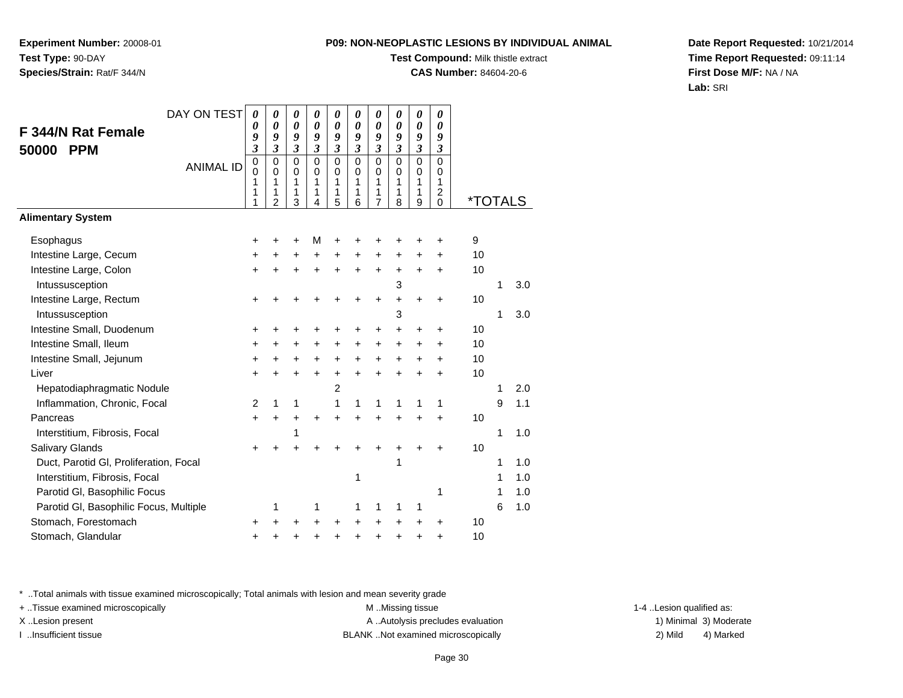**Experiment Number:** 20008-01**Test Type:** 90-DAY**Species/Strain:** Rat/F 344/N

# **Test Compound:** Milk thistle extract

**CAS Number:** 84604-20-6

**Date Report Requested:** 10/21/2014**Time Report Requested:** 09:11:14**First Dose M/F:** NA / NA**Lab:** SRI

|                                        | DAY ON TEST      | 0                     | 0                          | 0                               | 0                               | 0                               | 0                               | 0                               | 0                               | 0                                         | 0                                              |                       |   |     |
|----------------------------------------|------------------|-----------------------|----------------------------|---------------------------------|---------------------------------|---------------------------------|---------------------------------|---------------------------------|---------------------------------|-------------------------------------------|------------------------------------------------|-----------------------|---|-----|
| <b>F 344/N Rat Female</b>              |                  | 0<br>9                | $\boldsymbol{\theta}$<br>9 | 0<br>9                          | $\boldsymbol{\theta}$<br>9      | 0<br>9                          | 0<br>9                          | 0<br>9                          | 0<br>9                          | $\boldsymbol{\theta}$<br>9                | 0<br>9                                         |                       |   |     |
| <b>PPM</b><br>50000                    |                  | 3                     | 3                          | 3                               | 3                               | 3                               | $\overline{\mathbf{3}}$         | 3                               | $\overline{\mathbf{3}}$         | $\overline{\mathbf{3}}$                   | $\overline{\mathbf{3}}$                        |                       |   |     |
|                                        | <b>ANIMAL ID</b> | 0<br>0<br>1<br>1<br>1 | 0<br>0<br>1<br>1<br>2      | $\mathbf 0$<br>0<br>1<br>1<br>3 | $\mathbf 0$<br>0<br>1<br>1<br>4 | $\mathbf 0$<br>0<br>1<br>1<br>5 | $\mathbf 0$<br>0<br>1<br>1<br>6 | $\mathbf 0$<br>0<br>1<br>1<br>7 | $\mathbf 0$<br>0<br>1<br>1<br>8 | $\mathbf 0$<br>$\mathbf 0$<br>1<br>1<br>9 | $\mathbf 0$<br>0<br>1<br>$\boldsymbol{2}$<br>0 | <i><b>*TOTALS</b></i> |   |     |
| <b>Alimentary System</b>               |                  |                       |                            |                                 |                                 |                                 |                                 |                                 |                                 |                                           |                                                |                       |   |     |
| Esophagus                              |                  | +                     |                            |                                 | M                               |                                 |                                 |                                 |                                 |                                           | +                                              | 9                     |   |     |
| Intestine Large, Cecum                 |                  | +                     | +                          | +                               | $\ddot{}$                       | $\pm$                           | +                               | +                               | +                               | +                                         | $\ddot{}$                                      | 10                    |   |     |
| Intestine Large, Colon                 |                  | $\ddot{}$             |                            |                                 |                                 | $\ddot{}$                       | $\ddot{}$                       | $\ddot{}$                       | $\ddot{}$                       | $\ddot{}$                                 | $\ddot{}$                                      | 10                    |   |     |
| Intussusception                        |                  |                       |                            |                                 |                                 |                                 |                                 |                                 | 3                               |                                           |                                                |                       | 1 | 3.0 |
| Intestine Large, Rectum                |                  | +                     |                            |                                 |                                 |                                 | ł.                              | +                               | $\ddot{}$                       | $\ddot{}$                                 | $\ddot{}$                                      | 10                    |   |     |
| Intussusception                        |                  |                       |                            |                                 |                                 |                                 |                                 |                                 | 3                               |                                           |                                                |                       | 1 | 3.0 |
| Intestine Small, Duodenum              |                  | +                     | +                          | +                               |                                 |                                 | +                               | +                               | $\ddot{}$                       | $\ddot{}$                                 | $\ddot{}$                                      | 10                    |   |     |
| Intestine Small, Ileum                 |                  | +                     | +                          | $\ddot{}$                       | $\ddot{}$                       | $\ddot{}$                       | $\ddot{}$                       | $\ddot{}$                       | $\ddot{}$                       | $\ddot{}$                                 | +                                              | 10                    |   |     |
| Intestine Small, Jejunum               |                  | $\ddot{}$             |                            | +                               | +                               | $\ddot{}$                       | $\ddot{}$                       | $\ddot{}$                       | $\ddot{}$                       | $\ddot{}$                                 | $\ddot{}$                                      | 10                    |   |     |
| Liver                                  |                  | $\ddot{}$             | +                          | +                               | $\ddot{}$                       | $\ddot{}$                       | $\ddot{}$                       | $\ddot{}$                       | $\ddot{}$                       | $\ddot{}$                                 | $\ddot{}$                                      | 10                    |   |     |
| Hepatodiaphragmatic Nodule             |                  |                       |                            |                                 |                                 | $\overline{c}$                  |                                 |                                 |                                 |                                           |                                                |                       | 1 | 2.0 |
| Inflammation, Chronic, Focal           |                  | 2                     | 1                          | 1                               |                                 | 1                               | 1                               | 1                               | 1                               | 1                                         | 1                                              |                       | 9 | 1.1 |
| Pancreas                               |                  | +                     | +                          | +                               | $\ddot{}$                       | $\ddot{}$                       | $\ddot{}$                       | +                               | $\ddot{}$                       | $\ddot{}$                                 | $\ddot{}$                                      | 10                    |   |     |
| Interstitium, Fibrosis, Focal          |                  |                       |                            | 1                               |                                 |                                 |                                 |                                 |                                 |                                           |                                                |                       | 1 | 1.0 |
| Salivary Glands                        |                  | +                     |                            |                                 |                                 |                                 |                                 |                                 | +                               |                                           | +                                              | 10                    |   |     |
| Duct, Parotid GI, Proliferation, Focal |                  |                       |                            |                                 |                                 |                                 |                                 |                                 | 1                               |                                           |                                                |                       | 1 | 1.0 |
| Interstitium, Fibrosis, Focal          |                  |                       |                            |                                 |                                 |                                 | 1                               |                                 |                                 |                                           |                                                |                       | 1 | 1.0 |
| Parotid GI, Basophilic Focus           |                  |                       |                            |                                 |                                 |                                 |                                 |                                 |                                 |                                           | 1                                              |                       | 1 | 1.0 |
| Parotid GI, Basophilic Focus, Multiple |                  |                       | 1                          |                                 | 1                               |                                 | 1                               | 1                               | 1                               | 1                                         |                                                |                       | 6 | 1.0 |
| Stomach, Forestomach                   |                  | ٠                     |                            |                                 |                                 |                                 | ٠                               | +                               | +                               | +                                         | +                                              | 10                    |   |     |
| Stomach, Glandular                     |                  | +                     |                            |                                 |                                 |                                 | +                               | +                               | +                               | +                                         | +                                              | 10                    |   |     |

\* ..Total animals with tissue examined microscopically; Total animals with lesion and mean severity grade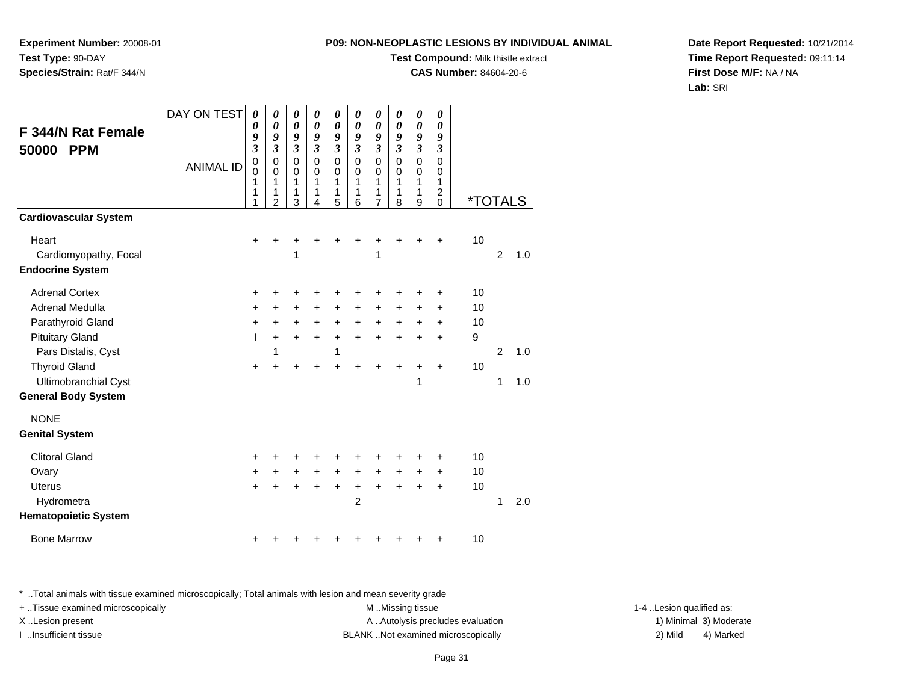**Test Compound:** Milk thistle extract

**CAS Number:** 84604-20-6

**Date Report Requested:** 10/21/2014**Time Report Requested:** 09:11:14**First Dose M/F:** NA / NA**Lab:** SRI

**F 344/N Rat Female50000 PPM**ANIMAL ID *0 9 3* 0 0 1 1 1 *0 9 3*0<br>0<br>1<br>1<br>2 *0 0 9 3* 0 0 1 1 3 *0 9 3* 0 0 1 1 4 *0 9 3* 0 0 1 1 5 *0 9 3* 0 0 1 1 6 *0 9 3* 0 0 1 1 7*0 0 9 3* 0 0 1 1 8 *0 9 3* 0 0 1 1 9 *0 9 3* 0 0 12<br>^ 0 \*TOTALS**Cardiovascular System**Heart <sup>+</sup> <sup>+</sup> <sup>+</sup> <sup>+</sup> <sup>+</sup> <sup>+</sup> <sup>+</sup> <sup>+</sup> <sup>+</sup> + 10 Cardiomyopathy, Focal 1 <sup>1</sup> <sup>2</sup> 1.0 **Endocrine System**Adrenal Cortex $\mathsf{x}$  + <sup>+</sup> <sup>+</sup> <sup>+</sup> <sup>+</sup> <sup>+</sup> <sup>+</sup> <sup>+</sup> <sup>+</sup> + 10 Adrenal Medullaa  $+$  <sup>+</sup> <sup>+</sup> <sup>+</sup> <sup>+</sup> <sup>+</sup> <sup>+</sup> <sup>+</sup> <sup>+</sup> + 10 Parathyroid Glandd  $+$  <sup>+</sup> <sup>+</sup> <sup>+</sup> <sup>+</sup> <sup>+</sup> <sup>+</sup> <sup>+</sup> <sup>+</sup> + 10 Pituitary Gland <sup>I</sup> <sup>+</sup> <sup>+</sup> <sup>+</sup> <sup>+</sup> <sup>+</sup> <sup>+</sup> <sup>+</sup> <sup>+</sup> + 9 Pars Distalis, Cystt and  $\sim$  1 <sup>1</sup> <sup>2</sup> 1.0 Thyroid Glandd  $+$  <sup>+</sup> <sup>+</sup> <sup>+</sup> <sup>+</sup> <sup>+</sup> <sup>+</sup> <sup>+</sup> <sup>+</sup> + 10 Ultimobranchial Cystt and the contract of  $\sim$  1 <sup>1</sup> 1.0 **General Body System**NONE**Genital System**Clitoral Gland $\alpha$  + <sup>+</sup> <sup>+</sup> <sup>+</sup> <sup>+</sup> <sup>+</sup> <sup>+</sup> <sup>+</sup> <sup>+</sup> + 10 Ovary $\mathsf y$  <sup>+</sup> <sup>+</sup> <sup>+</sup> <sup>+</sup> <sup>+</sup> <sup>+</sup> <sup>+</sup> <sup>+</sup> + 10 Uterus <sup>+</sup> <sup>+</sup> <sup>+</sup> <sup>+</sup> <sup>+</sup> <sup>+</sup> <sup>+</sup> <sup>+</sup> <sup>+</sup> + 10 Hydrometraa a contract  $2$  1 2.0 **Hematopoietic System**

DAY ON TEST

*0*

*0*

*0*

*0*

*0*

*0*

*0*

*0*

\* ..Total animals with tissue examined microscopically; Total animals with lesion and mean severity grade

+ ..Tissue examined microscopically examined microscopically examined as:  $M$  ..Missing tissue 1-4 ..Lesion qualified as: X..Lesion present **A ..Autolysis precludes evaluation** A ..Autolysis precludes evaluation 1) Minimal 3) Moderate I ..Insufficient tissue BLANK ..Not examined microscopically 2) Mild 4) Marked

| ardiovascular System           |           |           |                |           |           |                |                |           |           |           |    |   |     |
|--------------------------------|-----------|-----------|----------------|-----------|-----------|----------------|----------------|-----------|-----------|-----------|----|---|-----|
| Heart<br>Cardiomyopathy, Focal | $\ddot{}$ | $\ddot{}$ | $\ddot{}$<br>1 | $\ddot{}$ | $\ddot{}$ | $\ddot{}$      | $\ddot{}$<br>1 | $\ddot{}$ | $\ddot{}$ | $\ddot{}$ | 10 | 2 | 1.0 |
| ndocrine System                |           |           |                |           |           |                |                |           |           |           |    |   |     |
| <b>Adrenal Cortex</b>          | $\ddot{}$ | ٠         | ÷              | ٠         | ÷         | ٠              | ٠              | ٠         | ٠         | ÷         | 10 |   |     |
| Adrenal Medulla                | $+$       | $\ddot{}$ | $\ddot{}$      | $\ddot{}$ | $\ddot{}$ | $\ddot{}$      | $\ddot{}$      | $\ddot{}$ | $\ddot{}$ | $\ddot{}$ | 10 |   |     |
| Parathyroid Gland              | $\ddot{}$ | $+$       | $+$            | $\ddot{}$ | $\ddot{}$ | $\ddot{}$      | $+$            | $+$       | $+$       | $+$       | 10 |   |     |
| <b>Pituitary Gland</b>         | T         | $+$       | $+$            | $+$       | $+$       | $\ddot{}$      | $\ddot{}$      | $\ddot{}$ | $\ddot{}$ | $+$       | 9  |   |     |
| Pars Distalis, Cyst            |           | 1         |                |           | 1         |                |                |           |           |           |    | 2 | 1.0 |
| <b>Thyroid Gland</b>           | $\ddot{}$ | $\pm$     | $\pm$          | $\ddot{}$ | +         | +              | +              | +         | +         | $\pm$     | 10 |   |     |
| Ultimobranchial Cyst           |           |           |                |           |           |                |                |           | 1         |           |    | 1 | 1.0 |
| eneral Body System             |           |           |                |           |           |                |                |           |           |           |    |   |     |
| <b>NONE</b>                    |           |           |                |           |           |                |                |           |           |           |    |   |     |
| enital System                  |           |           |                |           |           |                |                |           |           |           |    |   |     |
| <b>Clitoral Gland</b>          | $\ddot{}$ | +         | $\ddot{}$      | $\ddot{}$ | +         | +              | +              | ٠         | ÷         | $\pm$     | 10 |   |     |
| Ovary                          | $\ddot{}$ | $+$       | $+$            | $+$       | $+$       | $\ddot{}$      | $+$            | $+$       | $\ddot{}$ | $\ddot{}$ | 10 |   |     |
| <b>Uterus</b>                  | $\ddot{}$ | $+$       | $\ddot{}$      | $\ddot{}$ | $\ddot{}$ | $\ddot{}$      | $\ddot{}$      | $\ddot{}$ | $\ddot{}$ | $+$       | 10 |   |     |
| Hydrometra                     |           |           |                |           |           | $\overline{2}$ |                |           |           |           |    | 1 | 2.0 |
| ematopoietic System            |           |           |                |           |           |                |                |           |           |           |    |   |     |
| <b>Bone Marrow</b>             | $\ddot{}$ | +         | +              | +         | +         | +              | +              | +         | ٠         | ٠         | 10 |   |     |
|                                |           |           |                |           |           |                |                |           |           |           |    |   |     |

**Experiment Number:** 20008-01**Test Type:** 90-DAY**Species/Strain:** Rat/F 344/N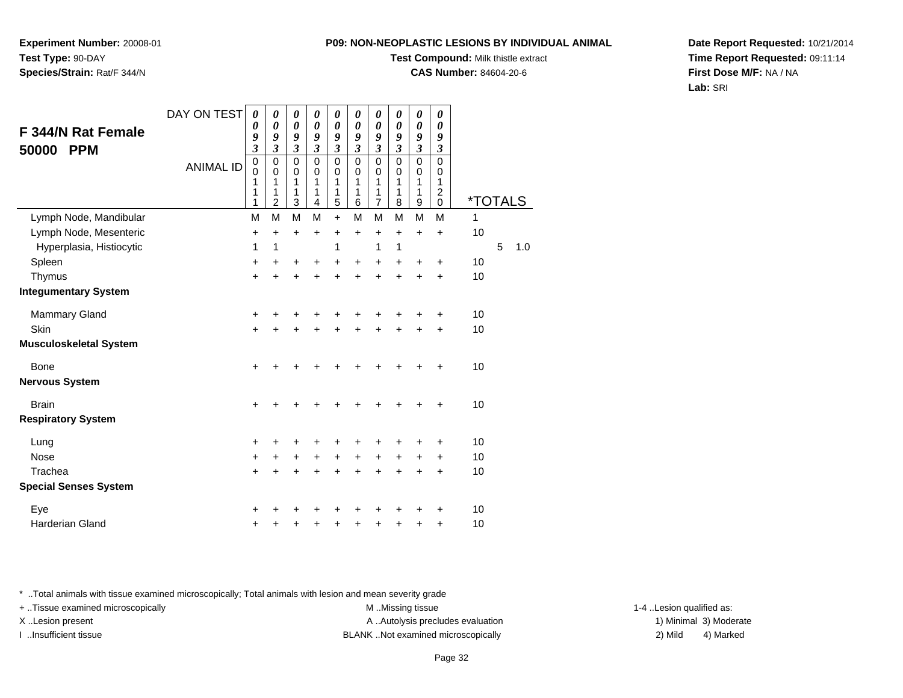**Test Compound:** Milk thistle extract

**CAS Number:** 84604-20-6

**Date Report Requested:** 10/21/2014**Time Report Requested:** 09:11:14**First Dose M/F:** NA / NA**Lab:** SRI

| F 344/N Rat Female<br>50000<br><b>PPM</b> | DAY ON TEST<br><b>ANIMAL ID</b> | 0<br>0<br>9<br>$\overline{\mathbf{3}}$<br>$\mathbf 0$<br>$\mathbf 0$<br>1<br>1<br>1 | 0<br>0<br>9<br>$\overline{\mathbf{3}}$<br>0<br>0<br>1<br>1<br>2 | 0<br>$\pmb{\theta}$<br>9<br>$\mathfrak{z}$<br>$\mathbf 0$<br>0<br>1<br>1<br>3 | 0<br>$\boldsymbol{\theta}$<br>9<br>$\mathfrak{z}$<br>$\mathbf 0$<br>0<br>1<br>1<br>4 | 0<br>$\boldsymbol{\theta}$<br>9<br>$\mathfrak{z}$<br>$\mathbf 0$<br>0<br>1<br>1<br>5 | 0<br>$\boldsymbol{\theta}$<br>9<br>$\mathfrak{z}$<br>$\mathbf 0$<br>0<br>1<br>1<br>6 | 0<br>0<br>9<br>$\mathfrak{z}$<br>$\mathsf 0$<br>0<br>1<br>1<br>$\overline{7}$ | 0<br>$\boldsymbol{\theta}$<br>9<br>$\boldsymbol{\beta}$<br>$\mathbf 0$<br>$\mathbf 0$<br>1<br>1<br>8 | 0<br>$\boldsymbol{\theta}$<br>9<br>$\mathfrak{z}$<br>$\mathbf 0$<br>0<br>1<br>1<br>9 | 0<br>0<br>9<br>$\mathfrak{z}$<br>$\mathbf 0$<br>0<br>1<br>2<br>$\mathbf 0$ | <i><b>*TOTALS</b></i> |   |     |
|-------------------------------------------|---------------------------------|-------------------------------------------------------------------------------------|-----------------------------------------------------------------|-------------------------------------------------------------------------------|--------------------------------------------------------------------------------------|--------------------------------------------------------------------------------------|--------------------------------------------------------------------------------------|-------------------------------------------------------------------------------|------------------------------------------------------------------------------------------------------|--------------------------------------------------------------------------------------|----------------------------------------------------------------------------|-----------------------|---|-----|
| Lymph Node, Mandibular                    |                                 | M                                                                                   | M                                                               | M                                                                             | M                                                                                    | $\ddot{}$                                                                            | M                                                                                    | M                                                                             | M                                                                                                    | M                                                                                    | M                                                                          | 1                     |   |     |
| Lymph Node, Mesenteric                    |                                 | +                                                                                   | $\ddot{}$                                                       | +                                                                             | $\ddot{}$                                                                            | $\ddot{}$                                                                            | $\ddot{}$                                                                            | $\ddot{}$                                                                     | $\ddot{}$                                                                                            | $\ddot{}$                                                                            | $\ddot{}$                                                                  | 10                    |   |     |
| Hyperplasia, Histiocytic                  |                                 | 1                                                                                   | 1                                                               |                                                                               |                                                                                      | 1                                                                                    |                                                                                      | 1                                                                             | 1                                                                                                    |                                                                                      |                                                                            |                       | 5 | 1.0 |
| Spleen                                    |                                 | +                                                                                   | +                                                               | +                                                                             | +                                                                                    | +                                                                                    | +                                                                                    | +                                                                             | +                                                                                                    | +                                                                                    | +                                                                          | 10                    |   |     |
| Thymus                                    |                                 | $\ddot{}$                                                                           | +                                                               | +                                                                             | +                                                                                    | +                                                                                    | +                                                                                    | +                                                                             | $\ddot{}$                                                                                            | +                                                                                    | +                                                                          | 10                    |   |     |
| <b>Integumentary System</b>               |                                 |                                                                                     |                                                                 |                                                                               |                                                                                      |                                                                                      |                                                                                      |                                                                               |                                                                                                      |                                                                                      |                                                                            |                       |   |     |
| <b>Mammary Gland</b>                      |                                 | +                                                                                   | +                                                               | +                                                                             | +                                                                                    | +                                                                                    | +                                                                                    | +                                                                             | +                                                                                                    | $\ddot{}$                                                                            | +                                                                          | 10                    |   |     |
| Skin                                      |                                 | $\ddot{}$                                                                           | $\ddot{}$                                                       | $\ddot{}$                                                                     | $\ddot{}$                                                                            | $\ddot{}$                                                                            | $\ddot{}$                                                                            | $\ddot{}$                                                                     | $\ddot{}$                                                                                            | $\ddot{}$                                                                            | +                                                                          | 10                    |   |     |
| Musculoskeletal System                    |                                 |                                                                                     |                                                                 |                                                                               |                                                                                      |                                                                                      |                                                                                      |                                                                               |                                                                                                      |                                                                                      |                                                                            |                       |   |     |
| Bone                                      |                                 | $\ddot{}$                                                                           | +                                                               | +                                                                             | +                                                                                    | +                                                                                    | +                                                                                    | +                                                                             |                                                                                                      | ÷                                                                                    | $\div$                                                                     | 10                    |   |     |
| Nervous System                            |                                 |                                                                                     |                                                                 |                                                                               |                                                                                      |                                                                                      |                                                                                      |                                                                               |                                                                                                      |                                                                                      |                                                                            |                       |   |     |
| <b>Brain</b>                              |                                 | $\ddot{}$                                                                           | +                                                               | +                                                                             |                                                                                      | +                                                                                    |                                                                                      | +                                                                             | +                                                                                                    | +                                                                                    | ٠                                                                          | 10                    |   |     |
| <b>Respiratory System</b>                 |                                 |                                                                                     |                                                                 |                                                                               |                                                                                      |                                                                                      |                                                                                      |                                                                               |                                                                                                      |                                                                                      |                                                                            |                       |   |     |
| Lung                                      |                                 | +                                                                                   | +                                                               | +                                                                             | ٠                                                                                    | ٠                                                                                    | ٠                                                                                    | +                                                                             | +                                                                                                    | +                                                                                    | +                                                                          | 10                    |   |     |
| <b>Nose</b>                               |                                 | +                                                                                   | +                                                               | +                                                                             | +                                                                                    | $\ddot{}$                                                                            | +                                                                                    | +                                                                             | +                                                                                                    | +                                                                                    | +                                                                          | 10                    |   |     |
| Trachea                                   |                                 | +                                                                                   |                                                                 | +                                                                             |                                                                                      | +                                                                                    | +                                                                                    | +                                                                             | +                                                                                                    | +                                                                                    | +                                                                          | 10                    |   |     |
| <b>Special Senses System</b>              |                                 |                                                                                     |                                                                 |                                                                               |                                                                                      |                                                                                      |                                                                                      |                                                                               |                                                                                                      |                                                                                      |                                                                            |                       |   |     |
| Eye                                       |                                 | +                                                                                   | +                                                               | +                                                                             | ٠                                                                                    | +                                                                                    | +                                                                                    | +                                                                             | +                                                                                                    | +                                                                                    | +                                                                          | 10                    |   |     |
| <b>Harderian Gland</b>                    |                                 | +                                                                                   | +                                                               | +                                                                             | +                                                                                    | +                                                                                    | +                                                                                    | +                                                                             | +                                                                                                    | +                                                                                    | +                                                                          | 10                    |   |     |
|                                           |                                 |                                                                                     |                                                                 |                                                                               |                                                                                      |                                                                                      |                                                                                      |                                                                               |                                                                                                      |                                                                                      |                                                                            |                       |   |     |

\* ..Total animals with tissue examined microscopically; Total animals with lesion and mean severity grade

**Experiment Number:** 20008-01

**Species/Strain:** Rat/F 344/N

**Test Type:** 90-DAY